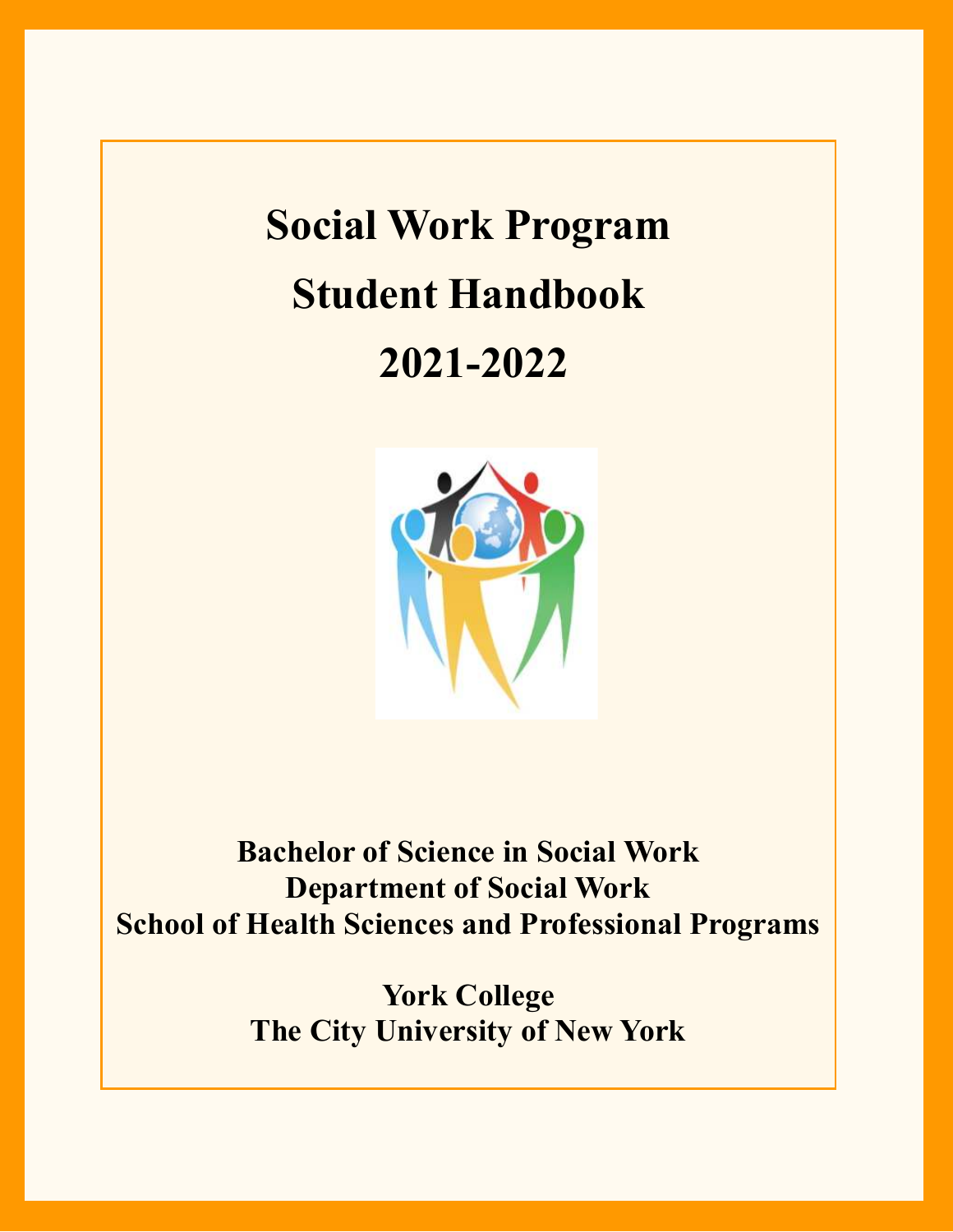**Social Work Program Student Handbook 2021-2022**

l,



 **School of Health Sciences and Professional Programs Bachelor of Science in Social Work Department of Social Work**

> **York College The City University of New York**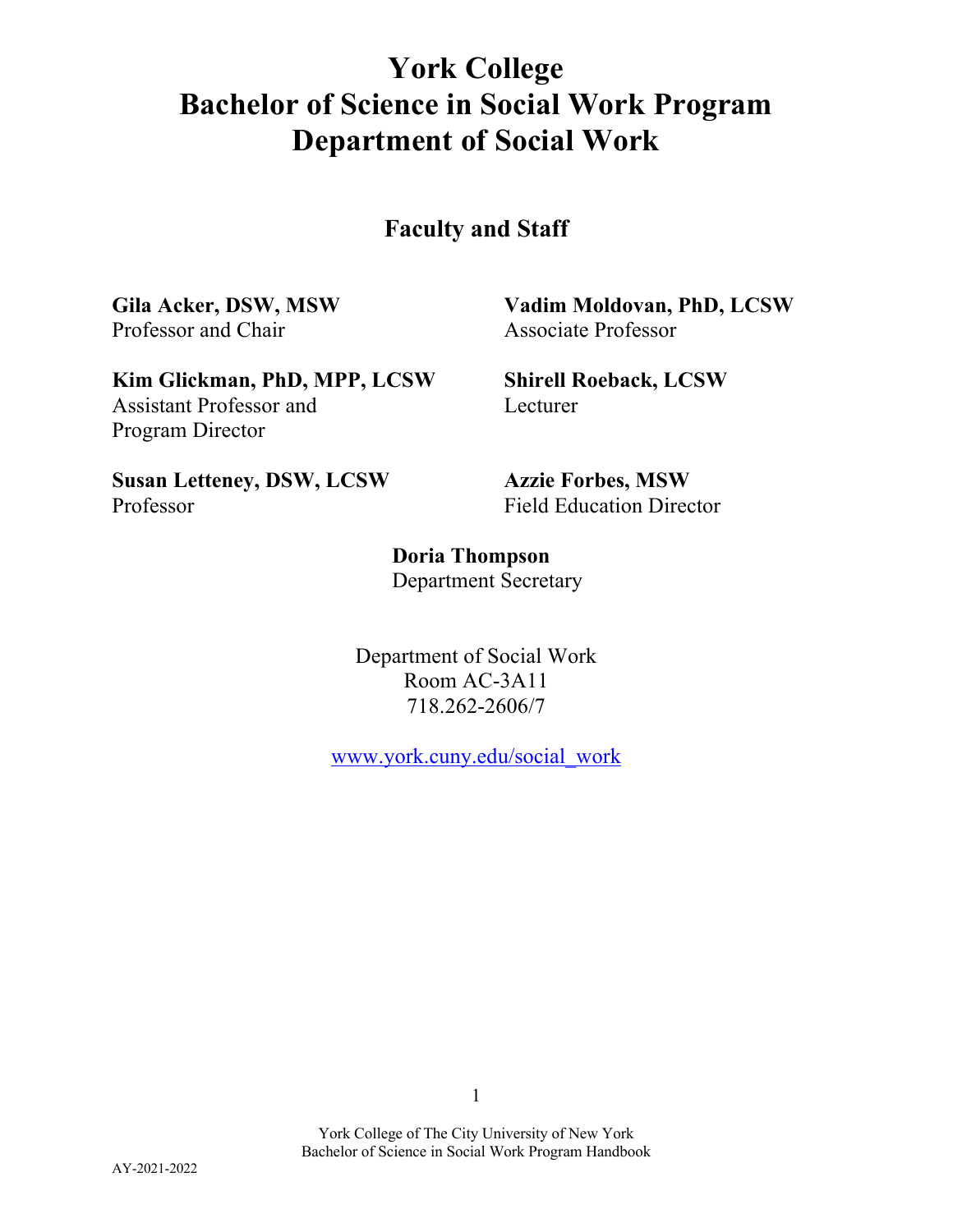# **York College Bachelor of Science in Social Work Program Department of Social Work**

**Faculty and Staff**

Professor and Chair Associate Professor

**Gila Acker, DSW, MSW Vadim Moldovan, PhD, LCSW** 

**Kim Glickman, PhD, MPP, LCSW Shirell Roeback, LCSW** Assistant Professor and Lecturer Program Director

**Susan Letteney, DSW, LCSW Azzie Forbes, MSW** ProfessorField Education Director

**Doria Thompson** Department Secretary

Department of Social Work Room AC-3A11 718.262-2606/7

www.york.cuny.edu/social\_work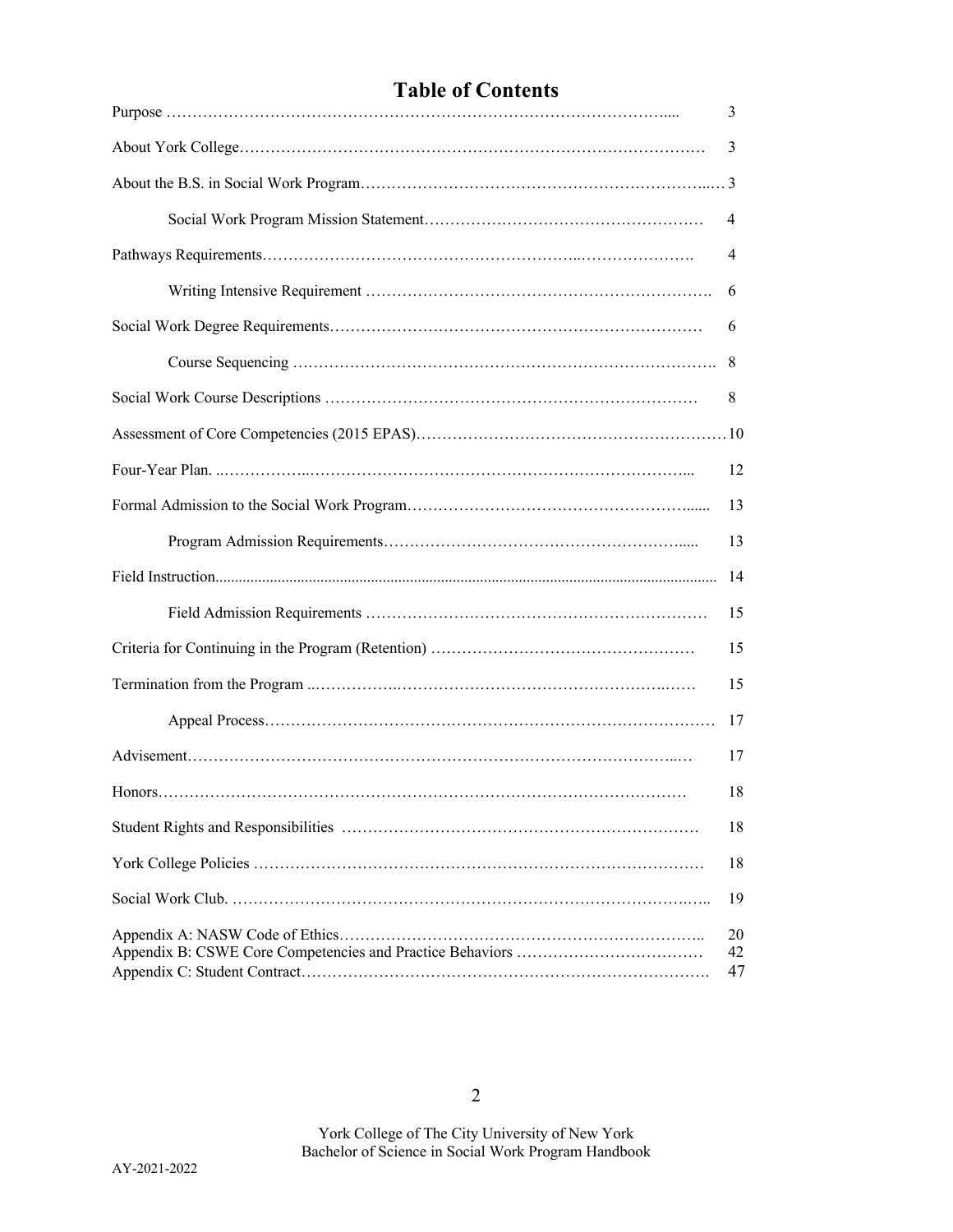## **Table of Contents**

| 3              |
|----------------|
| 3              |
|                |
| 4              |
| 4              |
| 6              |
| 6              |
|                |
| 8              |
|                |
| 12             |
| 13             |
| 13             |
| -14            |
| 15             |
| 15             |
| 15             |
| 17             |
| 17             |
| 18             |
| 18             |
| 18             |
| 19             |
| 20<br>42<br>47 |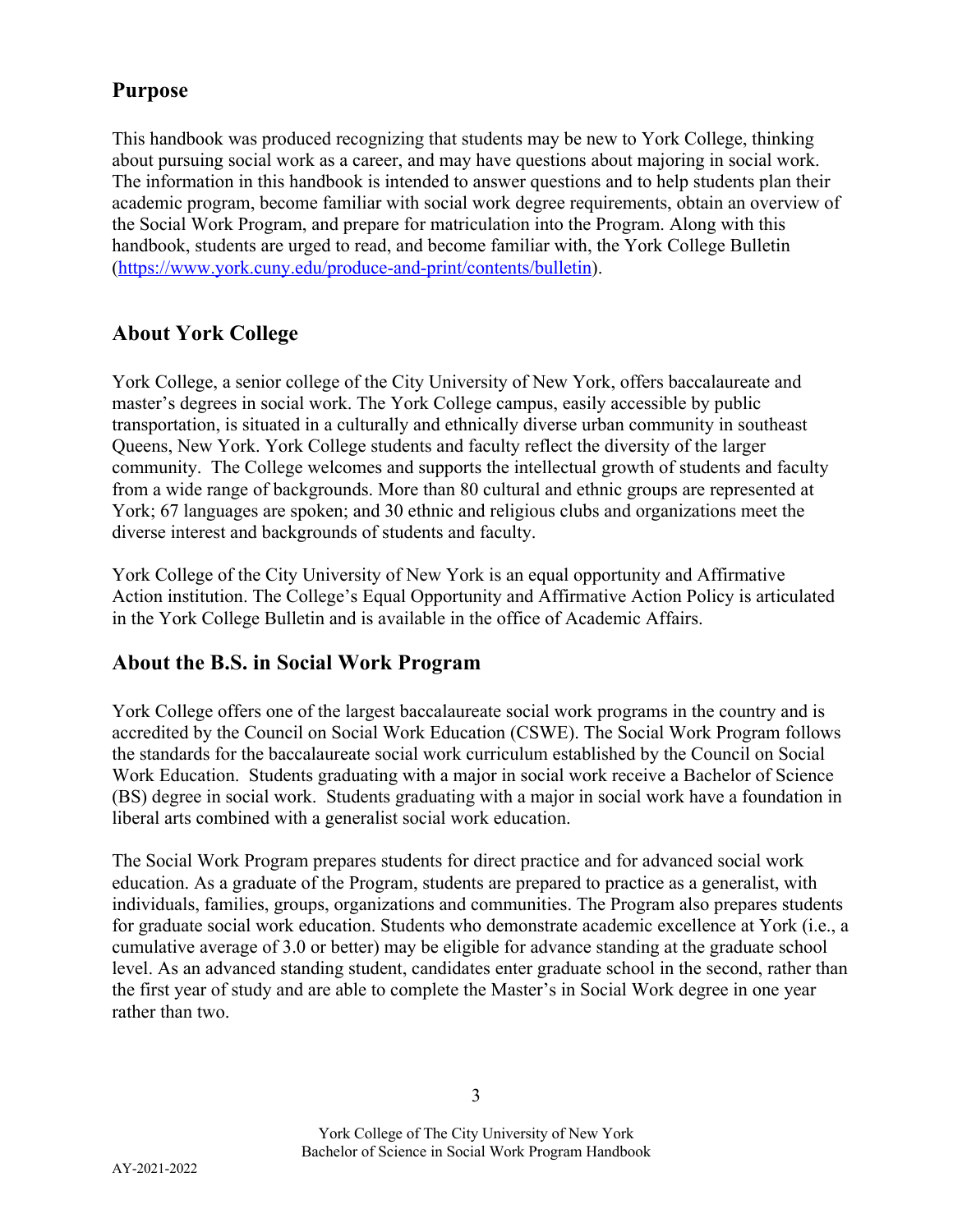### **Purpose**

This handbook was produced recognizing that students may be new to York College, thinking about pursuing social work as a career, and may have questions about majoring in social work. The information in this handbook is intended to answer questions and to help students plan their academic program, become familiar with social work degree requirements, obtain an overview of the Social Work Program, and prepare for matriculation into the Program. Along with this handbook, students are urged to read, and become familiar with, the York College Bulletin (https://www.york.cuny.edu/produce-and-print/contents/bulletin).

### **About York College**

York College, a senior college of the City University of New York, offers baccalaureate and master's degrees in social work. The York College campus, easily accessible by public transportation, is situated in a culturally and ethnically diverse urban community in southeast Queens, New York. York College students and faculty reflect the diversity of the larger community. The College welcomes and supports the intellectual growth of students and faculty from a wide range of backgrounds. More than 80 cultural and ethnic groups are represented at York; 67 languages are spoken; and 30 ethnic and religious clubs and organizations meet the diverse interest and backgrounds of students and faculty.

York College of the City University of New York is an equal opportunity and Affirmative Action institution. The College's Equal Opportunity and Affirmative Action Policy is articulated in the York College Bulletin and is available in the office of Academic Affairs.

#### **About the B.S. in Social Work Program**

York College offers one of the largest baccalaureate social work programs in the country and is accredited by the Council on Social Work Education (CSWE). The Social Work Program follows the standards for the baccalaureate social work curriculum established by the Council on Social Work Education. Students graduating with a major in social work receive a Bachelor of Science (BS) degree in social work. Students graduating with a major in social work have a foundation in liberal arts combined with a generalist social work education.

The Social Work Program prepares students for direct practice and for advanced social work education. As a graduate of the Program, students are prepared to practice as a generalist, with individuals, families, groups, organizations and communities. The Program also prepares students for graduate social work education. Students who demonstrate academic excellence at York (i.e., a cumulative average of 3.0 or better) may be eligible for advance standing at the graduate school level. As an advanced standing student, candidates enter graduate school in the second, rather than the first year of study and are able to complete the Master's in Social Work degree in one year rather than two.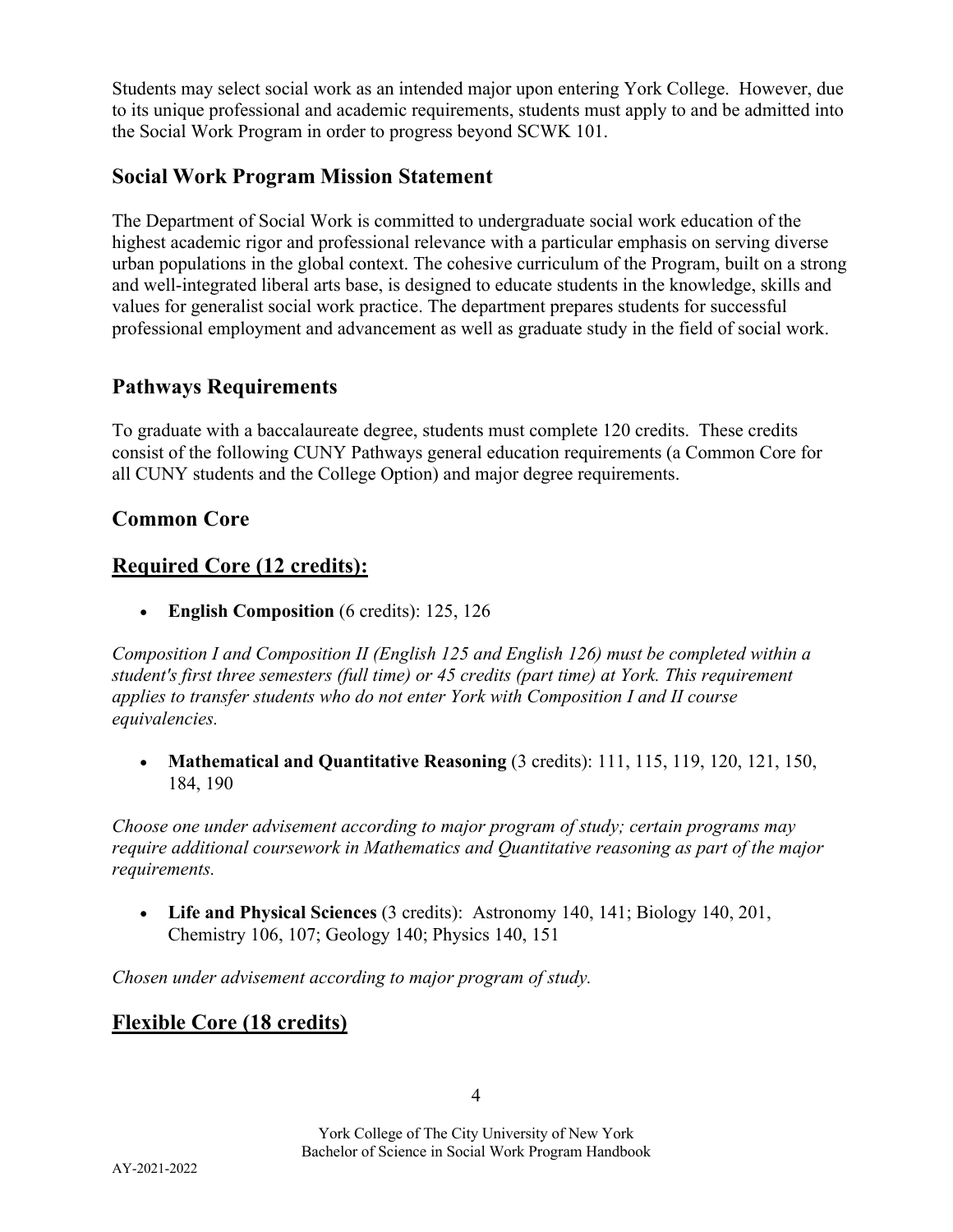Students may select social work as an intended major upon entering York College. However, due to its unique professional and academic requirements, students must apply to and be admitted into the Social Work Program in order to progress beyond SCWK 101.

#### **Social Work Program Mission Statement**

The Department of Social Work is committed to undergraduate social work education of the highest academic rigor and professional relevance with a particular emphasis on serving diverse urban populations in the global context. The cohesive curriculum of the Program, built on a strong and well-integrated liberal arts base, is designed to educate students in the knowledge, skills and values for generalist social work practice. The department prepares students for successful professional employment and advancement as well as graduate study in the field of social work.

#### **Pathways Requirements**

To graduate with a baccalaureate degree, students must complete 120 credits. These credits consist of the following CUNY Pathways general education requirements (a Common Core for all CUNY students and the College Option) and major degree requirements.

#### **Common Core**

#### **Required Core (12 credits):**

• **English Composition** (6 credits): 125, 126

*Composition I and Composition II (English 125 and English 126) must be completed within a student's first three semesters (full time) or 45 credits (part time) at York. This requirement applies to transfer students who do not enter York with Composition I and II course equivalencies.*

• **Mathematical and Quantitative Reasoning** (3 credits): 111, 115, 119, 120, 121, 150, 184, 190

*Choose one under advisement according to major program of study; certain programs may require additional coursework in Mathematics and Quantitative reasoning as part of the major requirements.*

• **Life and Physical Sciences** (3 credits): Astronomy 140, 141; Biology 140, 201, Chemistry 106, 107; Geology 140; Physics 140, 151

*Chosen under advisement according to major program of study.*

#### **Flexible Core (18 credits)**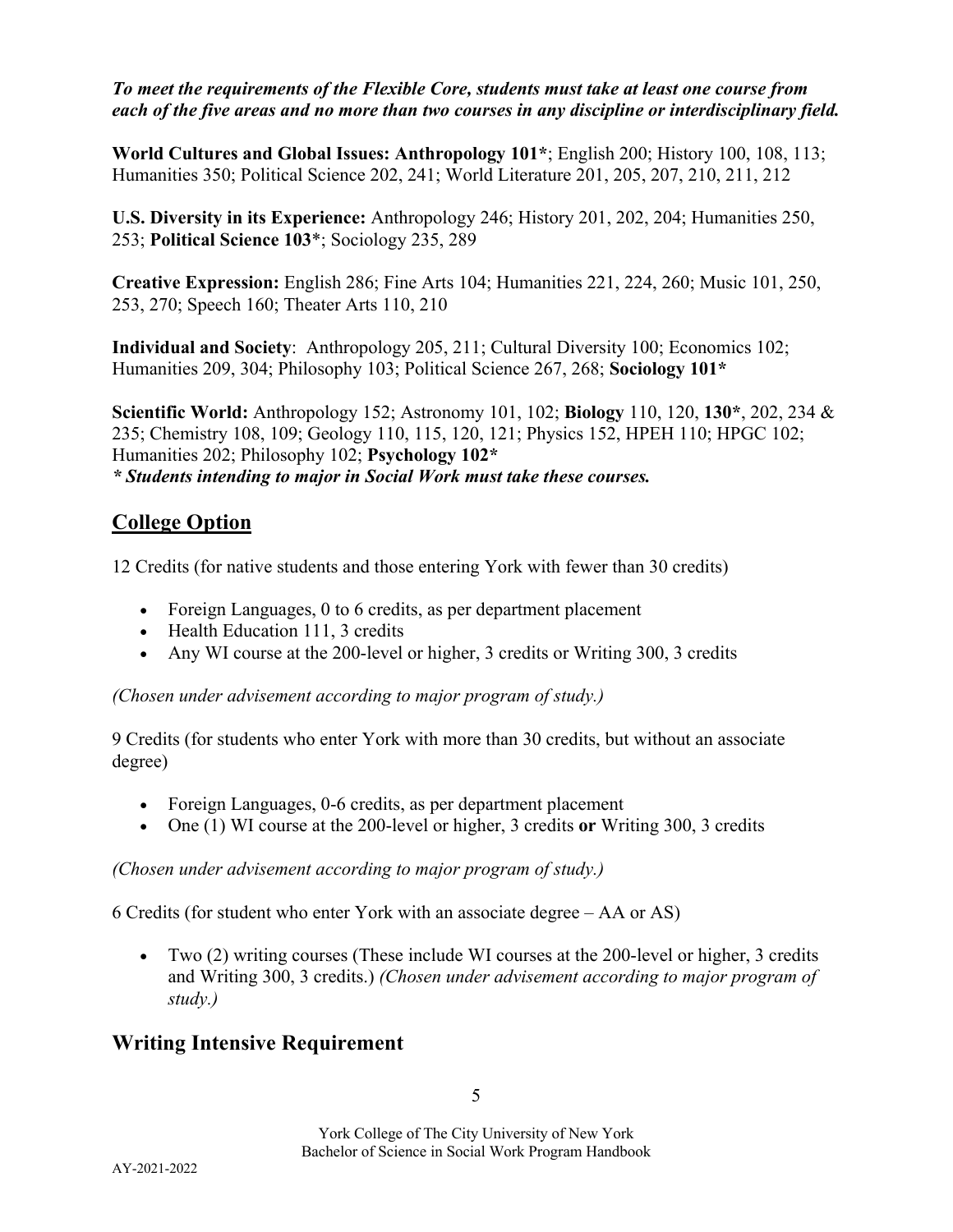#### *To meet the requirements of the Flexible Core, students must take at least one course from each of the five areas and no more than two courses in any discipline or interdisciplinary field.*

**World Cultures and Global Issues: Anthropology 101\***; English 200; History 100, 108, 113; Humanities 350; Political Science 202, 241; World Literature 201, 205, 207, 210, 211, 212

**U.S. Diversity in its Experience:** Anthropology 246; History 201, 202, 204; Humanities 250, 253; **Political Science 103**\*; Sociology 235, 289

**Creative Expression:** English 286; Fine Arts 104; Humanities 221, 224, 260; Music 101, 250, 253, 270; Speech 160; Theater Arts 110, 210

**Individual and Society**: Anthropology 205, 211; Cultural Diversity 100; Economics 102; Humanities 209, 304; Philosophy 103; Political Science 267, 268; **Sociology 101\***

**Scientific World:** Anthropology 152; Astronomy 101, 102; **Biology** 110, 120, **130\***, 202, 234 & 235; Chemistry 108, 109; Geology 110, 115, 120, 121; Physics 152, HPEH 110; HPGC 102; Humanities 202; Philosophy 102; **Psychology 102\***  *\* Students intending to major in Social Work must take these courses.* 

#### **College Option**

12 Credits (for native students and those entering York with fewer than 30 credits)

- Foreign Languages, 0 to 6 credits, as per department placement
- Health Education 111, 3 credits
- Any WI course at the 200-level or higher, 3 credits or Writing 300, 3 credits

*(Chosen under advisement according to major program of study.)*

9 Credits (for students who enter York with more than 30 credits, but without an associate degree)

- Foreign Languages, 0-6 credits, as per department placement
- One (1) WI course at the 200-level or higher, 3 credits **or** Writing 300, 3 credits

#### *(Chosen under advisement according to major program of study.)*

6 Credits (for student who enter York with an associate degree – AA or AS)

• Two (2) writing courses (These include WI courses at the 200-level or higher, 3 credits and Writing 300, 3 credits.) *(Chosen under advisement according to major program of study.)*

## **Writing Intensive Requirement**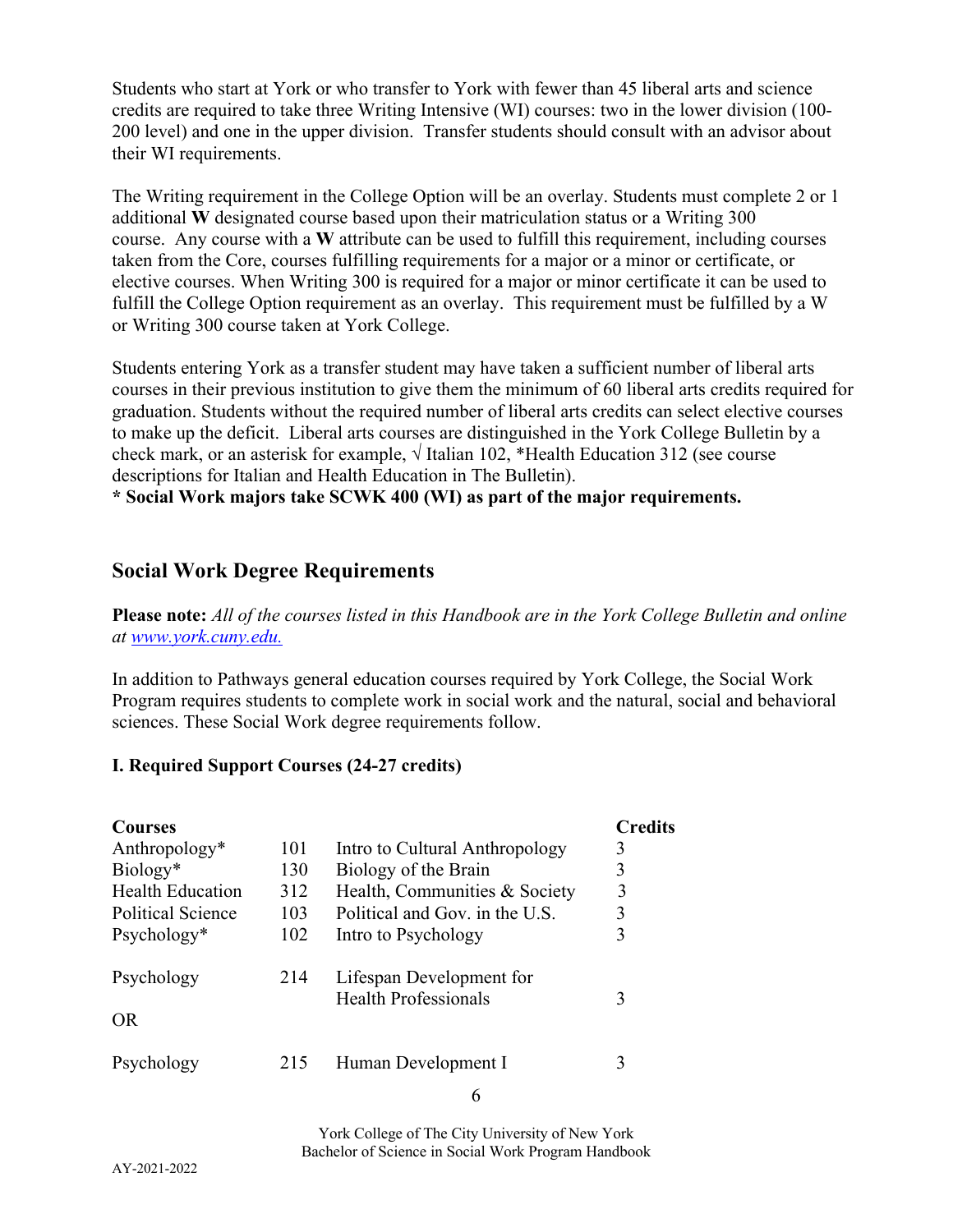Students who start at York or who transfer to York with fewer than 45 liberal arts and science credits are required to take three Writing Intensive (WI) courses: two in the lower division (100- 200 level) and one in the upper division. Transfer students should consult with an advisor about their WI requirements.

The Writing requirement in the College Option will be an overlay. Students must complete 2 or 1 additional **W** designated course based upon their matriculation status or a Writing 300 course. Any course with a **W** attribute can be used to fulfill this requirement, including courses taken from the Core, courses fulfilling requirements for a major or a minor or certificate, or elective courses. When Writing 300 is required for a major or minor certificate it can be used to fulfill the College Option requirement as an overlay. This requirement must be fulfilled by a W or Writing 300 course taken at York College.

Students entering York as a transfer student may have taken a sufficient number of liberal arts courses in their previous institution to give them the minimum of 60 liberal arts credits required for graduation. Students without the required number of liberal arts credits can select elective courses to make up the deficit. Liberal arts courses are distinguished in the York College Bulletin by a check mark, or an asterisk for example,  $\sqrt{\ }$  Italian 102, \*Health Education 312 (see course descriptions for Italian and Health Education in The Bulletin).

**\* Social Work majors take SCWK 400 (WI) as part of the major requirements.** 

#### **Social Work Degree Requirements**

**Please note:** *All of the courses listed in this Handbook are in the York College Bulletin and online at www.york.cuny.edu.* 

In addition to Pathways general education courses required by York College, the Social Work Program requires students to complete work in social work and the natural, social and behavioral sciences. These Social Work degree requirements follow.

#### **I. Required Support Courses (24-27 credits)**

| <b>Courses</b>          |     |                                                         | <b>Credits</b> |
|-------------------------|-----|---------------------------------------------------------|----------------|
| Anthropology*           | 101 | Intro to Cultural Anthropology                          | 3              |
| Biology*                | 130 | Biology of the Brain                                    | 3              |
| <b>Health Education</b> | 312 | Health, Communities & Society                           | 3              |
| Political Science       | 103 | Political and Gov. in the U.S.                          | 3              |
| Psychology*             | 102 | Intro to Psychology                                     | 3              |
| Psychology              | 214 | Lifespan Development for<br><b>Health Professionals</b> | 3              |
| OR.                     |     |                                                         |                |
| Psychology              | 215 | Human Development I                                     | 3              |
|                         |     | 6                                                       |                |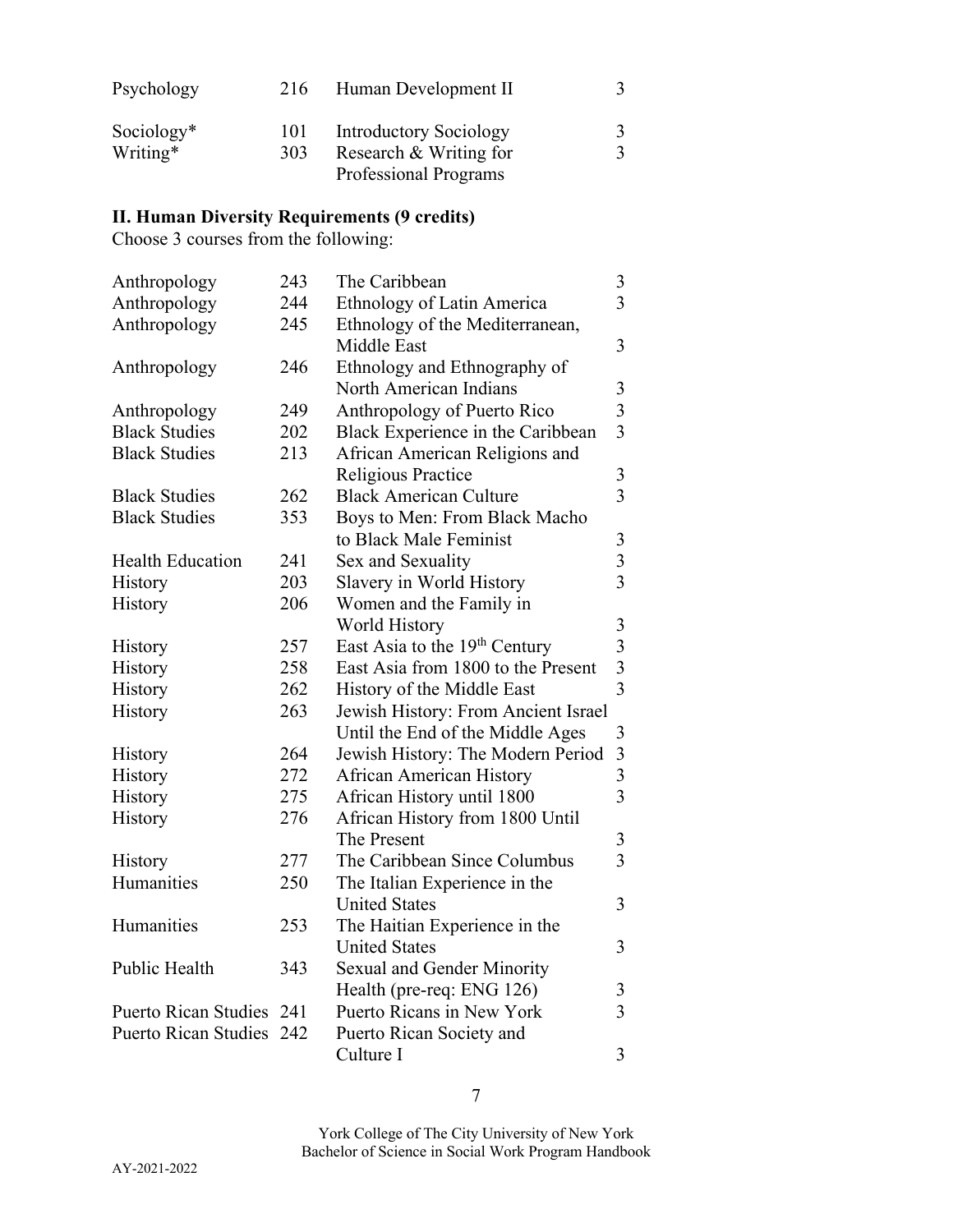| Psychology | 216 | Human Development II          |  |
|------------|-----|-------------------------------|--|
| Sociology* | 101 | <b>Introductory Sociology</b> |  |
| Writing*   | 303 | Research & Writing for        |  |
|            |     | Professional Programs         |  |

## **II. Human Diversity Requirements (9 credits)**

Choose 3 courses from the following:

| Anthropology                | 243 | The Caribbean                             | 3                       |
|-----------------------------|-----|-------------------------------------------|-------------------------|
| Anthropology                | 244 | <b>Ethnology of Latin America</b>         | 3                       |
| Anthropology                | 245 | Ethnology of the Mediterranean,           |                         |
|                             |     | <b>Middle East</b>                        | 3                       |
| Anthropology                | 246 | Ethnology and Ethnography of              |                         |
|                             |     | North American Indians                    | 3                       |
| Anthropology                | 249 | Anthropology of Puerto Rico               | $\overline{3}$          |
| <b>Black Studies</b>        | 202 | Black Experience in the Caribbean         | $\overline{3}$          |
| <b>Black Studies</b>        | 213 | African American Religions and            |                         |
|                             |     | <b>Religious Practice</b>                 | 3                       |
| <b>Black Studies</b>        | 262 | <b>Black American Culture</b>             | $\overline{3}$          |
| <b>Black Studies</b>        | 353 | Boys to Men: From Black Macho             |                         |
|                             |     | to Black Male Feminist                    | 3                       |
| <b>Health Education</b>     | 241 | Sex and Sexuality                         | $\overline{\mathbf{3}}$ |
| History                     | 203 | Slavery in World History                  | $\overline{3}$          |
| History                     | 206 | Women and the Family in                   |                         |
|                             |     | World History                             | 3                       |
| History                     | 257 | East Asia to the 19 <sup>th</sup> Century | $\overline{3}$          |
| History                     | 258 | East Asia from 1800 to the Present        | $\overline{\mathbf{3}}$ |
| History                     | 262 | History of the Middle East                | $\overline{3}$          |
| History                     | 263 | Jewish History: From Ancient Israel       |                         |
|                             |     | Until the End of the Middle Ages          | 3                       |
| History                     | 264 | Jewish History: The Modern Period         | $\overline{\mathbf{3}}$ |
| History                     | 272 | <b>African American History</b>           | $\overline{\mathbf{3}}$ |
| History                     | 275 | African History until 1800                | $\overline{3}$          |
| History                     | 276 | African History from 1800 Until           |                         |
|                             |     | The Present                               | 3                       |
| History                     | 277 | The Caribbean Since Columbus              | $\overline{3}$          |
| Humanities                  | 250 | The Italian Experience in the             |                         |
|                             |     | <b>United States</b>                      | 3                       |
| Humanities                  | 253 | The Haitian Experience in the             |                         |
|                             |     | <b>United States</b>                      | 3                       |
| Public Health               | 343 | Sexual and Gender Minority                |                         |
|                             |     | Health (pre-req: ENG 126)                 | 3                       |
| <b>Puerto Rican Studies</b> | 241 | Puerto Ricans in New York                 | $\overline{3}$          |
| <b>Puerto Rican Studies</b> | 242 | Puerto Rican Society and                  |                         |
|                             |     | Culture I                                 | 3                       |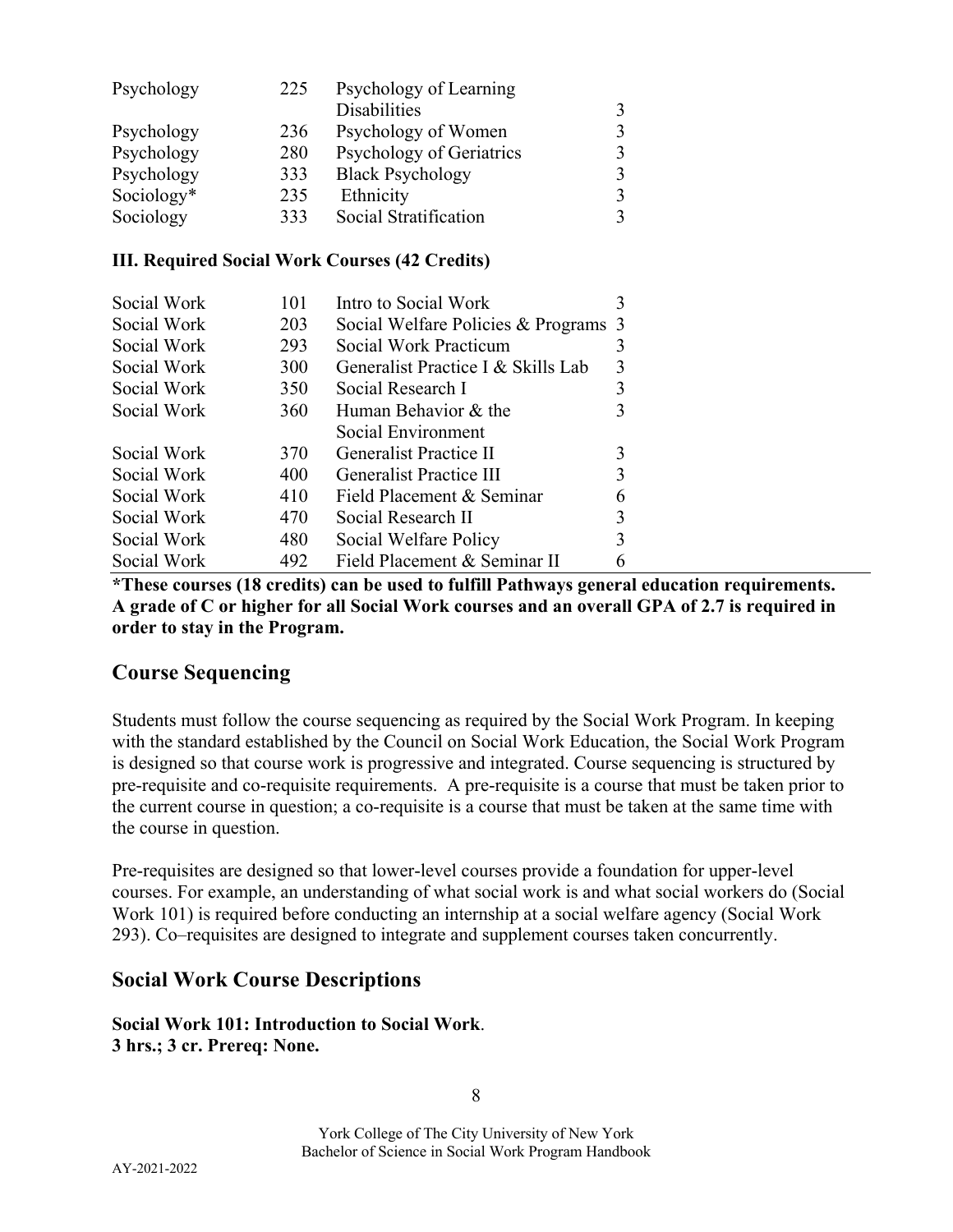| Psychology | 225 | Psychology of Learning   |  |  |
|------------|-----|--------------------------|--|--|
|            |     | <b>Disabilities</b>      |  |  |
| Psychology | 236 | Psychology of Women      |  |  |
| Psychology | 280 | Psychology of Geriatrics |  |  |
| Psychology | 333 | <b>Black Psychology</b>  |  |  |
| Sociology* | 235 | Ethnicity                |  |  |
| Sociology  | 333 | Social Stratification    |  |  |

#### **III. Required Social Work Courses (42 Credits)**

| Social Work | 101 | Intro to Social Work                 |   |
|-------------|-----|--------------------------------------|---|
| Social Work | 203 | Social Welfare Policies & Programs 3 |   |
| Social Work | 293 | Social Work Practicum                |   |
| Social Work | 300 | Generalist Practice I & Skills Lab   |   |
| Social Work | 350 | Social Research I                    |   |
| Social Work | 360 | Human Behavior & the                 |   |
|             |     | Social Environment                   |   |
| Social Work | 370 | Generalist Practice II               | 3 |
| Social Work | 400 | Generalist Practice III              | 3 |
| Social Work | 410 | Field Placement & Seminar            |   |
| Social Work | 470 | Social Research II                   | 3 |
| Social Work | 480 | Social Welfare Policy                |   |
| Social Work | 492 | Field Placement & Seminar II         |   |

**\*These courses (18 credits) can be used to fulfill Pathways general education requirements. A grade of C or higher for all Social Work courses and an overall GPA of 2.7 is required in order to stay in the Program.** 

#### **Course Sequencing**

Students must follow the course sequencing as required by the Social Work Program. In keeping with the standard established by the Council on Social Work Education, the Social Work Program is designed so that course work is progressive and integrated. Course sequencing is structured by pre-requisite and co-requisite requirements. A pre-requisite is a course that must be taken prior to the current course in question; a co-requisite is a course that must be taken at the same time with the course in question.

Pre-requisites are designed so that lower-level courses provide a foundation for upper-level courses. For example, an understanding of what social work is and what social workers do (Social Work 101) is required before conducting an internship at a social welfare agency (Social Work 293). Co–requisites are designed to integrate and supplement courses taken concurrently.

#### **Social Work Course Descriptions**

**Social Work 101: Introduction to Social Work**. **3 hrs.; 3 cr. Prereq: None.**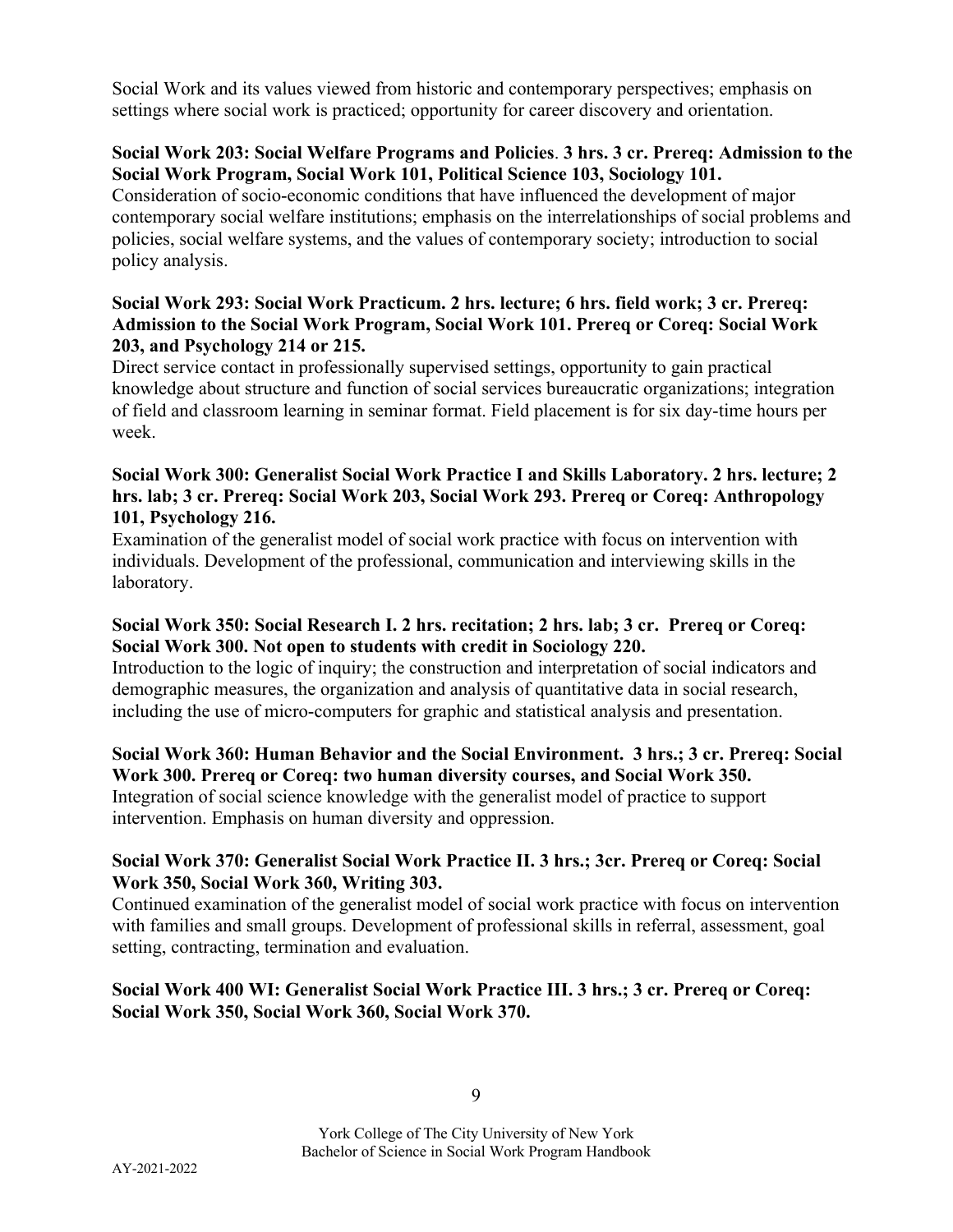Social Work and its values viewed from historic and contemporary perspectives; emphasis on settings where social work is practiced; opportunity for career discovery and orientation.

#### **Social Work 203: Social Welfare Programs and Policies**. **3 hrs. 3 cr. Prereq: Admission to the Social Work Program, Social Work 101, Political Science 103, Sociology 101.**

Consideration of socio-economic conditions that have influenced the development of major contemporary social welfare institutions; emphasis on the interrelationships of social problems and policies, social welfare systems, and the values of contemporary society; introduction to social policy analysis.

#### **Social Work 293: Social Work Practicum. 2 hrs. lecture; 6 hrs. field work; 3 cr. Prereq: Admission to the Social Work Program, Social Work 101. Prereq or Coreq: Social Work 203, and Psychology 214 or 215.**

Direct service contact in professionally supervised settings, opportunity to gain practical knowledge about structure and function of social services bureaucratic organizations; integration of field and classroom learning in seminar format. Field placement is for six day-time hours per week.

#### **Social Work 300: Generalist Social Work Practice I and Skills Laboratory. 2 hrs. lecture; 2 hrs. lab; 3 cr. Prereq: Social Work 203, Social Work 293. Prereq or Coreq: Anthropology 101, Psychology 216.**

Examination of the generalist model of social work practice with focus on intervention with individuals. Development of the professional, communication and interviewing skills in the laboratory.

#### **Social Work 350: Social Research I. 2 hrs. recitation; 2 hrs. lab; 3 cr. Prereq or Coreq: Social Work 300. Not open to students with credit in Sociology 220.**

Introduction to the logic of inquiry; the construction and interpretation of social indicators and demographic measures, the organization and analysis of quantitative data in social research, including the use of micro-computers for graphic and statistical analysis and presentation.

#### **Social Work 360: Human Behavior and the Social Environment. 3 hrs.; 3 cr. Prereq: Social Work 300. Prereq or Coreq: two human diversity courses, and Social Work 350.**

Integration of social science knowledge with the generalist model of practice to support intervention. Emphasis on human diversity and oppression.

#### **Social Work 370: Generalist Social Work Practice II. 3 hrs.; 3cr. Prereq or Coreq: Social Work 350, Social Work 360, Writing 303.**

Continued examination of the generalist model of social work practice with focus on intervention with families and small groups. Development of professional skills in referral, assessment, goal setting, contracting, termination and evaluation.

#### **Social Work 400 WI: Generalist Social Work Practice III. 3 hrs.; 3 cr. Prereq or Coreq: Social Work 350, Social Work 360, Social Work 370.**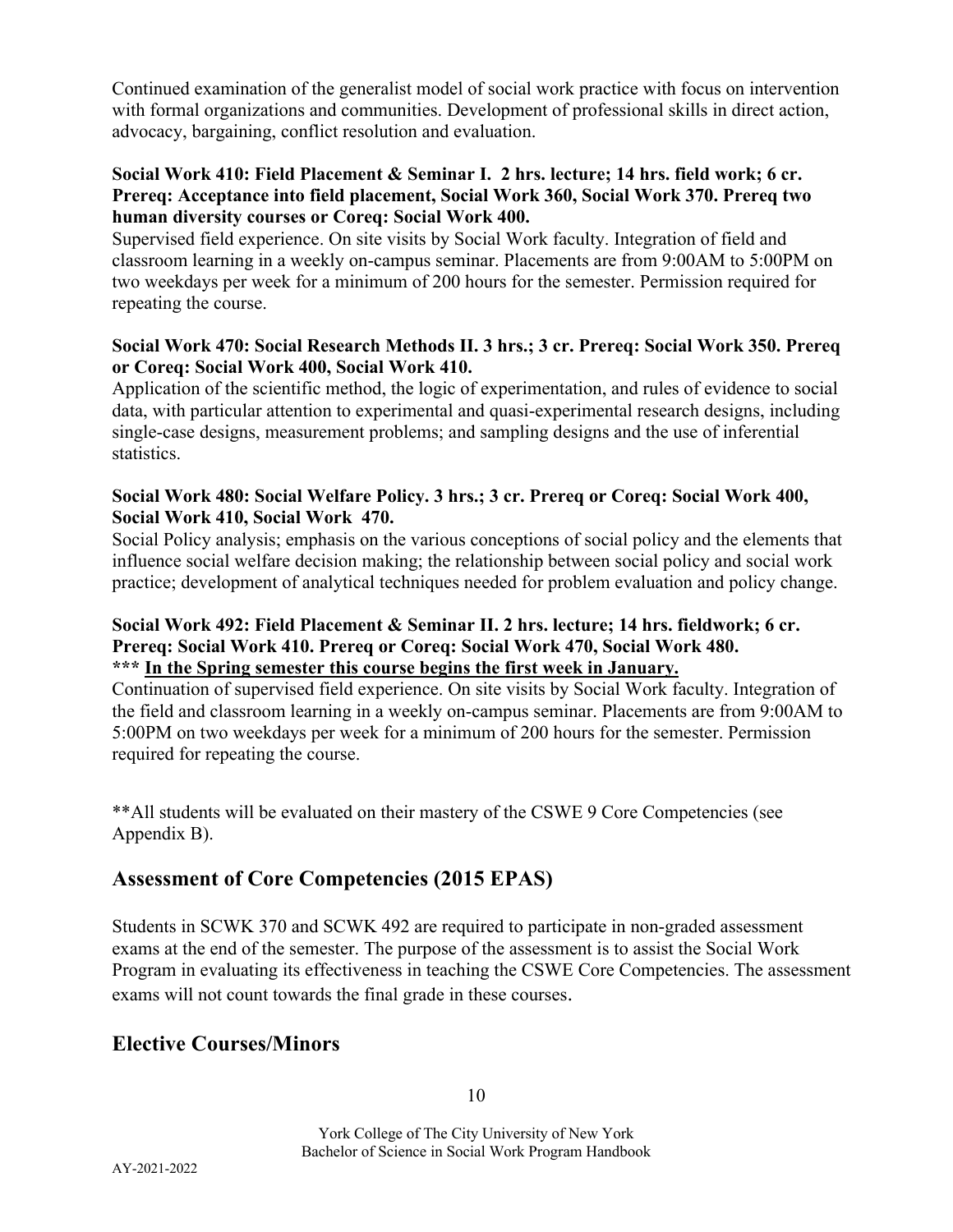Continued examination of the generalist model of social work practice with focus on intervention with formal organizations and communities. Development of professional skills in direct action, advocacy, bargaining, conflict resolution and evaluation.

#### **Social Work 410: Field Placement & Seminar I. 2 hrs. lecture; 14 hrs. field work; 6 cr. Prereq: Acceptance into field placement, Social Work 360, Social Work 370. Prereq two human diversity courses or Coreq: Social Work 400.**

Supervised field experience. On site visits by Social Work faculty. Integration of field and classroom learning in a weekly on-campus seminar. Placements are from 9:00AM to 5:00PM on two weekdays per week for a minimum of 200 hours for the semester. Permission required for repeating the course.

#### **Social Work 470: Social Research Methods II. 3 hrs.; 3 cr. Prereq: Social Work 350. Prereq or Coreq: Social Work 400, Social Work 410.**

Application of the scientific method, the logic of experimentation, and rules of evidence to social data, with particular attention to experimental and quasi-experimental research designs, including single-case designs, measurement problems; and sampling designs and the use of inferential statistics.

#### **Social Work 480: Social Welfare Policy. 3 hrs.; 3 cr. Prereq or Coreq: Social Work 400, Social Work 410, Social Work 470.**

Social Policy analysis; emphasis on the various conceptions of social policy and the elements that influence social welfare decision making; the relationship between social policy and social work practice; development of analytical techniques needed for problem evaluation and policy change.

#### **Social Work 492: Field Placement & Seminar II. 2 hrs. lecture; 14 hrs. fieldwork; 6 cr. Prereq: Social Work 410. Prereq or Coreq: Social Work 470, Social Work 480. \*\*\* In the Spring semester this course begins the first week in January.**

Continuation of supervised field experience. On site visits by Social Work faculty. Integration of the field and classroom learning in a weekly on-campus seminar. Placements are from 9:00AM to 5:00PM on two weekdays per week for a minimum of 200 hours for the semester. Permission required for repeating the course.

\*\*All students will be evaluated on their mastery of the CSWE 9 Core Competencies (see Appendix B).

## **Assessment of Core Competencies (2015 EPAS)**

Students in SCWK 370 and SCWK 492 are required to participate in non-graded assessment exams at the end of the semester. The purpose of the assessment is to assist the Social Work Program in evaluating its effectiveness in teaching the CSWE Core Competencies. The assessment exams will not count towards the final grade in these courses.

## **Elective Courses/Minors**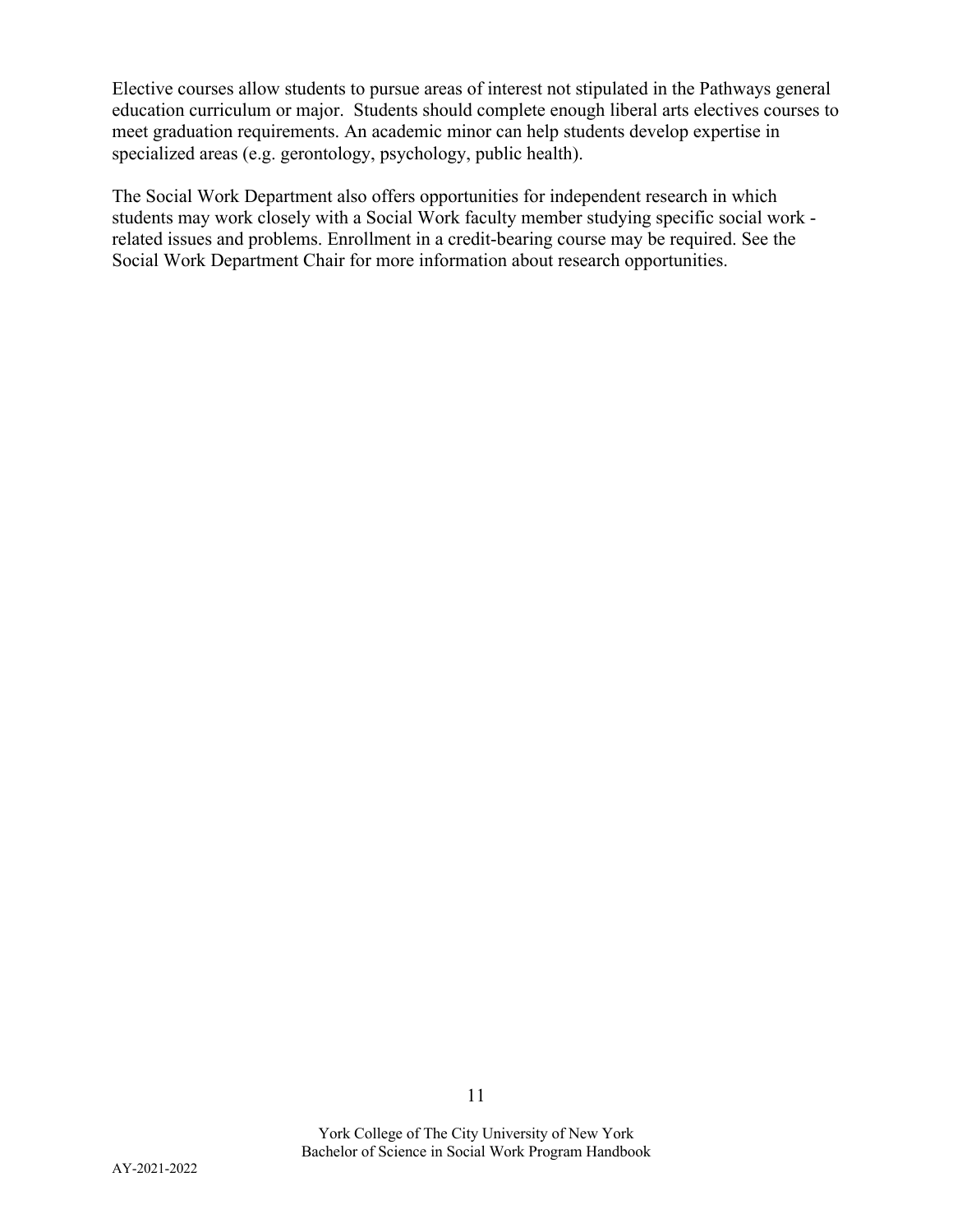Elective courses allow students to pursue areas of interest not stipulated in the Pathways general education curriculum or major. Students should complete enough liberal arts electives courses to meet graduation requirements. An academic minor can help students develop expertise in specialized areas (e.g. gerontology, psychology, public health).

The Social Work Department also offers opportunities for independent research in which students may work closely with a Social Work faculty member studying specific social work related issues and problems. Enrollment in a credit-bearing course may be required. See the Social Work Department Chair for more information about research opportunities.

11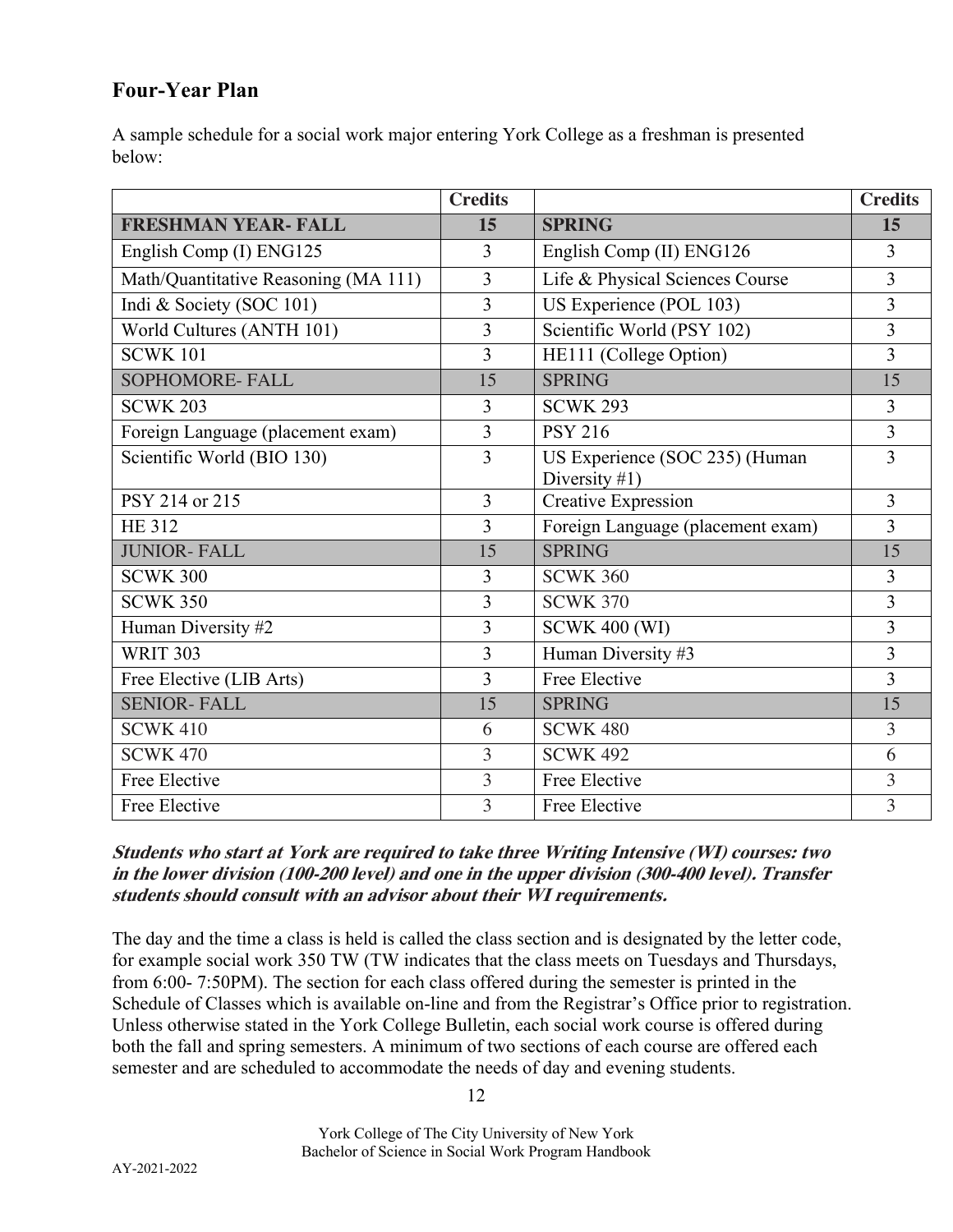#### **Four-Year Plan**

A sample schedule for a social work major entering York College as a freshman is presented below:

|                                      | <b>Credits</b> |                                                   | <b>Credits</b> |
|--------------------------------------|----------------|---------------------------------------------------|----------------|
| <b>FRESHMAN YEAR- FALL</b>           | 15             | <b>SPRING</b>                                     | 15             |
| English Comp (I) ENG125              | 3              | English Comp (II) ENG126                          | $\overline{3}$ |
| Math/Quantitative Reasoning (MA 111) | $\overline{3}$ | Life & Physical Sciences Course                   | $\overline{3}$ |
| Indi & Society (SOC 101)             | 3              | US Experience (POL 103)                           | $\overline{3}$ |
| World Cultures (ANTH 101)            | 3              | Scientific World (PSY 102)                        | 3              |
| <b>SCWK 101</b>                      | 3              | HE111 (College Option)                            | $\overline{3}$ |
| <b>SOPHOMORE- FALL</b>               | 15             | <b>SPRING</b>                                     | 15             |
| <b>SCWK 203</b>                      | 3              | <b>SCWK 293</b>                                   | 3              |
| Foreign Language (placement exam)    | 3              | <b>PSY 216</b>                                    | $\overline{3}$ |
| Scientific World (BIO 130)           | 3              | US Experience (SOC 235) (Human<br>Diversity $#1)$ | $\overline{3}$ |
| PSY 214 or 215                       | $\overline{3}$ | <b>Creative Expression</b>                        | $\overline{3}$ |
| <b>HE 312</b>                        | 3              | Foreign Language (placement exam)                 | $\overline{3}$ |
| <b>JUNIOR-FALL</b>                   | 15             | <b>SPRING</b>                                     | 15             |
| <b>SCWK 300</b>                      | 3              | <b>SCWK 360</b>                                   | 3              |
| <b>SCWK 350</b>                      | 3              | <b>SCWK 370</b>                                   | $\overline{3}$ |
| Human Diversity #2                   | 3              | <b>SCWK 400 (WI)</b>                              | 3              |
| <b>WRIT 303</b>                      | 3              | Human Diversity #3                                | $\overline{3}$ |
| Free Elective (LIB Arts)             | 3              | Free Elective                                     | $\overline{3}$ |
| <b>SENIOR-FALL</b>                   | 15             | <b>SPRING</b>                                     | 15             |
| <b>SCWK 410</b>                      | 6              | <b>SCWK 480</b>                                   | 3              |
| <b>SCWK 470</b>                      | 3              | <b>SCWK 492</b>                                   | 6              |
| Free Elective                        | 3              | Free Elective                                     | 3              |
| Free Elective                        | 3              | Free Elective                                     | 3              |

**Students who start at York are required to take three Writing Intensive (WI) courses: two in the lower division (100-200 level) and one in the upper division (300-400 level). Transfer students should consult with an advisor about their WI requirements.** 

The day and the time a class is held is called the class section and is designated by the letter code, for example social work 350 TW (TW indicates that the class meets on Tuesdays and Thursdays, from 6:00- 7:50PM). The section for each class offered during the semester is printed in the Schedule of Classes which is available on-line and from the Registrar's Office prior to registration. Unless otherwise stated in the York College Bulletin, each social work course is offered during both the fall and spring semesters. A minimum of two sections of each course are offered each semester and are scheduled to accommodate the needs of day and evening students.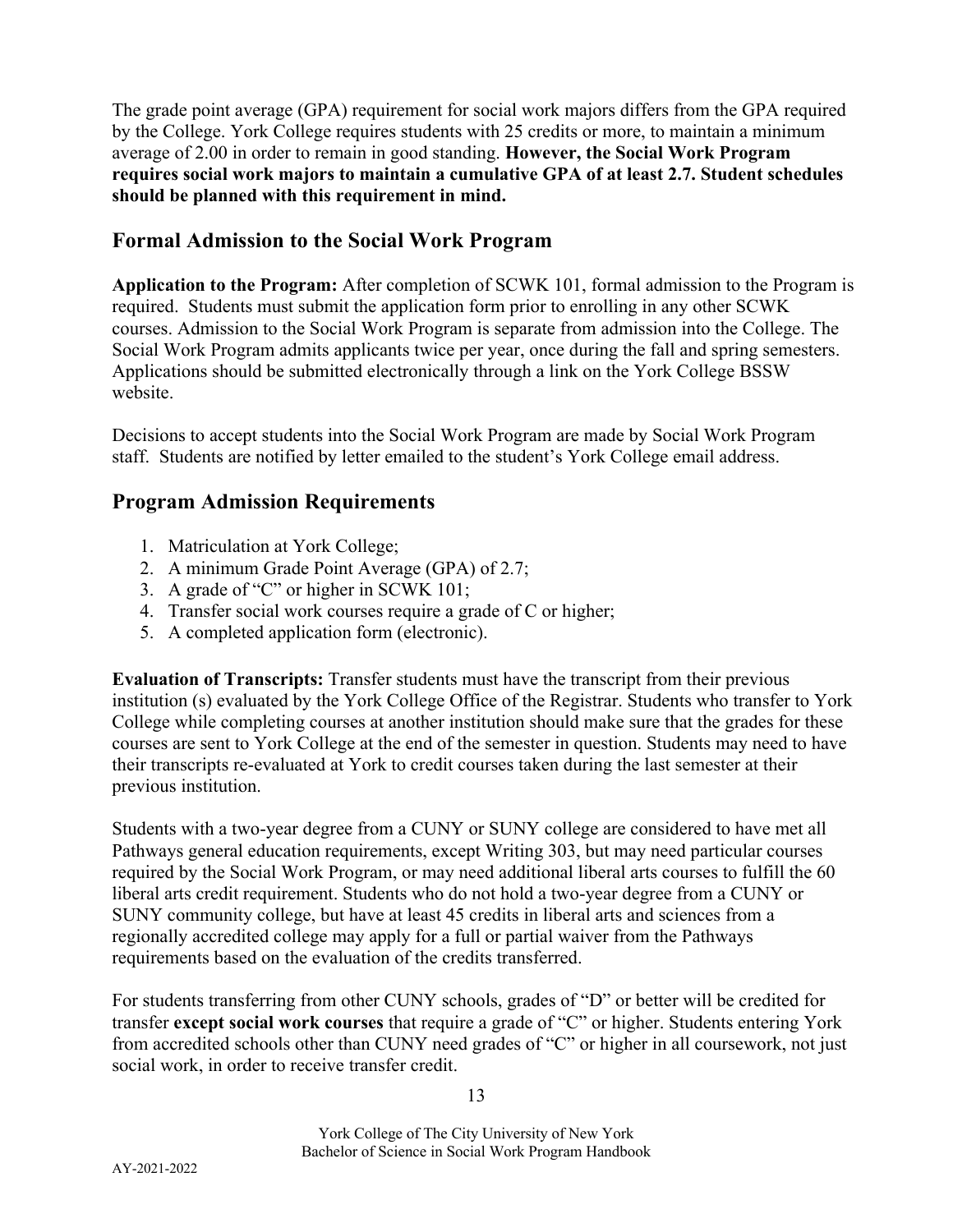The grade point average (GPA) requirement for social work majors differs from the GPA required by the College. York College requires students with 25 credits or more, to maintain a minimum average of 2.00 in order to remain in good standing. **However, the Social Work Program requires social work majors to maintain a cumulative GPA of at least 2.7. Student schedules should be planned with this requirement in mind.** 

#### **Formal Admission to the Social Work Program**

**Application to the Program:** After completion of SCWK 101, formal admission to the Program is required. Students must submit the application form prior to enrolling in any other SCWK courses. Admission to the Social Work Program is separate from admission into the College. The Social Work Program admits applicants twice per year, once during the fall and spring semesters. Applications should be submitted electronically through a link on the York College BSSW website.

Decisions to accept students into the Social Work Program are made by Social Work Program staff. Students are notified by letter emailed to the student's York College email address.

#### **Program Admission Requirements**

- 1. Matriculation at York College;
- 2. A minimum Grade Point Average (GPA) of 2.7;
- 3. A grade of "C" or higher in SCWK 101;
- 4. Transfer social work courses require a grade of C or higher;
- 5. A completed application form (electronic).

**Evaluation of Transcripts:** Transfer students must have the transcript from their previous institution (s) evaluated by the York College Office of the Registrar. Students who transfer to York College while completing courses at another institution should make sure that the grades for these courses are sent to York College at the end of the semester in question. Students may need to have their transcripts re-evaluated at York to credit courses taken during the last semester at their previous institution.

Students with a two-year degree from a CUNY or SUNY college are considered to have met all Pathways general education requirements, except Writing 303, but may need particular courses required by the Social Work Program, or may need additional liberal arts courses to fulfill the 60 liberal arts credit requirement. Students who do not hold a two-year degree from a CUNY or SUNY community college, but have at least 45 credits in liberal arts and sciences from a regionally accredited college may apply for a full or partial waiver from the Pathways requirements based on the evaluation of the credits transferred.

For students transferring from other CUNY schools, grades of "D" or better will be credited for transfer **except social work courses** that require a grade of "C" or higher. Students entering York from accredited schools other than CUNY need grades of "C" or higher in all coursework, not just social work, in order to receive transfer credit.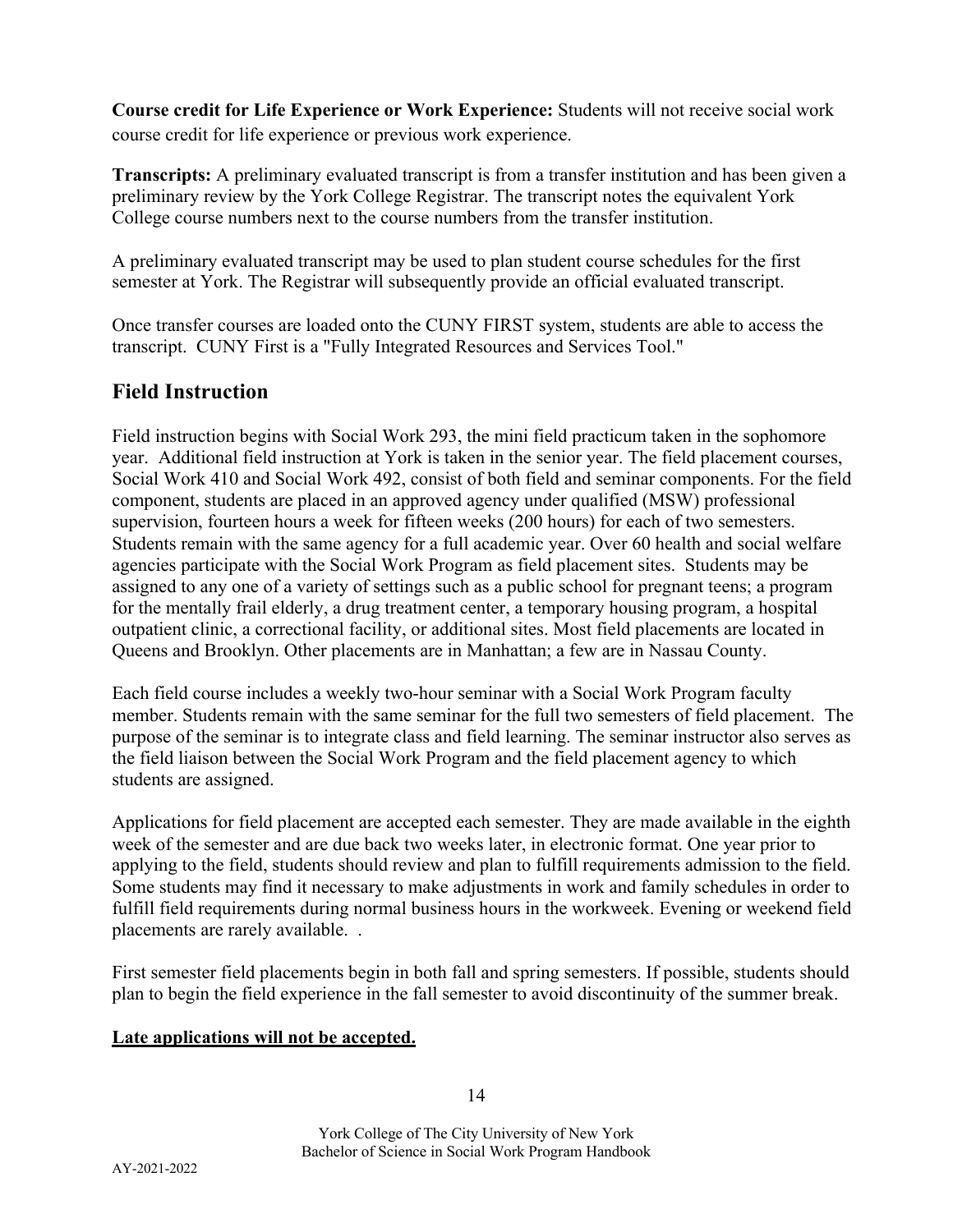**Course credit for Life Experience or Work Experience:** Students will not receive social work course credit for life experience or previous work experience.

**Transcripts:** A preliminary evaluated transcript is from a transfer institution and has been given a preliminary review by the York College Registrar. The transcript notes the equivalent York College course numbers next to the course numbers from the transfer institution.

A preliminary evaluated transcript may be used to plan student course schedules for the first semester at York. The Registrar will subsequently provide an official evaluated transcript.

Once transfer courses are loaded onto the CUNY FIRST system, students are able to access the transcript. CUNY First is a "Fully Integrated Resources and Services Tool."

### **Field Instruction**

Field instruction begins with Social Work 293, the mini field practicum taken in the sophomore year. Additional field instruction at York is taken in the senior year. The field placement courses, Social Work 410 and Social Work 492, consist of both field and seminar components. For the field component, students are placed in an approved agency under qualified (MSW) professional supervision, fourteen hours a week for fifteen weeks (200 hours) for each of two semesters. Students remain with the same agency for a full academic year. Over 60 health and social welfare agencies participate with the Social Work Program as field placement sites. Students may be assigned to any one of a variety of settings such as a public school for pregnant teens; a program for the mentally frail elderly, a drug treatment center, a temporary housing program, a hospital outpatient clinic, a correctional facility, or additional sites. Most field placements are located in Queens and Brooklyn. Other placements are in Manhattan; a few are in Nassau County.

Each field course includes a weekly two-hour seminar with a Social Work Program faculty member. Students remain with the same seminar for the full two semesters of field placement. The purpose of the seminar is to integrate class and field learning. The seminar instructor also serves as the field liaison between the Social Work Program and the field placement agency to which students are assigned.

Applications for field placement are accepted each semester. They are made available in the eighth week of the semester and are due back two weeks later, in electronic format. One year prior to applying to the field, students should review and plan to fulfill requirements admission to the field. Some students may find it necessary to make adjustments in work and family schedules in order to fulfill field requirements during normal business hours in the workweek. Evening or weekend field placements are rarely available. .

First semester field placements begin in both fall and spring semesters. If possible, students should plan to begin the field experience in the fall semester to avoid discontinuity of the summer break.

#### **Late applications will not be accepted.**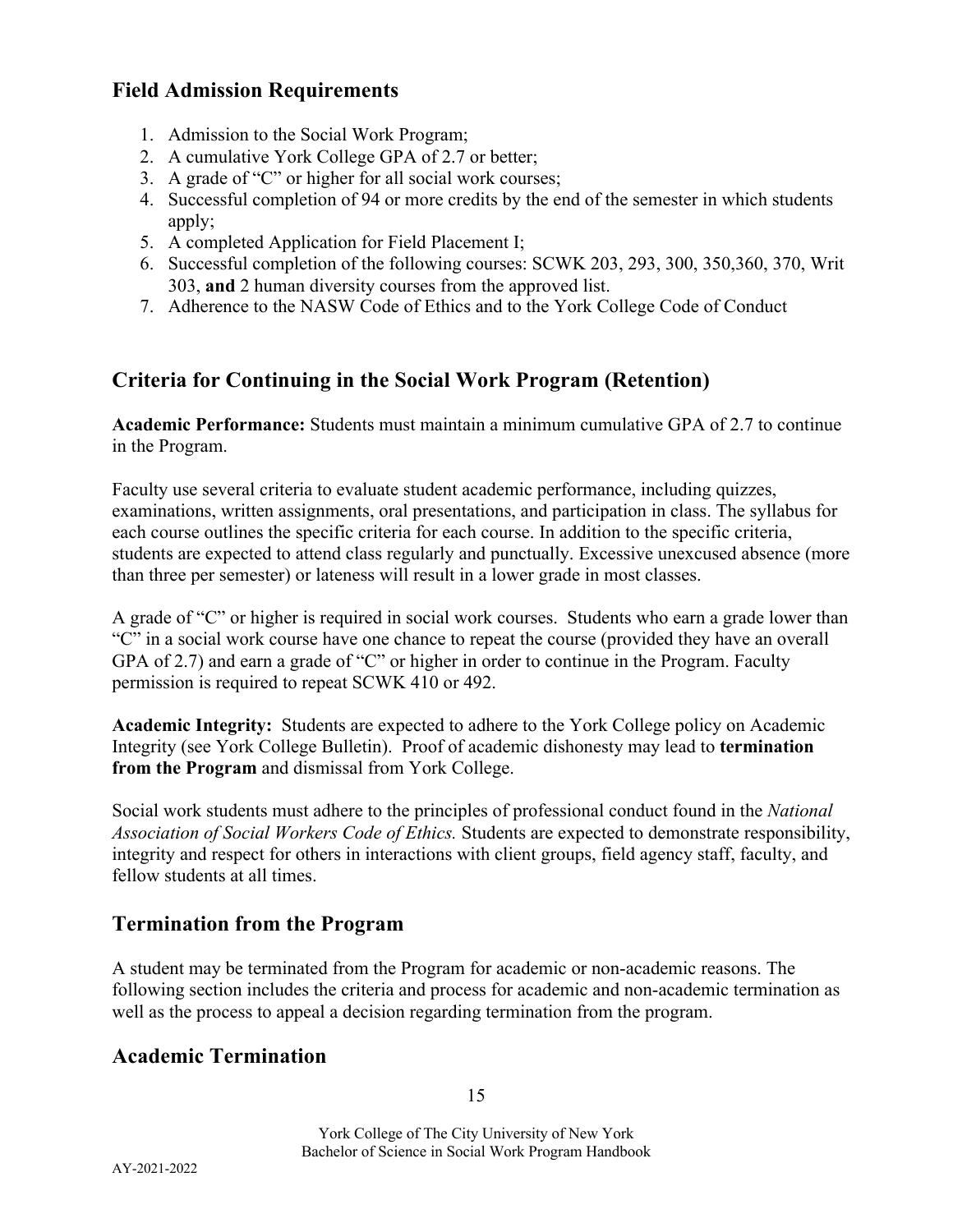#### **Field Admission Requirements**

- 1. Admission to the Social Work Program;
- 2. A cumulative York College GPA of 2.7 or better;
- 3. A grade of "C" or higher for all social work courses;
- 4. Successful completion of 94 or more credits by the end of the semester in which students apply;
- 5. A completed Application for Field Placement I;
- 6. Successful completion of the following courses: SCWK 203, 293, 300, 350,360, 370, Writ 303, **and** 2 human diversity courses from the approved list.
- 7. Adherence to the NASW Code of Ethics and to the York College Code of Conduct

#### **Criteria for Continuing in the Social Work Program (Retention)**

**Academic Performance:** Students must maintain a minimum cumulative GPA of 2.7 to continue in the Program.

Faculty use several criteria to evaluate student academic performance, including quizzes, examinations, written assignments, oral presentations, and participation in class. The syllabus for each course outlines the specific criteria for each course. In addition to the specific criteria, students are expected to attend class regularly and punctually. Excessive unexcused absence (more than three per semester) or lateness will result in a lower grade in most classes.

A grade of "C" or higher is required in social work courses. Students who earn a grade lower than "C" in a social work course have one chance to repeat the course (provided they have an overall GPA of 2.7) and earn a grade of "C" or higher in order to continue in the Program. Faculty permission is required to repeat SCWK 410 or 492.

**Academic Integrity:** Students are expected to adhere to the York College policy on Academic Integrity (see York College Bulletin). Proof of academic dishonesty may lead to **termination from the Program** and dismissal from York College.

Social work students must adhere to the principles of professional conduct found in the *National Association of Social Workers Code of Ethics.* Students are expected to demonstrate responsibility, integrity and respect for others in interactions with client groups, field agency staff, faculty, and fellow students at all times.

#### **Termination from the Program**

A student may be terminated from the Program for academic or non-academic reasons. The following section includes the criteria and process for academic and non-academic termination as well as the process to appeal a decision regarding termination from the program.

#### **Academic Termination**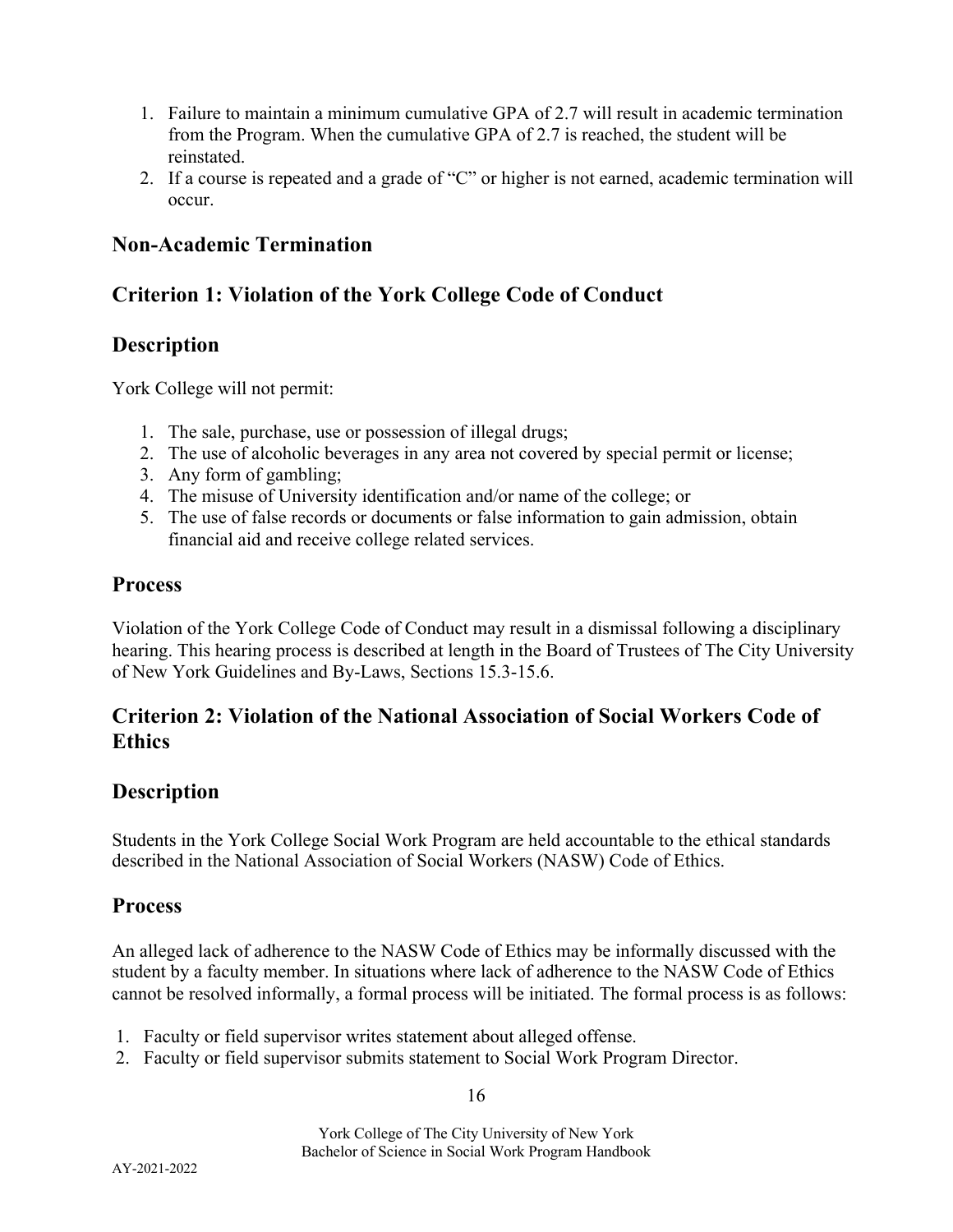- 1. Failure to maintain a minimum cumulative GPA of 2.7 will result in academic termination from the Program. When the cumulative GPA of 2.7 is reached, the student will be reinstated.
- 2. If a course is repeated and a grade of "C" or higher is not earned, academic termination will occur.

#### **Non-Academic Termination**

#### **Criterion 1: Violation of the York College Code of Conduct**

#### **Description**

York College will not permit:

- 1. The sale, purchase, use or possession of illegal drugs;
- 2. The use of alcoholic beverages in any area not covered by special permit or license;
- 3. Any form of gambling;
- 4. The misuse of University identification and/or name of the college; or
- 5. The use of false records or documents or false information to gain admission, obtain financial aid and receive college related services.

#### **Process**

Violation of the York College Code of Conduct may result in a dismissal following a disciplinary hearing. This hearing process is described at length in the Board of Trustees of The City University of New York Guidelines and By-Laws, Sections 15.3-15.6.

#### **Criterion 2: Violation of the National Association of Social Workers Code of Ethics**

#### **Description**

Students in the York College Social Work Program are held accountable to the ethical standards described in the National Association of Social Workers (NASW) Code of Ethics.

#### **Process**

An alleged lack of adherence to the NASW Code of Ethics may be informally discussed with the student by a faculty member. In situations where lack of adherence to the NASW Code of Ethics cannot be resolved informally, a formal process will be initiated. The formal process is as follows:

- 1. Faculty or field supervisor writes statement about alleged offense.
- 2. Faculty or field supervisor submits statement to Social Work Program Director.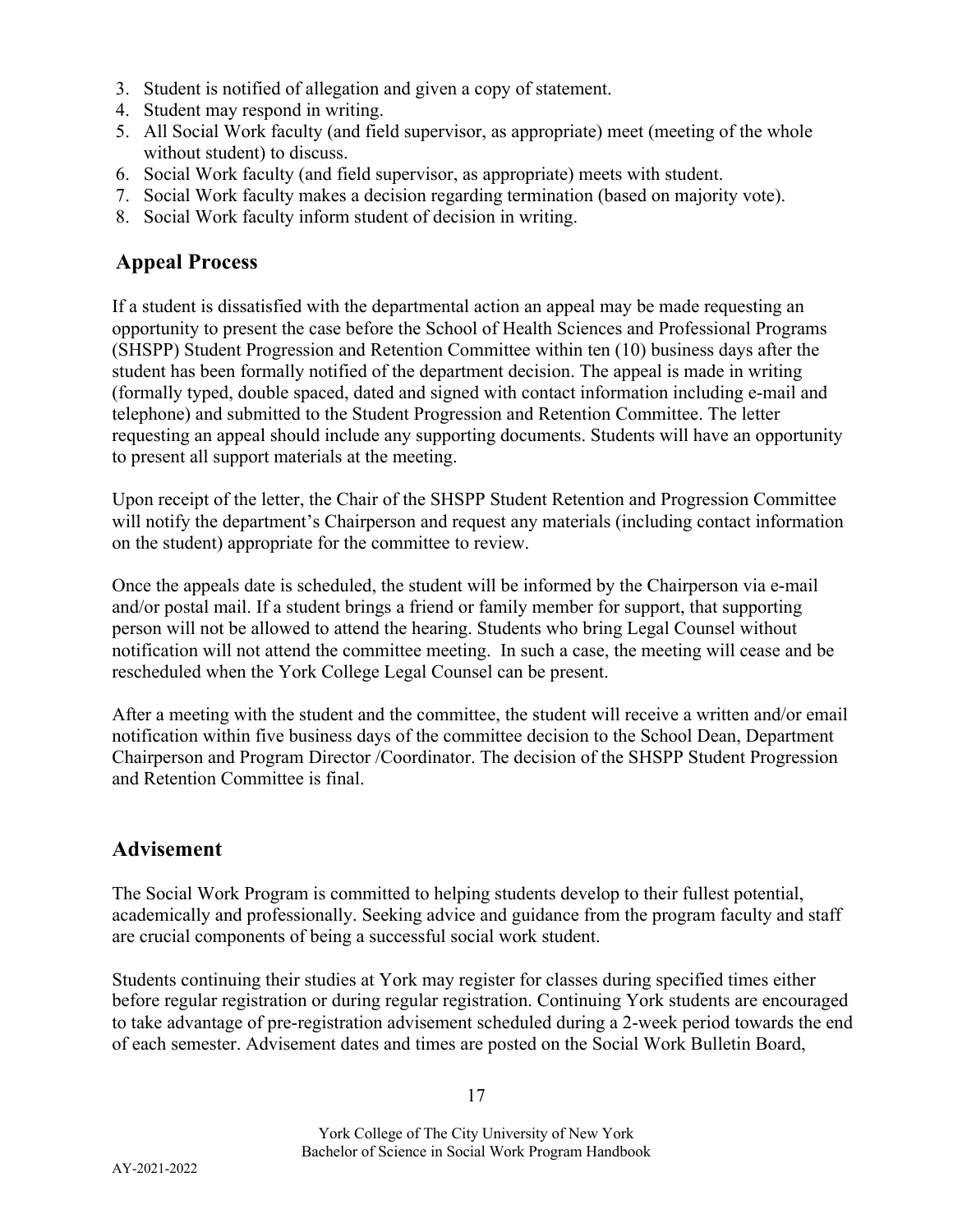- 3. Student is notified of allegation and given a copy of statement.
- 4. Student may respond in writing.
- 5. All Social Work faculty (and field supervisor, as appropriate) meet (meeting of the whole without student) to discuss.
- 6. Social Work faculty (and field supervisor, as appropriate) meets with student.
- 7. Social Work faculty makes a decision regarding termination (based on majority vote).
- 8. Social Work faculty inform student of decision in writing.

#### **Appeal Process**

If a student is dissatisfied with the departmental action an appeal may be made requesting an opportunity to present the case before the School of Health Sciences and Professional Programs (SHSPP) Student Progression and Retention Committee within ten (10) business days after the student has been formally notified of the department decision. The appeal is made in writing (formally typed, double spaced, dated and signed with contact information including e-mail and telephone) and submitted to the Student Progression and Retention Committee. The letter requesting an appeal should include any supporting documents. Students will have an opportunity to present all support materials at the meeting.

Upon receipt of the letter, the Chair of the SHSPP Student Retention and Progression Committee will notify the department's Chairperson and request any materials (including contact information on the student) appropriate for the committee to review.

Once the appeals date is scheduled, the student will be informed by the Chairperson via e-mail and/or postal mail. If a student brings a friend or family member for support, that supporting person will not be allowed to attend the hearing. Students who bring Legal Counsel without notification will not attend the committee meeting. In such a case, the meeting will cease and be rescheduled when the York College Legal Counsel can be present.

After a meeting with the student and the committee, the student will receive a written and/or email notification within five business days of the committee decision to the School Dean, Department Chairperson and Program Director /Coordinator. The decision of the SHSPP Student Progression and Retention Committee is final.

#### **Advisement**

The Social Work Program is committed to helping students develop to their fullest potential, academically and professionally. Seeking advice and guidance from the program faculty and staff are crucial components of being a successful social work student.

Students continuing their studies at York may register for classes during specified times either before regular registration or during regular registration. Continuing York students are encouraged to take advantage of pre-registration advisement scheduled during a 2-week period towards the end of each semester. Advisement dates and times are posted on the Social Work Bulletin Board,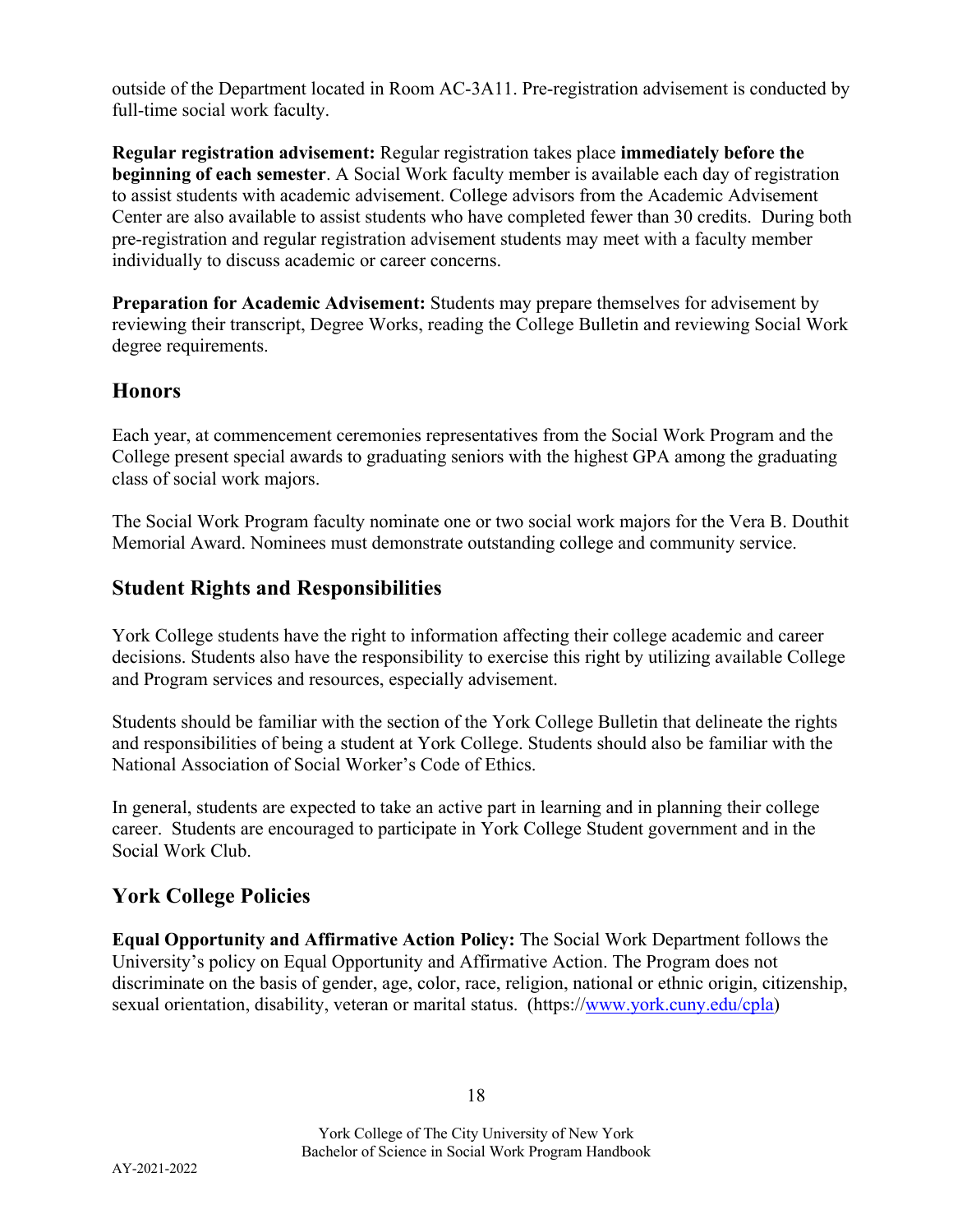outside of the Department located in Room AC-3A11. Pre-registration advisement is conducted by full-time social work faculty.

**Regular registration advisement:** Regular registration takes place **immediately before the beginning of each semester**. A Social Work faculty member is available each day of registration to assist students with academic advisement. College advisors from the Academic Advisement Center are also available to assist students who have completed fewer than 30 credits. During both pre-registration and regular registration advisement students may meet with a faculty member individually to discuss academic or career concerns.

**Preparation for Academic Advisement:** Students may prepare themselves for advisement by reviewing their transcript, Degree Works, reading the College Bulletin and reviewing Social Work degree requirements.

#### **Honors**

Each year, at commencement ceremonies representatives from the Social Work Program and the College present special awards to graduating seniors with the highest GPA among the graduating class of social work majors.

The Social Work Program faculty nominate one or two social work majors for the Vera B. Douthit Memorial Award. Nominees must demonstrate outstanding college and community service.

#### **Student Rights and Responsibilities**

York College students have the right to information affecting their college academic and career decisions. Students also have the responsibility to exercise this right by utilizing available College and Program services and resources, especially advisement.

Students should be familiar with the section of the York College Bulletin that delineate the rights and responsibilities of being a student at York College. Students should also be familiar with the National Association of Social Worker's Code of Ethics.

In general, students are expected to take an active part in learning and in planning their college career. Students are encouraged to participate in York College Student government and in the Social Work Club.

#### **York College Policies**

**Equal Opportunity and Affirmative Action Policy:** The Social Work Department follows the University's policy on Equal Opportunity and Affirmative Action. The Program does not discriminate on the basis of gender, age, color, race, religion, national or ethnic origin, citizenship, sexual orientation, disability, veteran or marital status. (https://www.york.cuny.edu/cpla)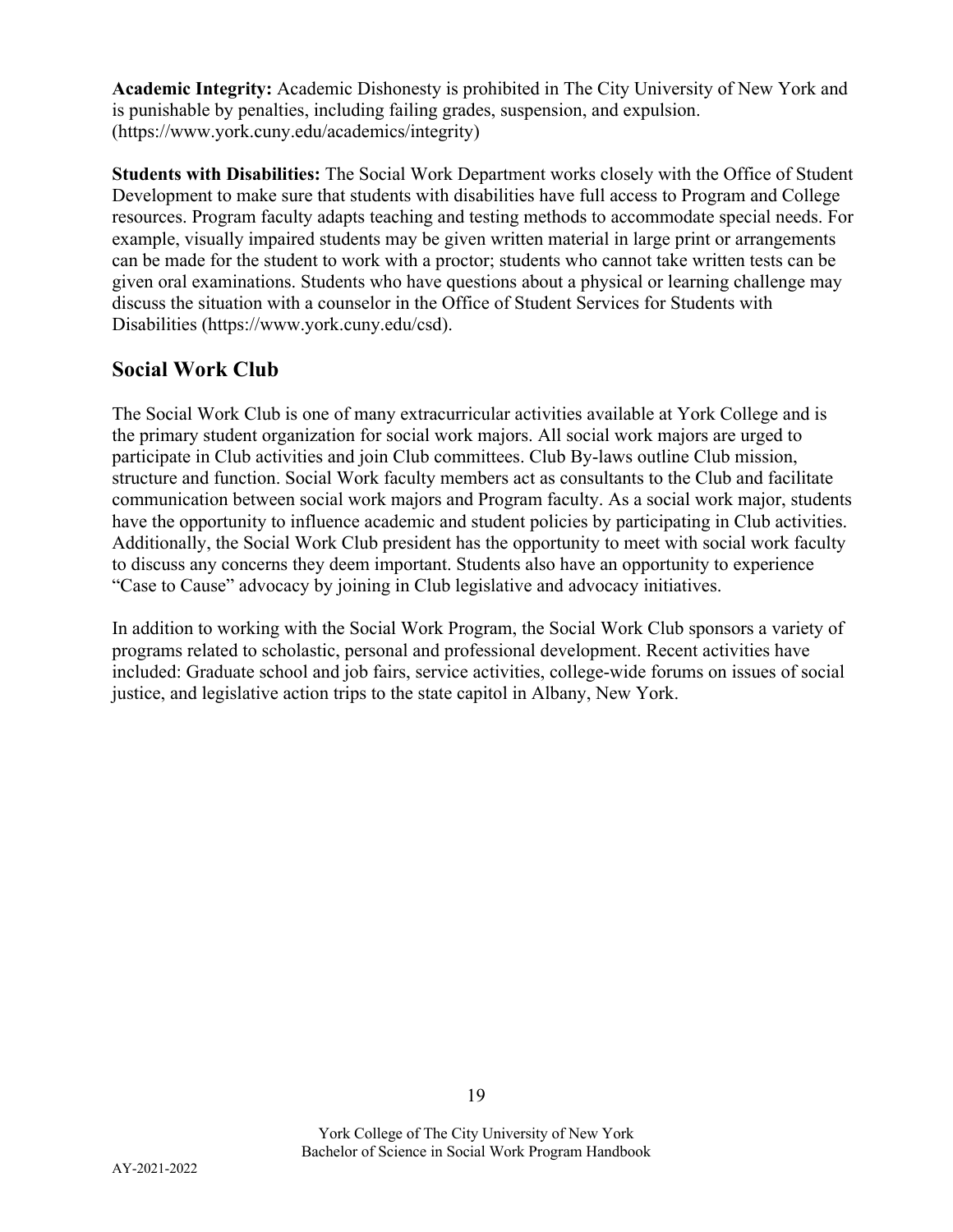**Academic Integrity:** Academic Dishonesty is prohibited in The City University of New York and is punishable by penalties, including failing grades, suspension, and expulsion. (https://www.york.cuny.edu/academics/integrity)

**Students with Disabilities:** The Social Work Department works closely with the Office of Student Development to make sure that students with disabilities have full access to Program and College resources. Program faculty adapts teaching and testing methods to accommodate special needs. For example, visually impaired students may be given written material in large print or arrangements can be made for the student to work with a proctor; students who cannot take written tests can be given oral examinations. Students who have questions about a physical or learning challenge may discuss the situation with a counselor in the Office of Student Services for Students with Disabilities (https://www.york.cuny.edu/csd).

#### **Social Work Club**

The Social Work Club is one of many extracurricular activities available at York College and is the primary student organization for social work majors. All social work majors are urged to participate in Club activities and join Club committees. Club By-laws outline Club mission, structure and function. Social Work faculty members act as consultants to the Club and facilitate communication between social work majors and Program faculty. As a social work major, students have the opportunity to influence academic and student policies by participating in Club activities. Additionally, the Social Work Club president has the opportunity to meet with social work faculty to discuss any concerns they deem important. Students also have an opportunity to experience "Case to Cause" advocacy by joining in Club legislative and advocacy initiatives.

In addition to working with the Social Work Program, the Social Work Club sponsors a variety of programs related to scholastic, personal and professional development. Recent activities have included: Graduate school and job fairs, service activities, college-wide forums on issues of social justice, and legislative action trips to the state capitol in Albany, New York.

19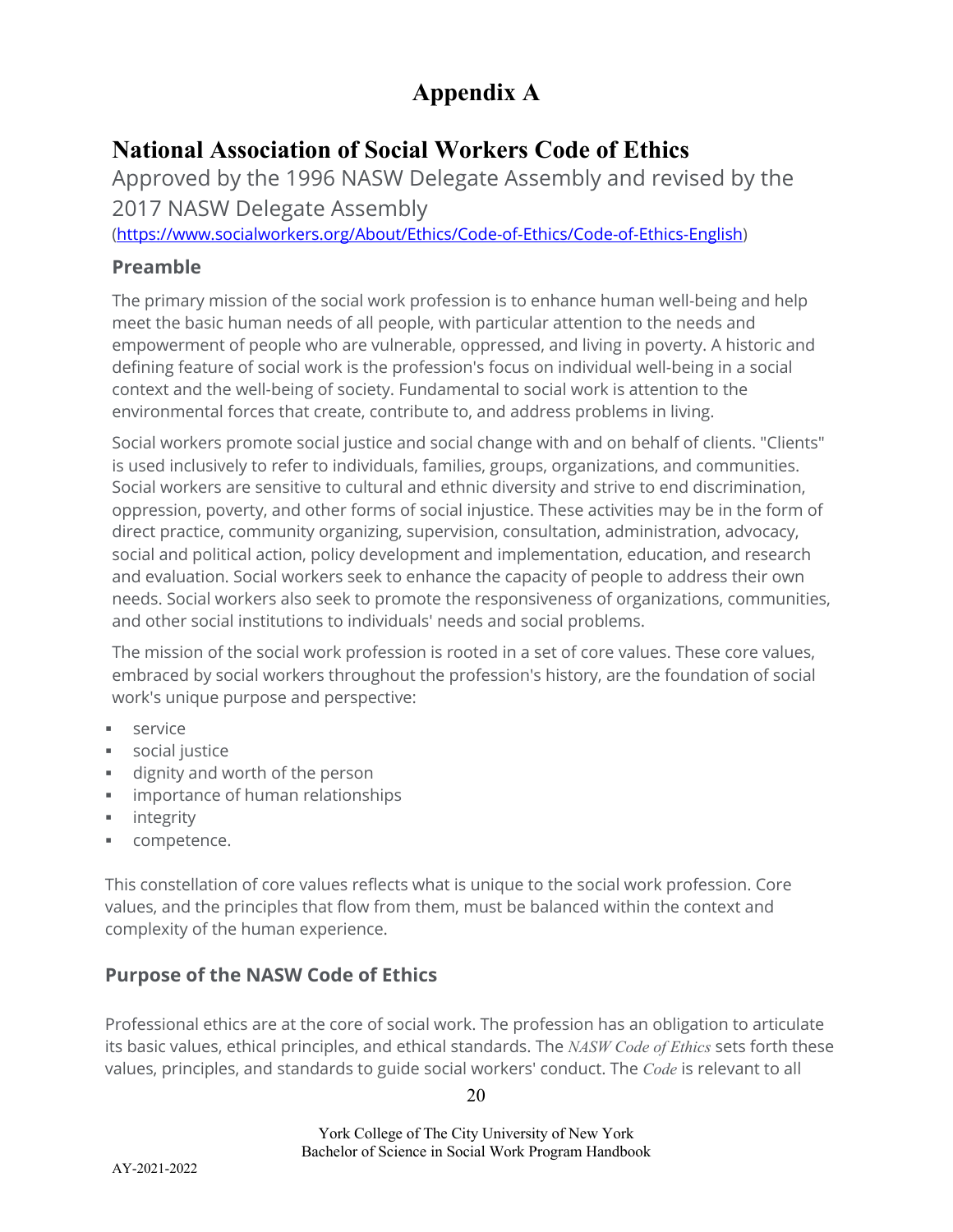# **Appendix A**

# **National Association of Social Workers Code of Ethics**

Approved by the 1996 NASW Delegate Assembly and revised by the 2017 NASW Delegate Assembly

(https://www.socialworkers.org/About/Ethics/Code-of-Ethics/Code-of-Ethics-English)

#### **Preamble**

The primary mission of the social work profession is to enhance human well-being and help meet the basic human needs of all people, with particular attention to the needs and empowerment of people who are vulnerable, oppressed, and living in poverty. A historic and defining feature of social work is the profession's focus on individual well-being in a social context and the well-being of society. Fundamental to social work is attention to the environmental forces that create, contribute to, and address problems in living.

Social workers promote social justice and social change with and on behalf of clients. "Clients" is used inclusively to refer to individuals, families, groups, organizations, and communities. Social workers are sensitive to cultural and ethnic diversity and strive to end discrimination, oppression, poverty, and other forms of social injustice. These activities may be in the form of direct practice, community organizing, supervision, consultation, administration, advocacy, social and political action, policy development and implementation, education, and research and evaluation. Social workers seek to enhance the capacity of people to address their own needs. Social workers also seek to promote the responsiveness of organizations, communities, and other social institutions to individuals' needs and social problems.

The mission of the social work profession is rooted in a set of core values. These core values, embraced by social workers throughout the profession's history, are the foundation of social work's unique purpose and perspective:

- § service
- social justice
- **•** dignity and worth of the person
- **EXEDENT** importance of human relationships
- § integrity
- competence.

This constellation of core values reflects what is unique to the social work profession. Core values, and the principles that flow from them, must be balanced within the context and complexity of the human experience.

#### **Purpose of the NASW Code of Ethics**

Professional ethics are at the core of social work. The profession has an obligation to articulate its basic values, ethical principles, and ethical standards. The *NASW Code of Ethics* sets forth these values, principles, and standards to guide social workers' conduct. The *Code* is relevant to all

20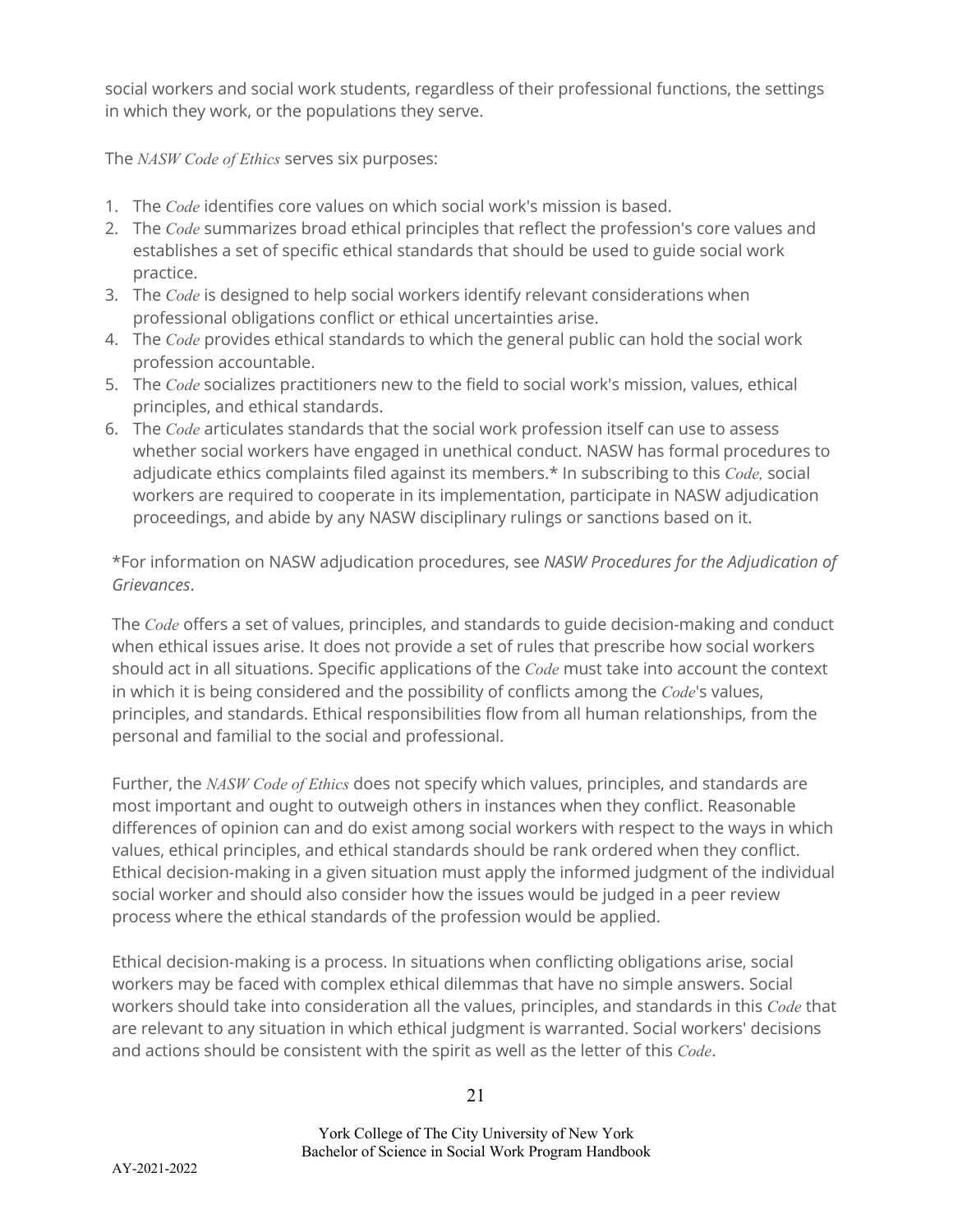social workers and social work students, regardless of their professional functions, the settings in which they work, or the populations they serve.

The *NASW Code of Ethics* serves six purposes:

- 1. The *Code* identifies core values on which social work's mission is based.
- 2. The *Code* summarizes broad ethical principles that reflect the profession's core values and establishes a set of specific ethical standards that should be used to guide social work practice.
- 3. The *Code* is designed to help social workers identify relevant considerations when professional obligations conflict or ethical uncertainties arise.
- 4. The *Code* provides ethical standards to which the general public can hold the social work profession accountable.
- 5. The *Code* socializes practitioners new to the field to social work's mission, values, ethical principles, and ethical standards.
- 6. The *Code* articulates standards that the social work profession itself can use to assess whether social workers have engaged in unethical conduct. NASW has formal procedures to adjudicate ethics complaints filed against its members.\* In subscribing to this *Code,* social workers are required to cooperate in its implementation, participate in NASW adjudication proceedings, and abide by any NASW disciplinary rulings or sanctions based on it.

\*For information on NASW adjudication procedures, see *NASW Procedures for the Adjudication of Grievances*.

The *Code* offers a set of values, principles, and standards to guide decision-making and conduct when ethical issues arise. It does not provide a set of rules that prescribe how social workers should act in all situations. Specific applications of the *Code* must take into account the context in which it is being considered and the possibility of conflicts among the *Code*'s values, principles, and standards. Ethical responsibilities flow from all human relationships, from the personal and familial to the social and professional.

Further, the *NASW Code of Ethics* does not specify which values, principles, and standards are most important and ought to outweigh others in instances when they conflict. Reasonable differences of opinion can and do exist among social workers with respect to the ways in which values, ethical principles, and ethical standards should be rank ordered when they conflict. Ethical decision-making in a given situation must apply the informed judgment of the individual social worker and should also consider how the issues would be judged in a peer review process where the ethical standards of the profession would be applied.

Ethical decision-making is a process. In situations when conflicting obligations arise, social workers may be faced with complex ethical dilemmas that have no simple answers. Social workers should take into consideration all the values, principles, and standards in this *Code* that are relevant to any situation in which ethical judgment is warranted. Social workers' decisions and actions should be consistent with the spirit as well as the letter of this *Code*.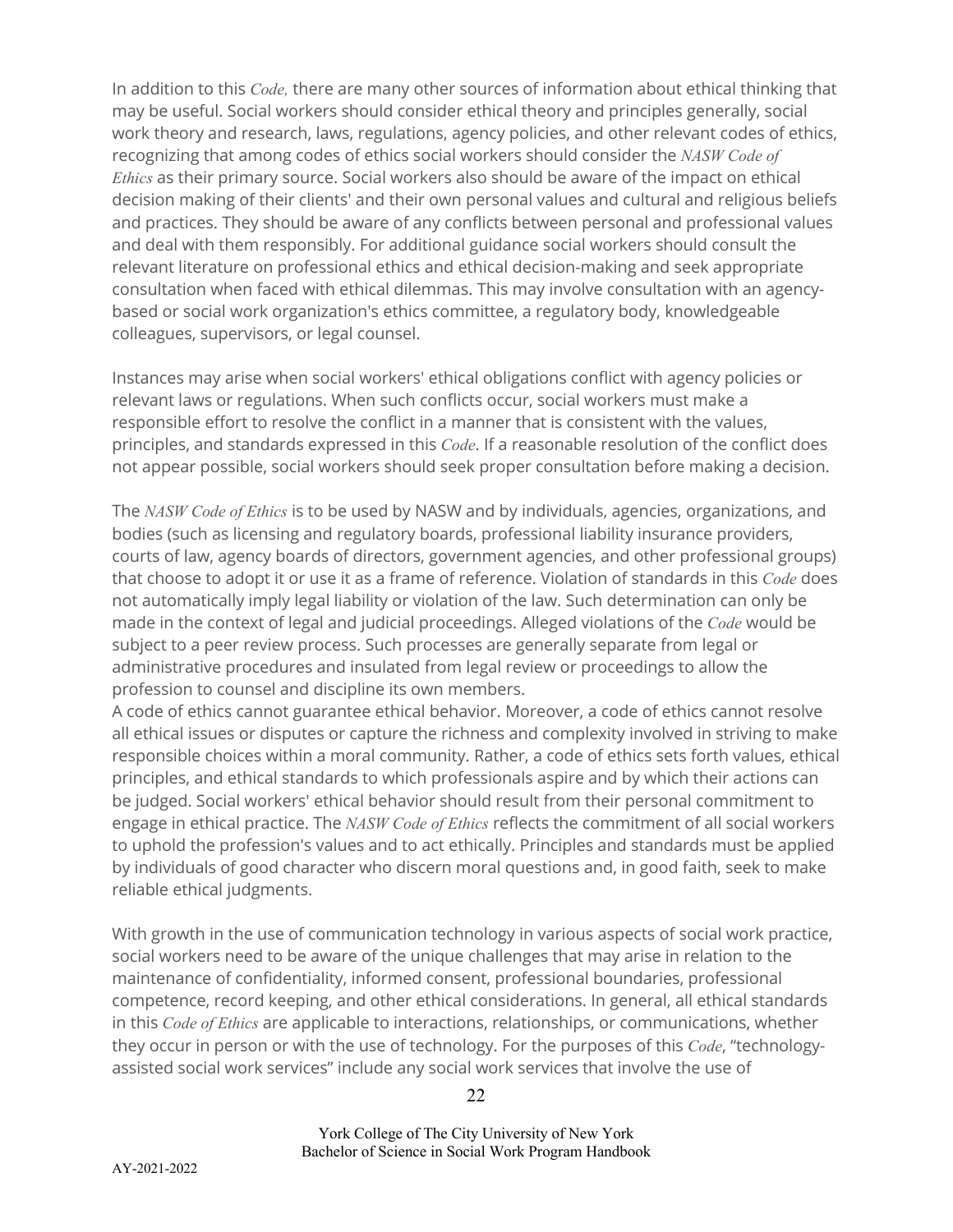In addition to this *Code,* there are many other sources of information about ethical thinking that may be useful. Social workers should consider ethical theory and principles generally, social work theory and research, laws, regulations, agency policies, and other relevant codes of ethics, recognizing that among codes of ethics social workers should consider the *NASW Code of Ethics* as their primary source. Social workers also should be aware of the impact on ethical decision making of their clients' and their own personal values and cultural and religious beliefs and practices. They should be aware of any conflicts between personal and professional values and deal with them responsibly. For additional guidance social workers should consult the relevant literature on professional ethics and ethical decision-making and seek appropriate consultation when faced with ethical dilemmas. This may involve consultation with an agencybased or social work organization's ethics committee, a regulatory body, knowledgeable colleagues, supervisors, or legal counsel.

Instances may arise when social workers' ethical obligations conflict with agency policies or relevant laws or regulations. When such conflicts occur, social workers must make a responsible effort to resolve the conflict in a manner that is consistent with the values, principles, and standards expressed in this *Code*. If a reasonable resolution of the conflict does not appear possible, social workers should seek proper consultation before making a decision.

The *NASW Code of Ethics* is to be used by NASW and by individuals, agencies, organizations, and bodies (such as licensing and regulatory boards, professional liability insurance providers, courts of law, agency boards of directors, government agencies, and other professional groups) that choose to adopt it or use it as a frame of reference. Violation of standards in this *Code* does not automatically imply legal liability or violation of the law. Such determination can only be made in the context of legal and judicial proceedings. Alleged violations of the *Code* would be subject to a peer review process. Such processes are generally separate from legal or administrative procedures and insulated from legal review or proceedings to allow the profession to counsel and discipline its own members.

A code of ethics cannot guarantee ethical behavior. Moreover, a code of ethics cannot resolve all ethical issues or disputes or capture the richness and complexity involved in striving to make responsible choices within a moral community. Rather, a code of ethics sets forth values, ethical principles, and ethical standards to which professionals aspire and by which their actions can be judged. Social workers' ethical behavior should result from their personal commitment to engage in ethical practice. The *NASW Code of Ethics* reflects the commitment of all social workers to uphold the profession's values and to act ethically. Principles and standards must be applied by individuals of good character who discern moral questions and, in good faith, seek to make reliable ethical judgments.

With growth in the use of communication technology in various aspects of social work practice, social workers need to be aware of the unique challenges that may arise in relation to the maintenance of confidentiality, informed consent, professional boundaries, professional competence, record keeping, and other ethical considerations. In general, all ethical standards in this *Code of Ethics* are applicable to interactions, relationships, or communications, whether they occur in person or with the use of technology. For the purposes of this *Code*, "technologyassisted social work services" include any social work services that involve the use of

22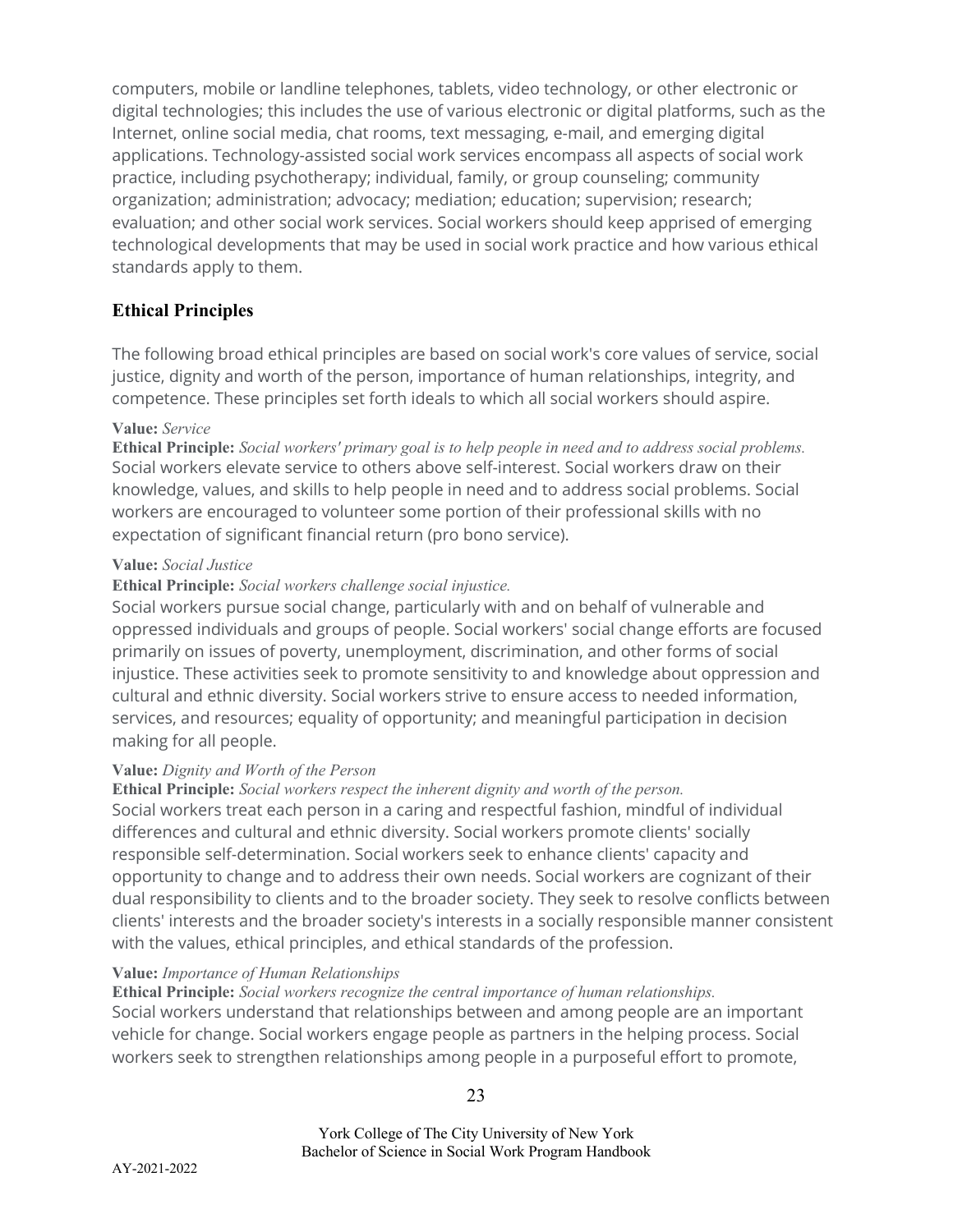computers, mobile or landline telephones, tablets, video technology, or other electronic or digital technologies; this includes the use of various electronic or digital platforms, such as the Internet, online social media, chat rooms, text messaging, e-mail, and emerging digital applications. Technology-assisted social work services encompass all aspects of social work practice, including psychotherapy; individual, family, or group counseling; community organization; administration; advocacy; mediation; education; supervision; research; evaluation; and other social work services. Social workers should keep apprised of emerging technological developments that may be used in social work practice and how various ethical standards apply to them.

#### **Ethical Principles**

The following broad ethical principles are based on social work's core values of service, social justice, dignity and worth of the person, importance of human relationships, integrity, and competence. These principles set forth ideals to which all social workers should aspire.

#### **Value:** *Service*

**Ethical Principle:** *Social workers' primary goal is to help people in need and to address social problems.* Social workers elevate service to others above self-interest. Social workers draw on their knowledge, values, and skills to help people in need and to address social problems. Social workers are encouraged to volunteer some portion of their professional skills with no expectation of significant financial return (pro bono service).

#### **Value:** *Social Justice*

#### **Ethical Principle:** *Social workers challenge social injustice.*

Social workers pursue social change, particularly with and on behalf of vulnerable and oppressed individuals and groups of people. Social workers' social change efforts are focused primarily on issues of poverty, unemployment, discrimination, and other forms of social injustice. These activities seek to promote sensitivity to and knowledge about oppression and cultural and ethnic diversity. Social workers strive to ensure access to needed information, services, and resources; equality of opportunity; and meaningful participation in decision making for all people.

#### **Value:** *Dignity and Worth of the Person*

**Ethical Principle:** *Social workers respect the inherent dignity and worth of the person.*  Social workers treat each person in a caring and respectful fashion, mindful of individual differences and cultural and ethnic diversity. Social workers promote clients' socially responsible self-determination. Social workers seek to enhance clients' capacity and opportunity to change and to address their own needs. Social workers are cognizant of their dual responsibility to clients and to the broader society. They seek to resolve conflicts between clients' interests and the broader society's interests in a socially responsible manner consistent with the values, ethical principles, and ethical standards of the profession.

#### **Value:** *Importance of Human Relationships*

**Ethical Principle:** *Social workers recognize the central importance of human relationships.* Social workers understand that relationships between and among people are an important vehicle for change. Social workers engage people as partners in the helping process. Social workers seek to strengthen relationships among people in a purposeful effort to promote,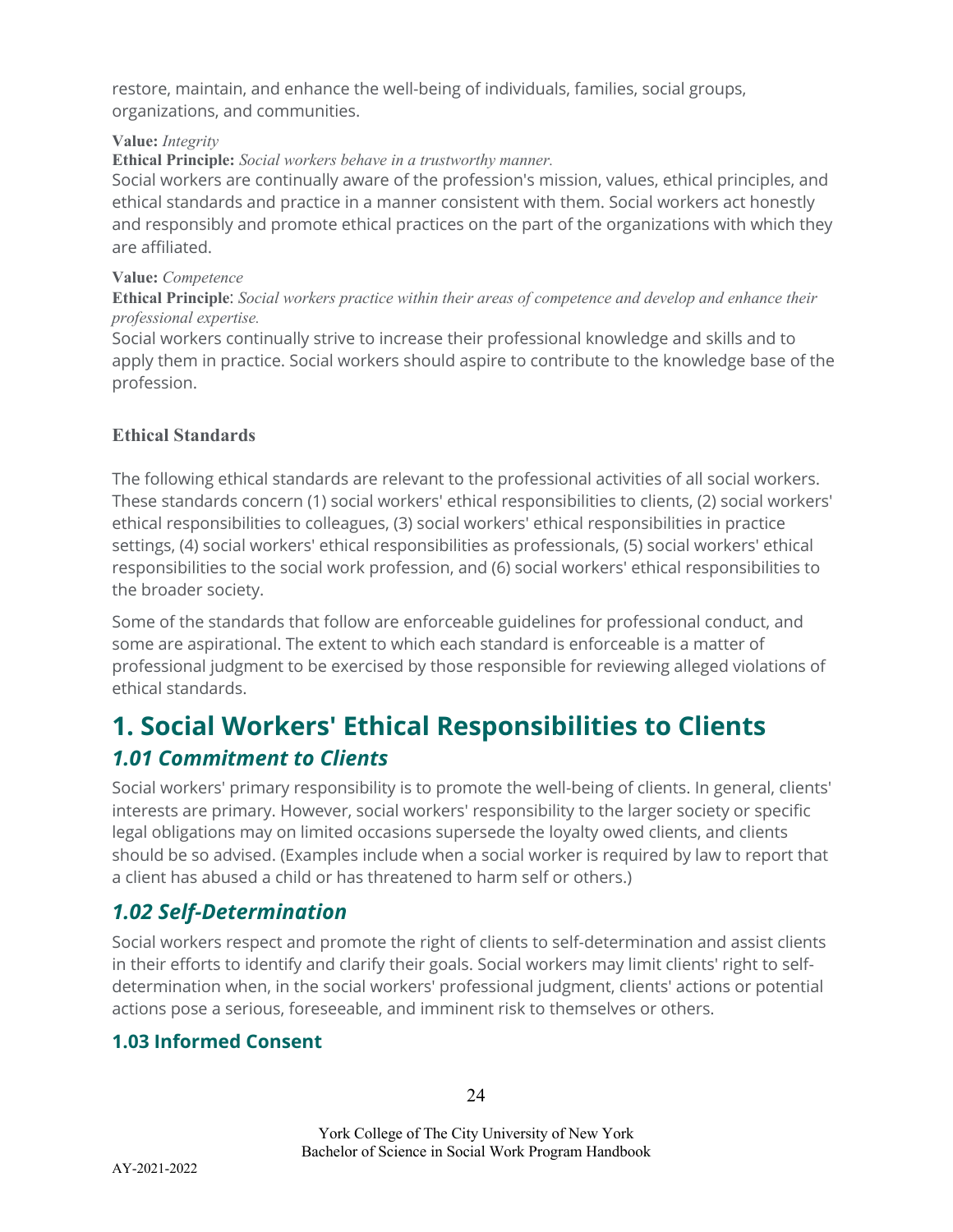restore, maintain, and enhance the well-being of individuals, families, social groups, organizations, and communities.

**Value:** *Integrity*

**Ethical Principle:** *Social workers behave in a trustworthy manner.*

Social workers are continually aware of the profession's mission, values, ethical principles, and ethical standards and practice in a manner consistent with them. Social workers act honestly and responsibly and promote ethical practices on the part of the organizations with which they are affiliated.

#### **Value:** *Competence*

**Ethical Principle**: *Social workers practice within their areas of competence and develop and enhance their professional expertise.*

Social workers continually strive to increase their professional knowledge and skills and to apply them in practice. Social workers should aspire to contribute to the knowledge base of the profession.

#### **Ethical Standards**

The following ethical standards are relevant to the professional activities of all social workers. These standards concern (1) social workers' ethical responsibilities to clients, (2) social workers' ethical responsibilities to colleagues, (3) social workers' ethical responsibilities in practice settings, (4) social workers' ethical responsibilities as professionals, (5) social workers' ethical responsibilities to the social work profession, and (6) social workers' ethical responsibilities to the broader society.

Some of the standards that follow are enforceable guidelines for professional conduct, and some are aspirational. The extent to which each standard is enforceable is a matter of professional judgment to be exercised by those responsible for reviewing alleged violations of ethical standards.

# **1. Social Workers' Ethical Responsibilities to Clients** *1.01 Commitment to Clients*

Social workers' primary responsibility is to promote the well-being of clients. In general, clients' interests are primary. However, social workers' responsibility to the larger society or specific legal obligations may on limited occasions supersede the loyalty owed clients, and clients should be so advised. (Examples include when a social worker is required by law to report that a client has abused a child or has threatened to harm self or others.)

## *1.02 Self-Determination*

Social workers respect and promote the right of clients to self-determination and assist clients in their efforts to identify and clarify their goals. Social workers may limit clients' right to selfdetermination when, in the social workers' professional judgment, clients' actions or potential actions pose a serious, foreseeable, and imminent risk to themselves or others.

## **1.03 Informed Consent**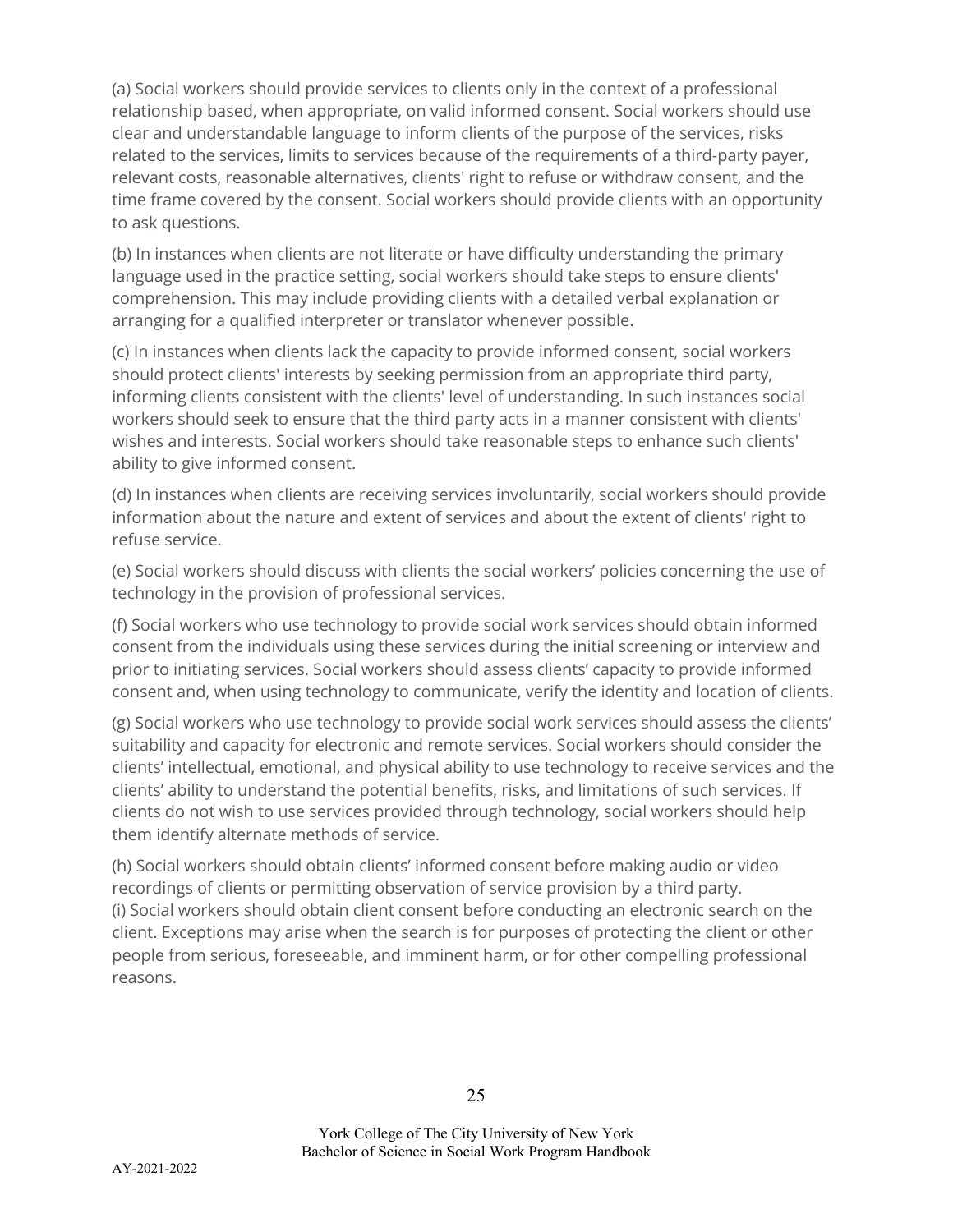(a) Social workers should provide services to clients only in the context of a professional relationship based, when appropriate, on valid informed consent. Social workers should use clear and understandable language to inform clients of the purpose of the services, risks related to the services, limits to services because of the requirements of a third-party payer, relevant costs, reasonable alternatives, clients' right to refuse or withdraw consent, and the time frame covered by the consent. Social workers should provide clients with an opportunity to ask questions.

(b) In instances when clients are not literate or have difficulty understanding the primary language used in the practice setting, social workers should take steps to ensure clients' comprehension. This may include providing clients with a detailed verbal explanation or arranging for a qualified interpreter or translator whenever possible.

(c) In instances when clients lack the capacity to provide informed consent, social workers should protect clients' interests by seeking permission from an appropriate third party, informing clients consistent with the clients' level of understanding. In such instances social workers should seek to ensure that the third party acts in a manner consistent with clients' wishes and interests. Social workers should take reasonable steps to enhance such clients' ability to give informed consent.

(d) In instances when clients are receiving services involuntarily, social workers should provide information about the nature and extent of services and about the extent of clients' right to refuse service.

(e) Social workers should discuss with clients the social workers' policies concerning the use of technology in the provision of professional services.

(f) Social workers who use technology to provide social work services should obtain informed consent from the individuals using these services during the initial screening or interview and prior to initiating services. Social workers should assess clients' capacity to provide informed consent and, when using technology to communicate, verify the identity and location of clients.

(g) Social workers who use technology to provide social work services should assess the clients' suitability and capacity for electronic and remote services. Social workers should consider the clients' intellectual, emotional, and physical ability to use technology to receive services and the clients' ability to understand the potential benefits, risks, and limitations of such services. If clients do not wish to use services provided through technology, social workers should help them identify alternate methods of service.

(h) Social workers should obtain clients' informed consent before making audio or video recordings of clients or permitting observation of service provision by a third party. (i) Social workers should obtain client consent before conducting an electronic search on the client. Exceptions may arise when the search is for purposes of protecting the client or other people from serious, foreseeable, and imminent harm, or for other compelling professional reasons.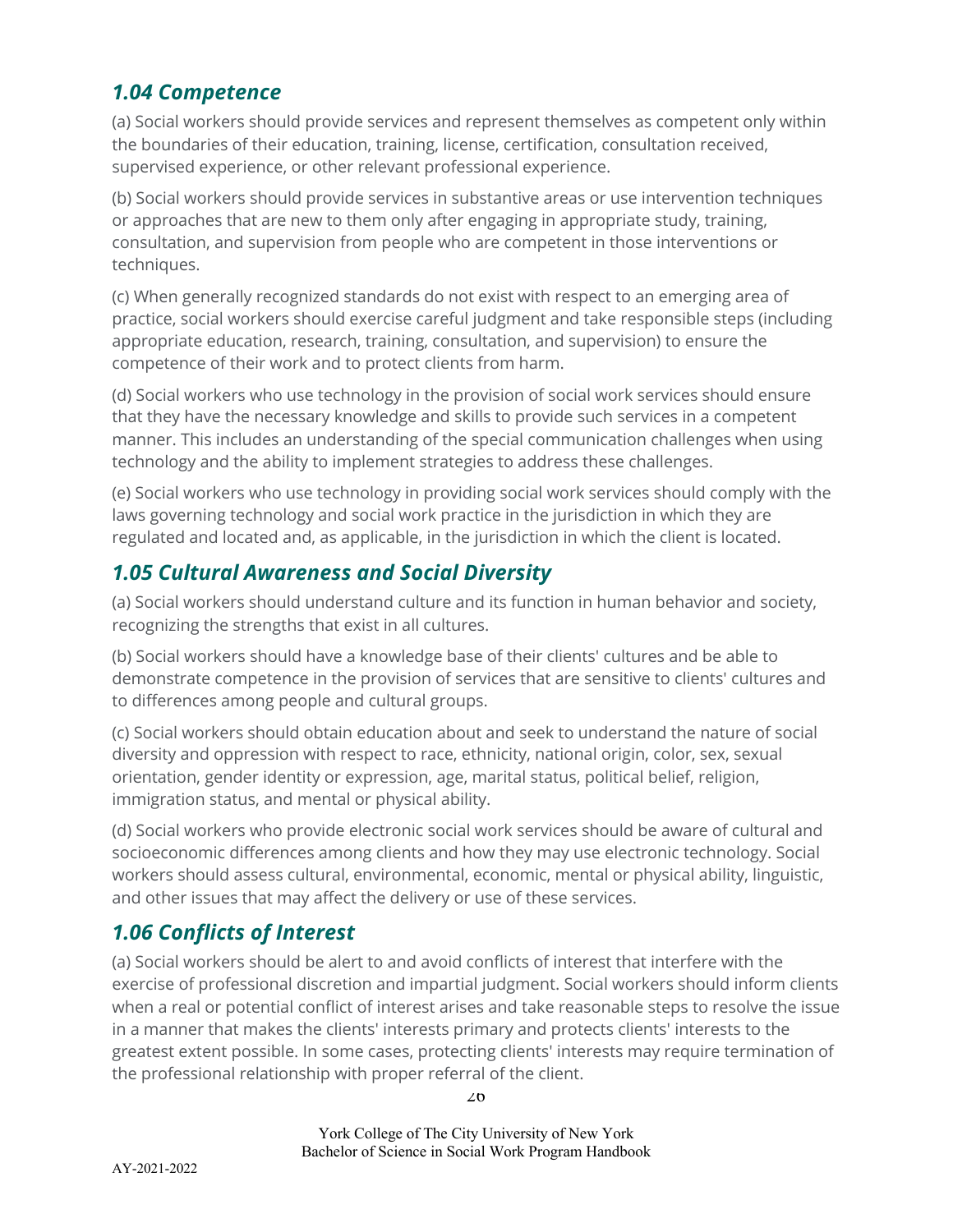## *1.04 Competence*

(a) Social workers should provide services and represent themselves as competent only within the boundaries of their education, training, license, certification, consultation received, supervised experience, or other relevant professional experience.

(b) Social workers should provide services in substantive areas or use intervention techniques or approaches that are new to them only after engaging in appropriate study, training, consultation, and supervision from people who are competent in those interventions or techniques.

(c) When generally recognized standards do not exist with respect to an emerging area of practice, social workers should exercise careful judgment and take responsible steps (including appropriate education, research, training, consultation, and supervision) to ensure the competence of their work and to protect clients from harm.

(d) Social workers who use technology in the provision of social work services should ensure that they have the necessary knowledge and skills to provide such services in a competent manner. This includes an understanding of the special communication challenges when using technology and the ability to implement strategies to address these challenges.

(e) Social workers who use technology in providing social work services should comply with the laws governing technology and social work practice in the jurisdiction in which they are regulated and located and, as applicable, in the jurisdiction in which the client is located.

## *1.05 Cultural Awareness and Social Diversity*

(a) Social workers should understand culture and its function in human behavior and society, recognizing the strengths that exist in all cultures.

(b) Social workers should have a knowledge base of their clients' cultures and be able to demonstrate competence in the provision of services that are sensitive to clients' cultures and to differences among people and cultural groups.

(c) Social workers should obtain education about and seek to understand the nature of social diversity and oppression with respect to race, ethnicity, national origin, color, sex, sexual orientation, gender identity or expression, age, marital status, political belief, religion, immigration status, and mental or physical ability.

(d) Social workers who provide electronic social work services should be aware of cultural and socioeconomic differences among clients and how they may use electronic technology. Social workers should assess cultural, environmental, economic, mental or physical ability, linguistic, and other issues that may affect the delivery or use of these services.

# *1.06 Conflicts of Interest*

(a) Social workers should be alert to and avoid conflicts of interest that interfere with the exercise of professional discretion and impartial judgment. Social workers should inform clients when a real or potential conflict of interest arises and take reasonable steps to resolve the issue in a manner that makes the clients' interests primary and protects clients' interests to the greatest extent possible. In some cases, protecting clients' interests may require termination of the professional relationship with proper referral of the client.

 $20$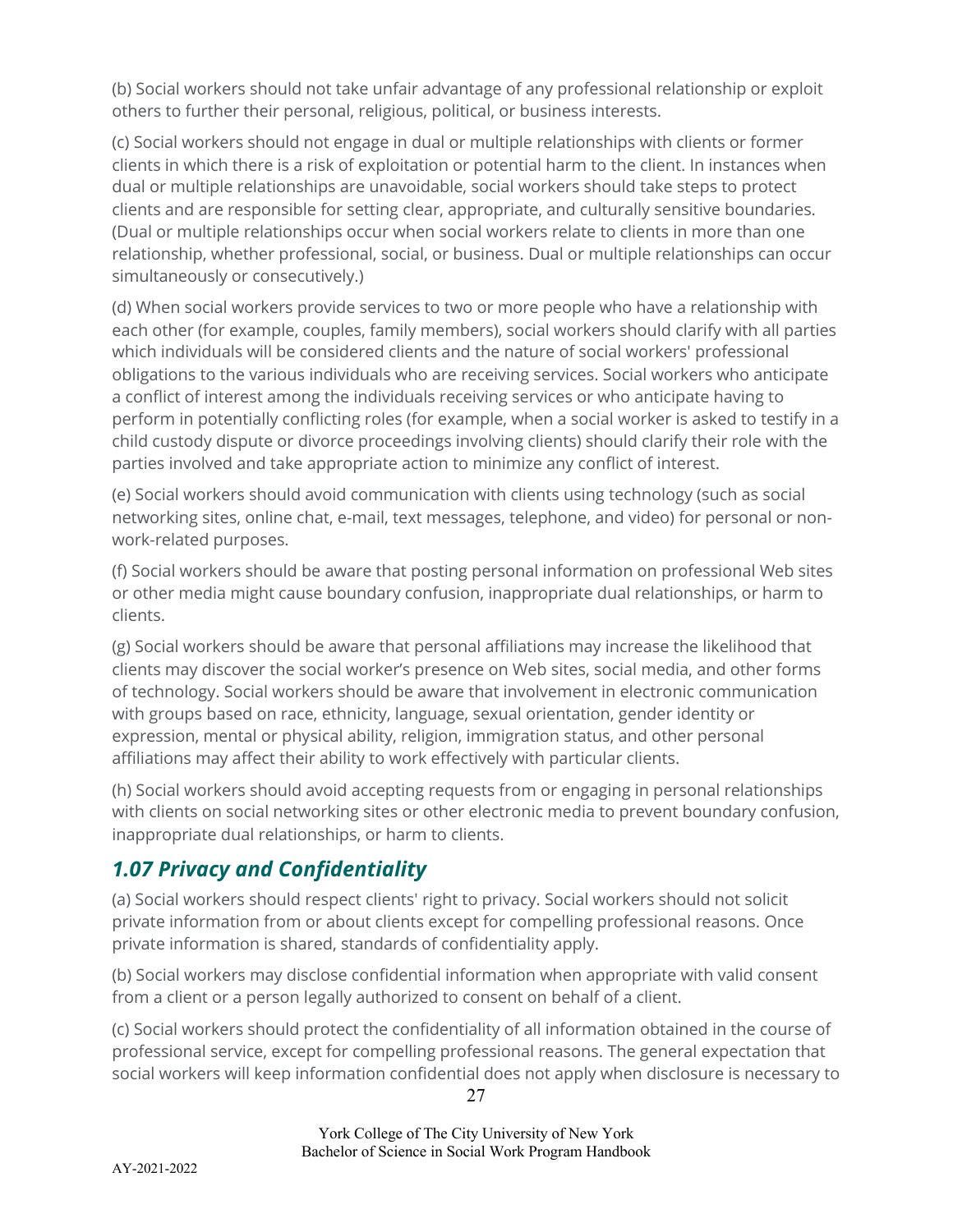(b) Social workers should not take unfair advantage of any professional relationship or exploit others to further their personal, religious, political, or business interests.

(c) Social workers should not engage in dual or multiple relationships with clients or former clients in which there is a risk of exploitation or potential harm to the client. In instances when dual or multiple relationships are unavoidable, social workers should take steps to protect clients and are responsible for setting clear, appropriate, and culturally sensitive boundaries. (Dual or multiple relationships occur when social workers relate to clients in more than one relationship, whether professional, social, or business. Dual or multiple relationships can occur simultaneously or consecutively.)

(d) When social workers provide services to two or more people who have a relationship with each other (for example, couples, family members), social workers should clarify with all parties which individuals will be considered clients and the nature of social workers' professional obligations to the various individuals who are receiving services. Social workers who anticipate a conflict of interest among the individuals receiving services or who anticipate having to perform in potentially conflicting roles (for example, when a social worker is asked to testify in a child custody dispute or divorce proceedings involving clients) should clarify their role with the parties involved and take appropriate action to minimize any conflict of interest.

(e) Social workers should avoid communication with clients using technology (such as social networking sites, online chat, e-mail, text messages, telephone, and video) for personal or nonwork-related purposes.

(f) Social workers should be aware that posting personal information on professional Web sites or other media might cause boundary confusion, inappropriate dual relationships, or harm to clients.

(g) Social workers should be aware that personal affiliations may increase the likelihood that clients may discover the social worker's presence on Web sites, social media, and other forms of technology. Social workers should be aware that involvement in electronic communication with groups based on race, ethnicity, language, sexual orientation, gender identity or expression, mental or physical ability, religion, immigration status, and other personal affiliations may affect their ability to work effectively with particular clients.

(h) Social workers should avoid accepting requests from or engaging in personal relationships with clients on social networking sites or other electronic media to prevent boundary confusion, inappropriate dual relationships, or harm to clients.

## *1.07 Privacy and Confidentiality*

(a) Social workers should respect clients' right to privacy. Social workers should not solicit private information from or about clients except for compelling professional reasons. Once private information is shared, standards of confidentiality apply.

(b) Social workers may disclose confidential information when appropriate with valid consent from a client or a person legally authorized to consent on behalf of a client.

(c) Social workers should protect the confidentiality of all information obtained in the course of professional service, except for compelling professional reasons. The general expectation that social workers will keep information confidential does not apply when disclosure is necessary to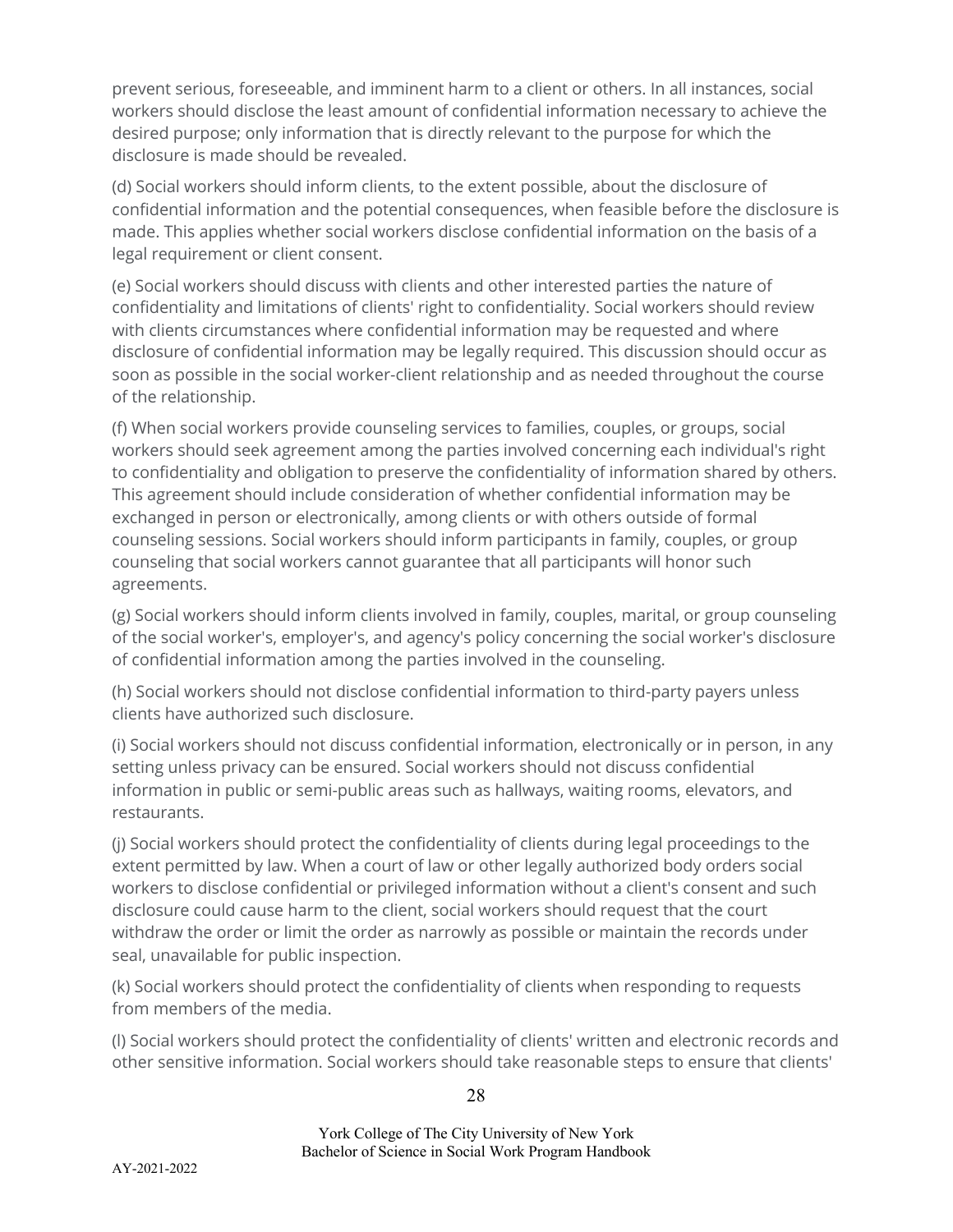prevent serious, foreseeable, and imminent harm to a client or others. In all instances, social workers should disclose the least amount of confidential information necessary to achieve the desired purpose; only information that is directly relevant to the purpose for which the disclosure is made should be revealed.

(d) Social workers should inform clients, to the extent possible, about the disclosure of confidential information and the potential consequences, when feasible before the disclosure is made. This applies whether social workers disclose confidential information on the basis of a legal requirement or client consent.

(e) Social workers should discuss with clients and other interested parties the nature of confidentiality and limitations of clients' right to confidentiality. Social workers should review with clients circumstances where confidential information may be requested and where disclosure of confidential information may be legally required. This discussion should occur as soon as possible in the social worker-client relationship and as needed throughout the course of the relationship.

(f) When social workers provide counseling services to families, couples, or groups, social workers should seek agreement among the parties involved concerning each individual's right to confidentiality and obligation to preserve the confidentiality of information shared by others. This agreement should include consideration of whether confidential information may be exchanged in person or electronically, among clients or with others outside of formal counseling sessions. Social workers should inform participants in family, couples, or group counseling that social workers cannot guarantee that all participants will honor such agreements.

(g) Social workers should inform clients involved in family, couples, marital, or group counseling of the social worker's, employer's, and agency's policy concerning the social worker's disclosure of confidential information among the parties involved in the counseling.

(h) Social workers should not disclose confidential information to third-party payers unless clients have authorized such disclosure.

(i) Social workers should not discuss confidential information, electronically or in person, in any setting unless privacy can be ensured. Social workers should not discuss confidential information in public or semi-public areas such as hallways, waiting rooms, elevators, and restaurants.

(j) Social workers should protect the confidentiality of clients during legal proceedings to the extent permitted by law. When a court of law or other legally authorized body orders social workers to disclose confidential or privileged information without a client's consent and such disclosure could cause harm to the client, social workers should request that the court withdraw the order or limit the order as narrowly as possible or maintain the records under seal, unavailable for public inspection.

(k) Social workers should protect the confidentiality of clients when responding to requests from members of the media.

(l) Social workers should protect the confidentiality of clients' written and electronic records and other sensitive information. Social workers should take reasonable steps to ensure that clients'

28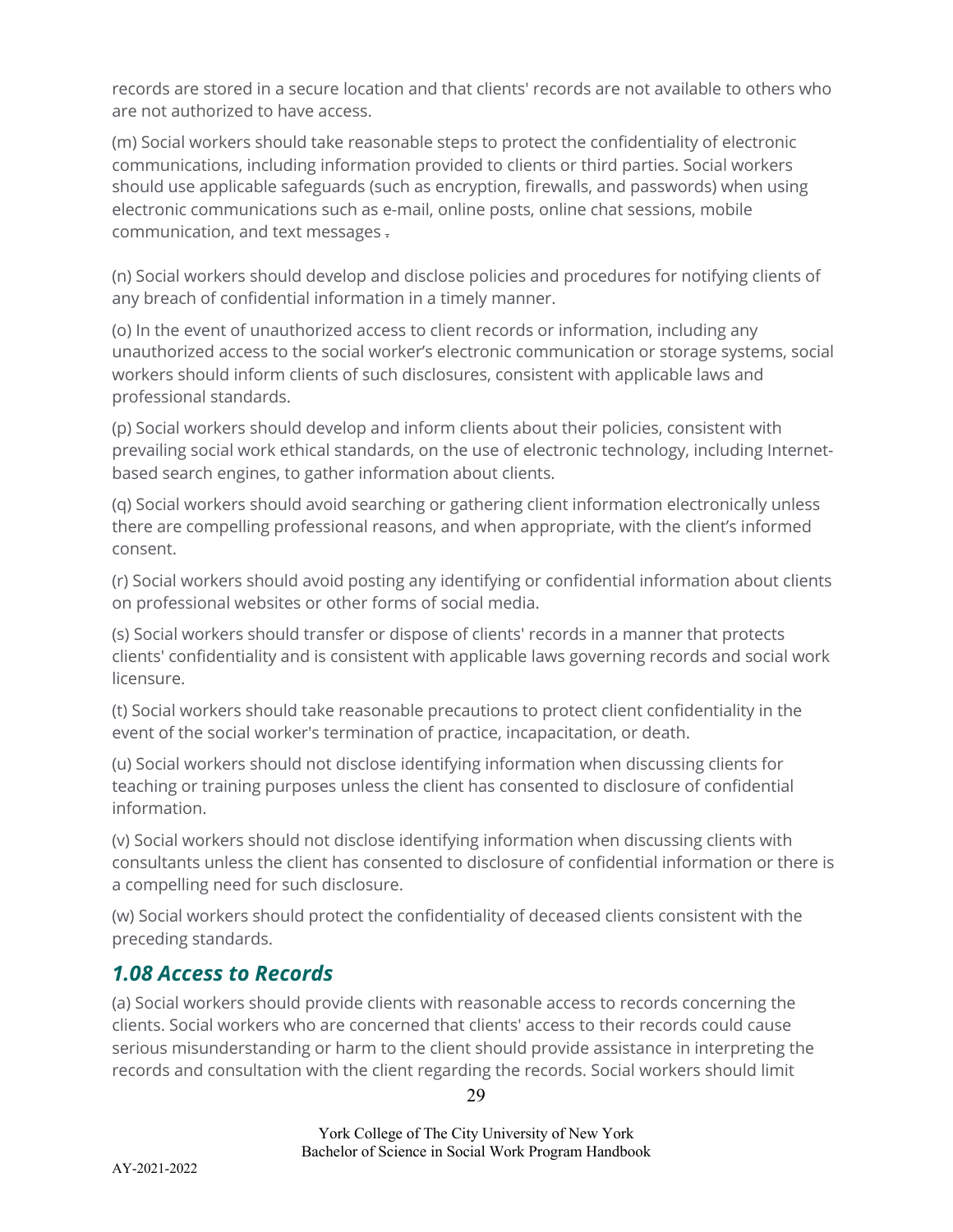records are stored in a secure location and that clients' records are not available to others who are not authorized to have access.

(m) Social workers should take reasonable steps to protect the confidentiality of electronic communications, including information provided to clients or third parties. Social workers should use applicable safeguards (such as encryption, firewalls, and passwords) when using electronic communications such as e-mail, online posts, online chat sessions, mobile communication, and text messages .

(n) Social workers should develop and disclose policies and procedures for notifying clients of any breach of confidential information in a timely manner.

(o) In the event of unauthorized access to client records or information, including any unauthorized access to the social worker's electronic communication or storage systems, social workers should inform clients of such disclosures, consistent with applicable laws and professional standards.

(p) Social workers should develop and inform clients about their policies, consistent with prevailing social work ethical standards, on the use of electronic technology, including Internetbased search engines, to gather information about clients.

(q) Social workers should avoid searching or gathering client information electronically unless there are compelling professional reasons, and when appropriate, with the client's informed consent.

(r) Social workers should avoid posting any identifying or confidential information about clients on professional websites or other forms of social media.

(s) Social workers should transfer or dispose of clients' records in a manner that protects clients' confidentiality and is consistent with applicable laws governing records and social work licensure.

(t) Social workers should take reasonable precautions to protect client confidentiality in the event of the social worker's termination of practice, incapacitation, or death.

(u) Social workers should not disclose identifying information when discussing clients for teaching or training purposes unless the client has consented to disclosure of confidential information.

(v) Social workers should not disclose identifying information when discussing clients with consultants unless the client has consented to disclosure of confidential information or there is a compelling need for such disclosure.

(w) Social workers should protect the confidentiality of deceased clients consistent with the preceding standards.

## *1.08 Access to Records*

(a) Social workers should provide clients with reasonable access to records concerning the clients. Social workers who are concerned that clients' access to their records could cause serious misunderstanding or harm to the client should provide assistance in interpreting the records and consultation with the client regarding the records. Social workers should limit

29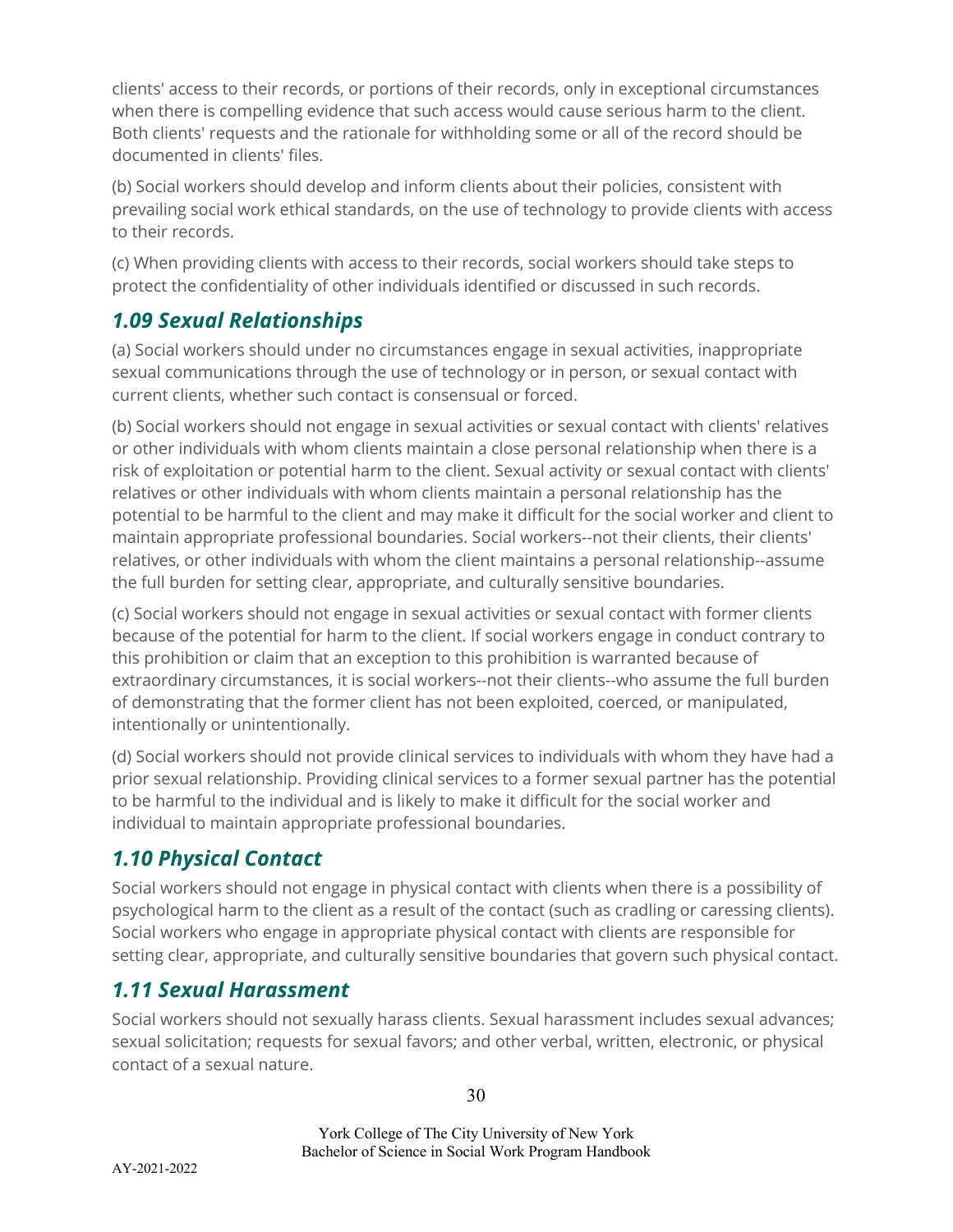clients' access to their records, or portions of their records, only in exceptional circumstances when there is compelling evidence that such access would cause serious harm to the client. Both clients' requests and the rationale for withholding some or all of the record should be documented in clients' files.

(b) Social workers should develop and inform clients about their policies, consistent with prevailing social work ethical standards, on the use of technology to provide clients with access to their records.

(c) When providing clients with access to their records, social workers should take steps to protect the confidentiality of other individuals identified or discussed in such records.

# *1.09 Sexual Relationships*

(a) Social workers should under no circumstances engage in sexual activities, inappropriate sexual communications through the use of technology or in person, or sexual contact with current clients, whether such contact is consensual or forced.

(b) Social workers should not engage in sexual activities or sexual contact with clients' relatives or other individuals with whom clients maintain a close personal relationship when there is a risk of exploitation or potential harm to the client. Sexual activity or sexual contact with clients' relatives or other individuals with whom clients maintain a personal relationship has the potential to be harmful to the client and may make it difficult for the social worker and client to maintain appropriate professional boundaries. Social workers--not their clients, their clients' relatives, or other individuals with whom the client maintains a personal relationship--assume the full burden for setting clear, appropriate, and culturally sensitive boundaries.

(c) Social workers should not engage in sexual activities or sexual contact with former clients because of the potential for harm to the client. If social workers engage in conduct contrary to this prohibition or claim that an exception to this prohibition is warranted because of extraordinary circumstances, it is social workers--not their clients--who assume the full burden of demonstrating that the former client has not been exploited, coerced, or manipulated, intentionally or unintentionally.

(d) Social workers should not provide clinical services to individuals with whom they have had a prior sexual relationship. Providing clinical services to a former sexual partner has the potential to be harmful to the individual and is likely to make it difficult for the social worker and individual to maintain appropriate professional boundaries.

# *1.10 Physical Contact*

Social workers should not engage in physical contact with clients when there is a possibility of psychological harm to the client as a result of the contact (such as cradling or caressing clients). Social workers who engage in appropriate physical contact with clients are responsible for setting clear, appropriate, and culturally sensitive boundaries that govern such physical contact.

# *1.11 Sexual Harassment*

Social workers should not sexually harass clients. Sexual harassment includes sexual advances; sexual solicitation; requests for sexual favors; and other verbal, written, electronic, or physical contact of a sexual nature.

30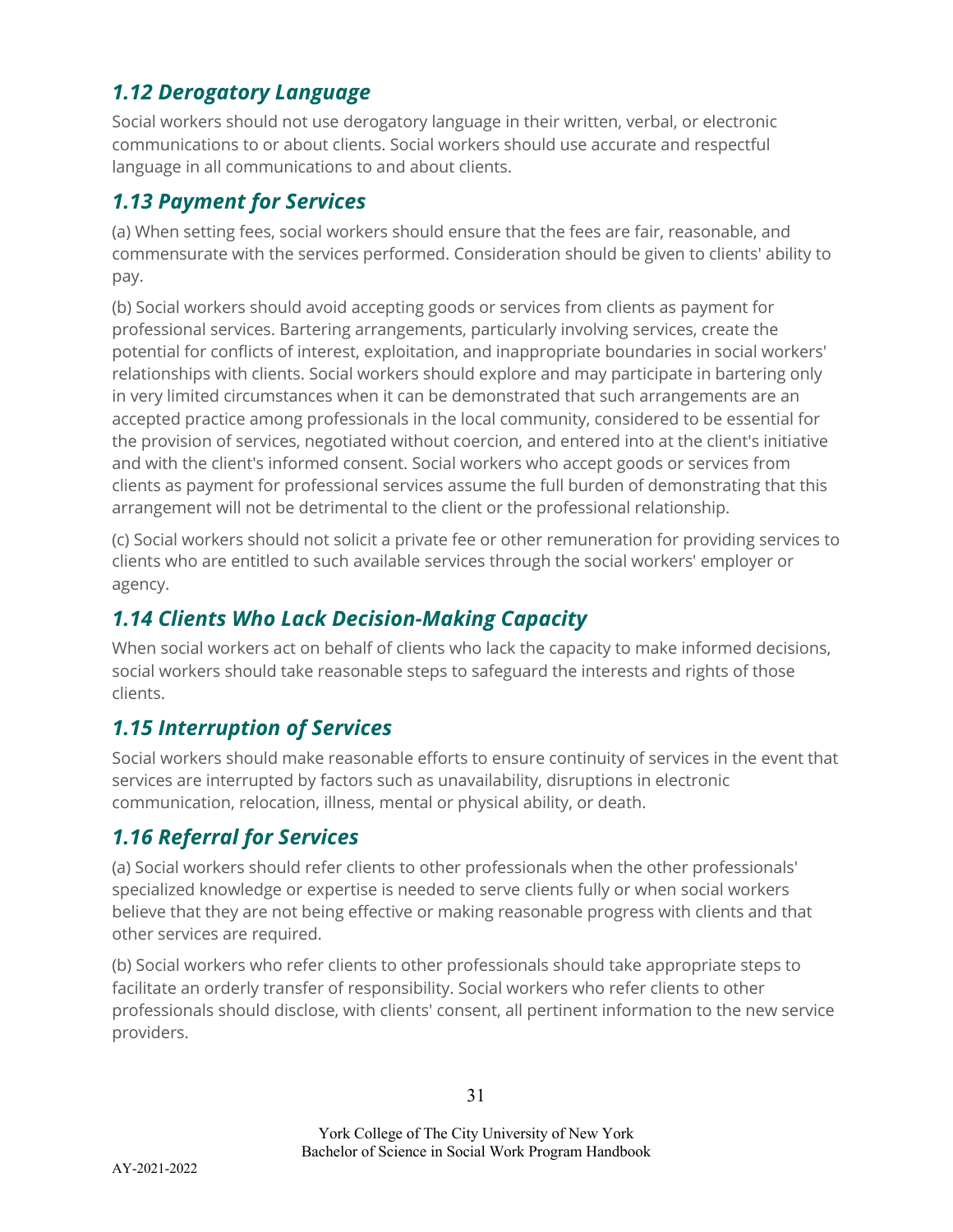## *1.12 Derogatory Language*

Social workers should not use derogatory language in their written, verbal, or electronic communications to or about clients. Social workers should use accurate and respectful language in all communications to and about clients.

### *1.13 Payment for Services*

(a) When setting fees, social workers should ensure that the fees are fair, reasonable, and commensurate with the services performed. Consideration should be given to clients' ability to pay.

(b) Social workers should avoid accepting goods or services from clients as payment for professional services. Bartering arrangements, particularly involving services, create the potential for conflicts of interest, exploitation, and inappropriate boundaries in social workers' relationships with clients. Social workers should explore and may participate in bartering only in very limited circumstances when it can be demonstrated that such arrangements are an accepted practice among professionals in the local community, considered to be essential for the provision of services, negotiated without coercion, and entered into at the client's initiative and with the client's informed consent. Social workers who accept goods or services from clients as payment for professional services assume the full burden of demonstrating that this arrangement will not be detrimental to the client or the professional relationship.

(c) Social workers should not solicit a private fee or other remuneration for providing services to clients who are entitled to such available services through the social workers' employer or agency.

## *1.14 Clients Who Lack Decision-Making Capacity*

When social workers act on behalf of clients who lack the capacity to make informed decisions, social workers should take reasonable steps to safeguard the interests and rights of those clients.

## *1.15 Interruption of Services*

Social workers should make reasonable efforts to ensure continuity of services in the event that services are interrupted by factors such as unavailability, disruptions in electronic communication, relocation, illness, mental or physical ability, or death.

## *1.16 Referral for Services*

(a) Social workers should refer clients to other professionals when the other professionals' specialized knowledge or expertise is needed to serve clients fully or when social workers believe that they are not being effective or making reasonable progress with clients and that other services are required.

(b) Social workers who refer clients to other professionals should take appropriate steps to facilitate an orderly transfer of responsibility. Social workers who refer clients to other professionals should disclose, with clients' consent, all pertinent information to the new service providers.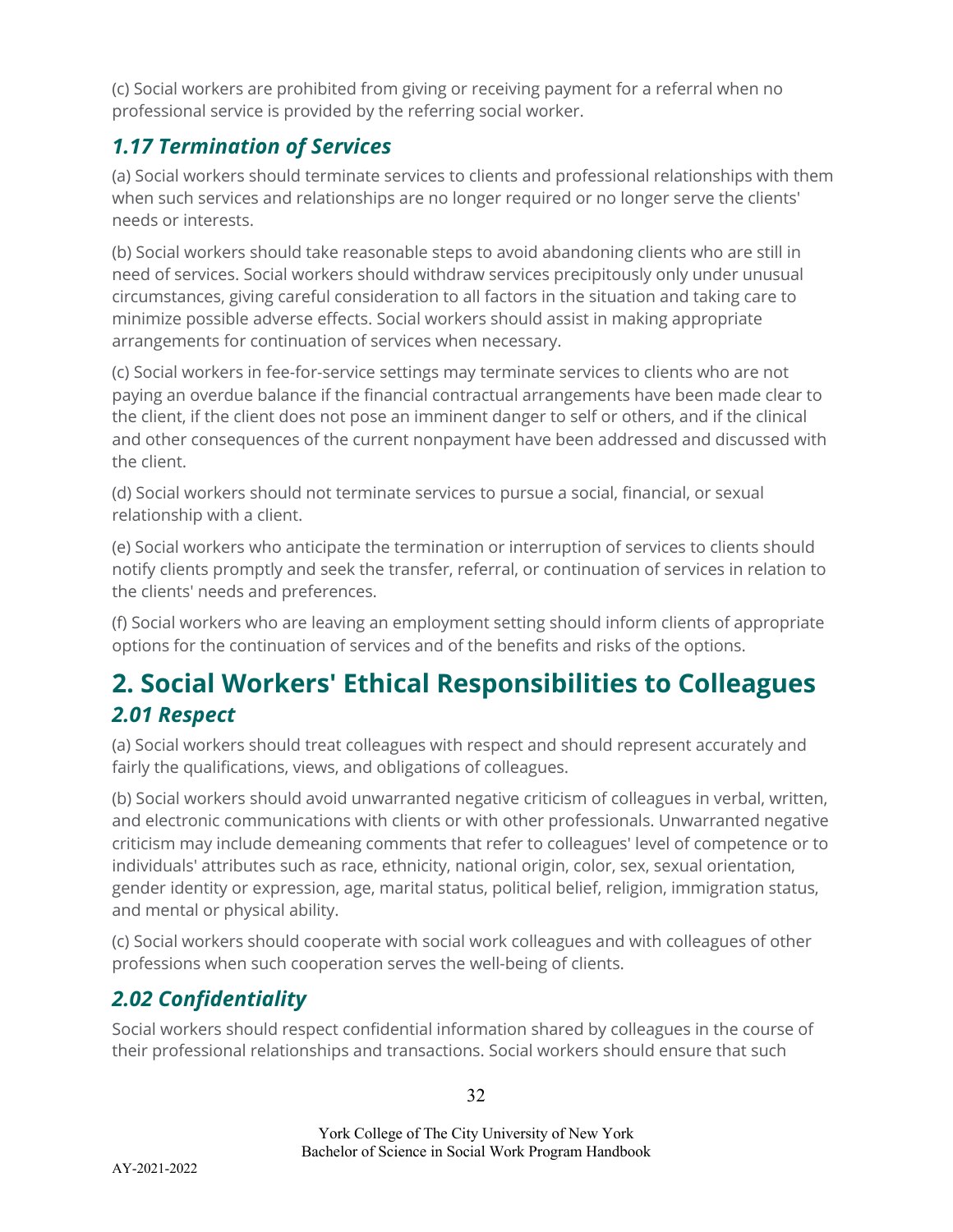(c) Social workers are prohibited from giving or receiving payment for a referral when no professional service is provided by the referring social worker.

# *1.17 Termination of Services*

(a) Social workers should terminate services to clients and professional relationships with them when such services and relationships are no longer required or no longer serve the clients' needs or interests.

(b) Social workers should take reasonable steps to avoid abandoning clients who are still in need of services. Social workers should withdraw services precipitously only under unusual circumstances, giving careful consideration to all factors in the situation and taking care to minimize possible adverse effects. Social workers should assist in making appropriate arrangements for continuation of services when necessary.

(c) Social workers in fee-for-service settings may terminate services to clients who are not paying an overdue balance if the financial contractual arrangements have been made clear to the client, if the client does not pose an imminent danger to self or others, and if the clinical and other consequences of the current nonpayment have been addressed and discussed with the client.

(d) Social workers should not terminate services to pursue a social, financial, or sexual relationship with a client.

(e) Social workers who anticipate the termination or interruption of services to clients should notify clients promptly and seek the transfer, referral, or continuation of services in relation to the clients' needs and preferences.

(f) Social workers who are leaving an employment setting should inform clients of appropriate options for the continuation of services and of the benefits and risks of the options.

# **2. Social Workers' Ethical Responsibilities to Colleagues** *2.01 Respect*

(a) Social workers should treat colleagues with respect and should represent accurately and fairly the qualifications, views, and obligations of colleagues.

(b) Social workers should avoid unwarranted negative criticism of colleagues in verbal, written, and electronic communications with clients or with other professionals. Unwarranted negative criticism may include demeaning comments that refer to colleagues' level of competence or to individuals' attributes such as race, ethnicity, national origin, color, sex, sexual orientation, gender identity or expression, age, marital status, political belief, religion, immigration status, and mental or physical ability.

(c) Social workers should cooperate with social work colleagues and with colleagues of other professions when such cooperation serves the well-being of clients.

# *2.02 Confidentiality*

Social workers should respect confidential information shared by colleagues in the course of their professional relationships and transactions. Social workers should ensure that such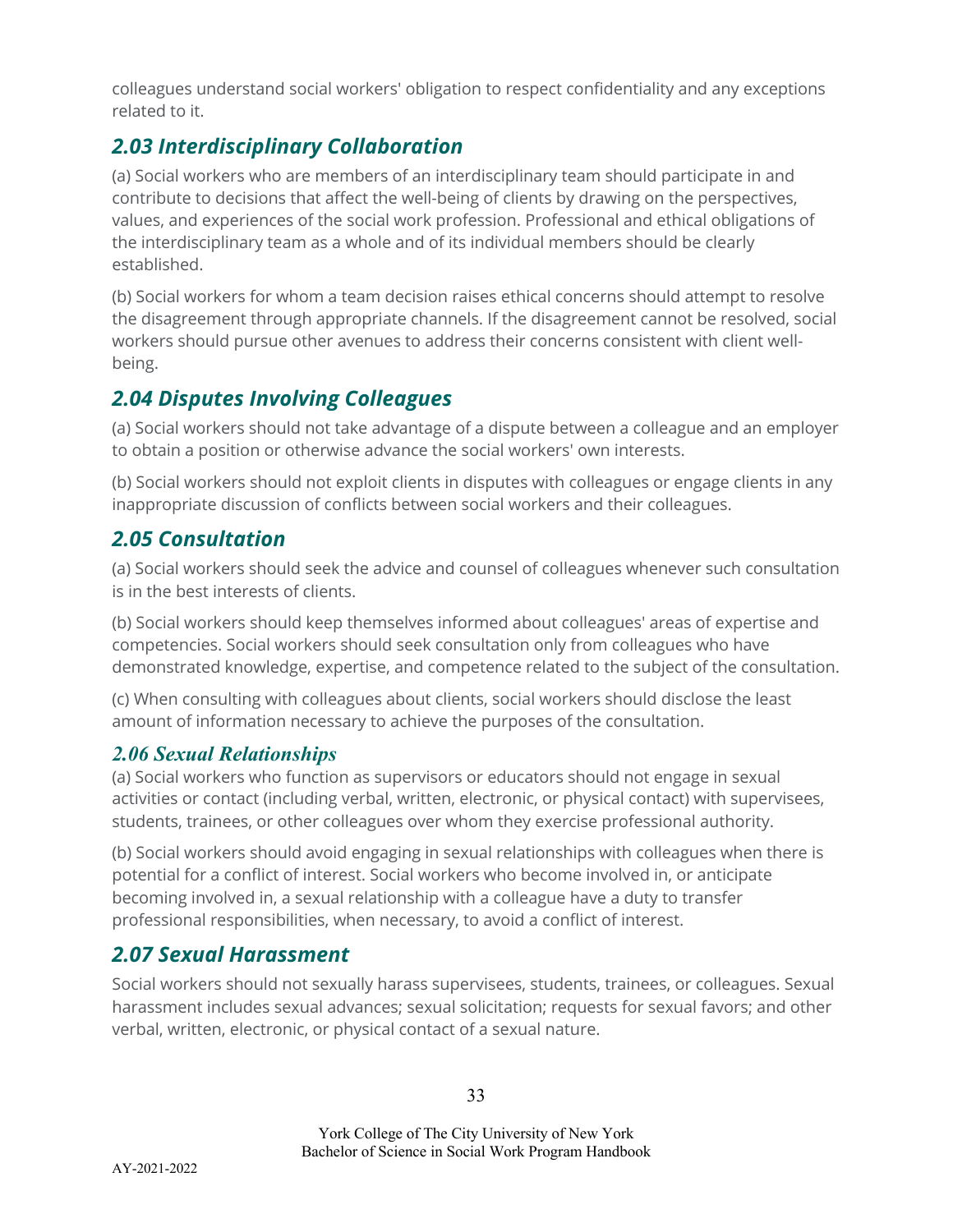colleagues understand social workers' obligation to respect confidentiality and any exceptions related to it.

## *2.03 Interdisciplinary Collaboration*

(a) Social workers who are members of an interdisciplinary team should participate in and contribute to decisions that affect the well-being of clients by drawing on the perspectives, values, and experiences of the social work profession. Professional and ethical obligations of the interdisciplinary team as a whole and of its individual members should be clearly established.

(b) Social workers for whom a team decision raises ethical concerns should attempt to resolve the disagreement through appropriate channels. If the disagreement cannot be resolved, social workers should pursue other avenues to address their concerns consistent with client wellbeing.

## *2.04 Disputes Involving Colleagues*

(a) Social workers should not take advantage of a dispute between a colleague and an employer to obtain a position or otherwise advance the social workers' own interests.

(b) Social workers should not exploit clients in disputes with colleagues or engage clients in any inappropriate discussion of conflicts between social workers and their colleagues.

### *2.05 Consultation*

(a) Social workers should seek the advice and counsel of colleagues whenever such consultation is in the best interests of clients.

(b) Social workers should keep themselves informed about colleagues' areas of expertise and competencies. Social workers should seek consultation only from colleagues who have demonstrated knowledge, expertise, and competence related to the subject of the consultation.

(c) When consulting with colleagues about clients, social workers should disclose the least amount of information necessary to achieve the purposes of the consultation.

#### *2.06 Sexual Relationships*

(a) Social workers who function as supervisors or educators should not engage in sexual activities or contact (including verbal, written, electronic, or physical contact) with supervisees, students, trainees, or other colleagues over whom they exercise professional authority.

(b) Social workers should avoid engaging in sexual relationships with colleagues when there is potential for a conflict of interest. Social workers who become involved in, or anticipate becoming involved in, a sexual relationship with a colleague have a duty to transfer professional responsibilities, when necessary, to avoid a conflict of interest.

## *2.07 Sexual Harassment*

Social workers should not sexually harass supervisees, students, trainees, or colleagues. Sexual harassment includes sexual advances; sexual solicitation; requests for sexual favors; and other verbal, written, electronic, or physical contact of a sexual nature.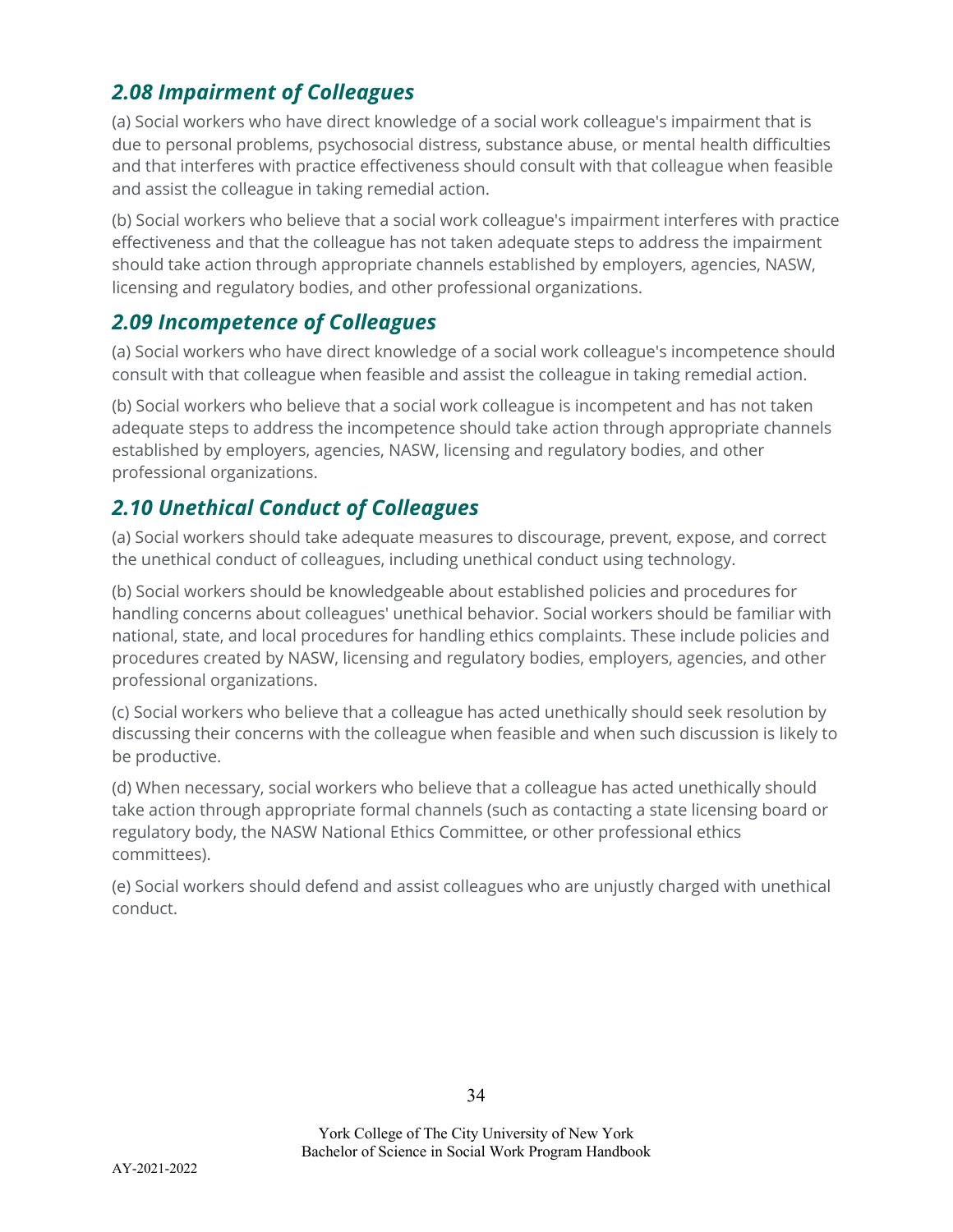## *2.08 Impairment of Colleagues*

(a) Social workers who have direct knowledge of a social work colleague's impairment that is due to personal problems, psychosocial distress, substance abuse, or mental health difficulties and that interferes with practice effectiveness should consult with that colleague when feasible and assist the colleague in taking remedial action.

(b) Social workers who believe that a social work colleague's impairment interferes with practice effectiveness and that the colleague has not taken adequate steps to address the impairment should take action through appropriate channels established by employers, agencies, NASW, licensing and regulatory bodies, and other professional organizations.

## *2.09 Incompetence of Colleagues*

(a) Social workers who have direct knowledge of a social work colleague's incompetence should consult with that colleague when feasible and assist the colleague in taking remedial action.

(b) Social workers who believe that a social work colleague is incompetent and has not taken adequate steps to address the incompetence should take action through appropriate channels established by employers, agencies, NASW, licensing and regulatory bodies, and other professional organizations.

# *2.10 Unethical Conduct of Colleagues*

(a) Social workers should take adequate measures to discourage, prevent, expose, and correct the unethical conduct of colleagues, including unethical conduct using technology.

(b) Social workers should be knowledgeable about established policies and procedures for handling concerns about colleagues' unethical behavior. Social workers should be familiar with national, state, and local procedures for handling ethics complaints. These include policies and procedures created by NASW, licensing and regulatory bodies, employers, agencies, and other professional organizations.

(c) Social workers who believe that a colleague has acted unethically should seek resolution by discussing their concerns with the colleague when feasible and when such discussion is likely to be productive.

(d) When necessary, social workers who believe that a colleague has acted unethically should take action through appropriate formal channels (such as contacting a state licensing board or regulatory body, the NASW National Ethics Committee, or other professional ethics committees).

(e) Social workers should defend and assist colleagues who are unjustly charged with unethical conduct.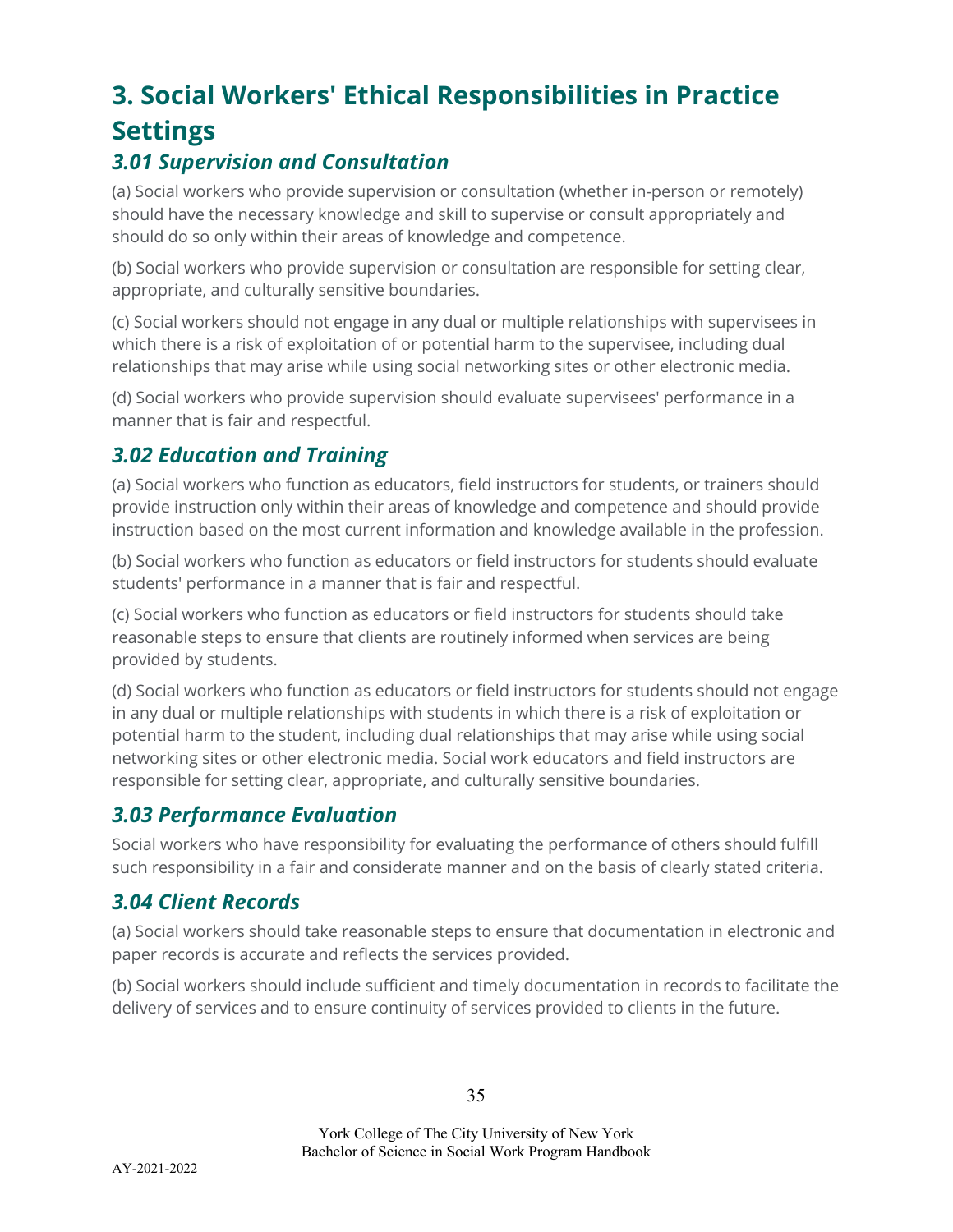# **3. Social Workers' Ethical Responsibilities in Practice Settings**

# *3.01 Supervision and Consultation*

(a) Social workers who provide supervision or consultation (whether in-person or remotely) should have the necessary knowledge and skill to supervise or consult appropriately and should do so only within their areas of knowledge and competence.

(b) Social workers who provide supervision or consultation are responsible for setting clear, appropriate, and culturally sensitive boundaries.

(c) Social workers should not engage in any dual or multiple relationships with supervisees in which there is a risk of exploitation of or potential harm to the supervisee, including dual relationships that may arise while using social networking sites or other electronic media.

(d) Social workers who provide supervision should evaluate supervisees' performance in a manner that is fair and respectful.

# *3.02 Education and Training*

(a) Social workers who function as educators, field instructors for students, or trainers should provide instruction only within their areas of knowledge and competence and should provide instruction based on the most current information and knowledge available in the profession.

(b) Social workers who function as educators or field instructors for students should evaluate students' performance in a manner that is fair and respectful.

(c) Social workers who function as educators or field instructors for students should take reasonable steps to ensure that clients are routinely informed when services are being provided by students.

(d) Social workers who function as educators or field instructors for students should not engage in any dual or multiple relationships with students in which there is a risk of exploitation or potential harm to the student, including dual relationships that may arise while using social networking sites or other electronic media. Social work educators and field instructors are responsible for setting clear, appropriate, and culturally sensitive boundaries.

## *3.03 Performance Evaluation*

Social workers who have responsibility for evaluating the performance of others should fulfill such responsibility in a fair and considerate manner and on the basis of clearly stated criteria.

## *3.04 Client Records*

(a) Social workers should take reasonable steps to ensure that documentation in electronic and paper records is accurate and reflects the services provided.

(b) Social workers should include sufficient and timely documentation in records to facilitate the delivery of services and to ensure continuity of services provided to clients in the future.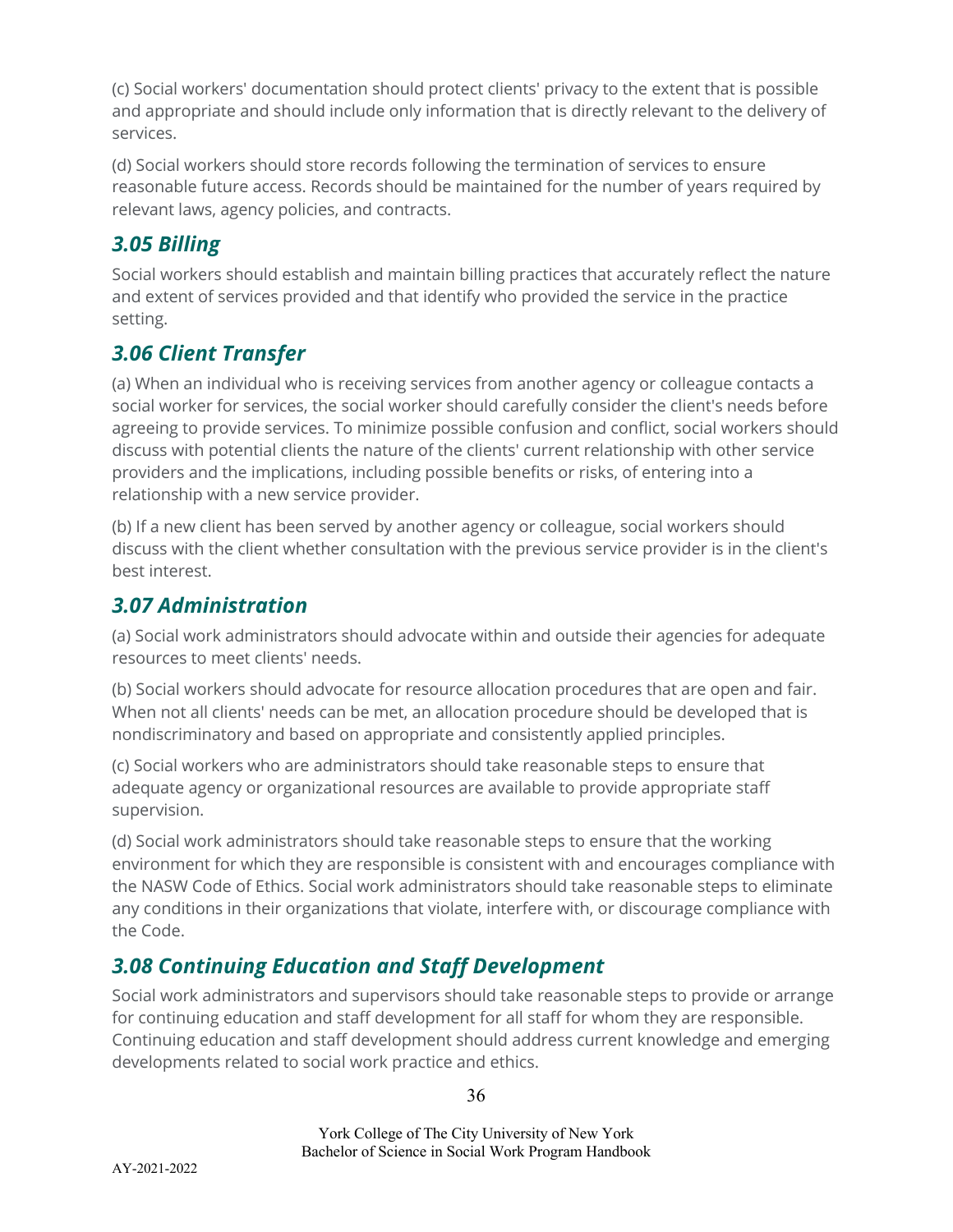(c) Social workers' documentation should protect clients' privacy to the extent that is possible and appropriate and should include only information that is directly relevant to the delivery of services.

(d) Social workers should store records following the termination of services to ensure reasonable future access. Records should be maintained for the number of years required by relevant laws, agency policies, and contracts.

## *3.05 Billing*

Social workers should establish and maintain billing practices that accurately reflect the nature and extent of services provided and that identify who provided the service in the practice setting.

# *3.06 Client Transfer*

(a) When an individual who is receiving services from another agency or colleague contacts a social worker for services, the social worker should carefully consider the client's needs before agreeing to provide services. To minimize possible confusion and conflict, social workers should discuss with potential clients the nature of the clients' current relationship with other service providers and the implications, including possible benefits or risks, of entering into a relationship with a new service provider.

(b) If a new client has been served by another agency or colleague, social workers should discuss with the client whether consultation with the previous service provider is in the client's best interest.

## *3.07 Administration*

(a) Social work administrators should advocate within and outside their agencies for adequate resources to meet clients' needs.

(b) Social workers should advocate for resource allocation procedures that are open and fair. When not all clients' needs can be met, an allocation procedure should be developed that is nondiscriminatory and based on appropriate and consistently applied principles.

(c) Social workers who are administrators should take reasonable steps to ensure that adequate agency or organizational resources are available to provide appropriate staff supervision.

(d) Social work administrators should take reasonable steps to ensure that the working environment for which they are responsible is consistent with and encourages compliance with the NASW Code of Ethics. Social work administrators should take reasonable steps to eliminate any conditions in their organizations that violate, interfere with, or discourage compliance with the Code.

# *3.08 Continuing Education and Staff Development*

Social work administrators and supervisors should take reasonable steps to provide or arrange for continuing education and staff development for all staff for whom they are responsible. Continuing education and staff development should address current knowledge and emerging developments related to social work practice and ethics.

36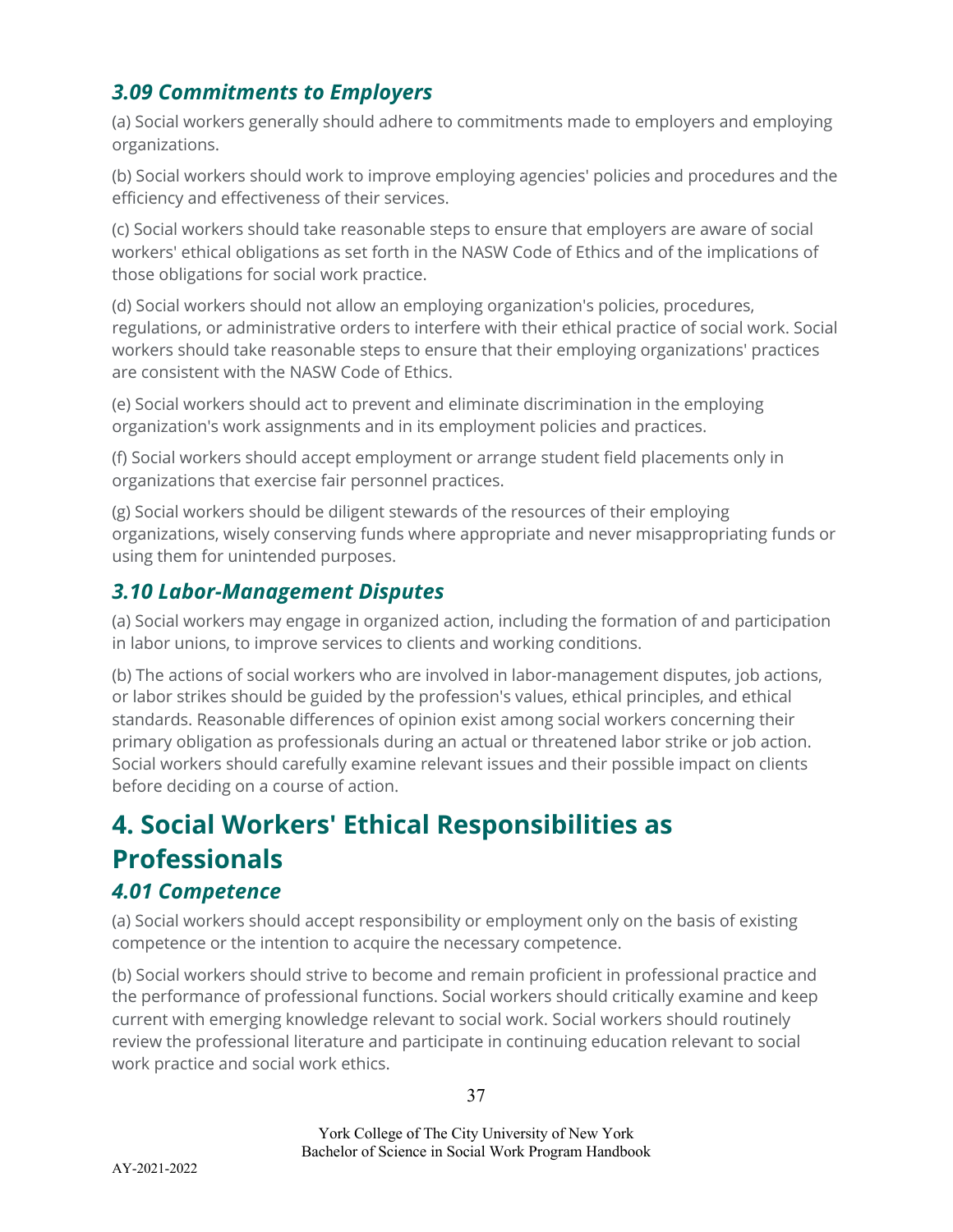## *3.09 Commitments to Employers*

(a) Social workers generally should adhere to commitments made to employers and employing organizations.

(b) Social workers should work to improve employing agencies' policies and procedures and the efficiency and effectiveness of their services.

(c) Social workers should take reasonable steps to ensure that employers are aware of social workers' ethical obligations as set forth in the NASW Code of Ethics and of the implications of those obligations for social work practice.

(d) Social workers should not allow an employing organization's policies, procedures, regulations, or administrative orders to interfere with their ethical practice of social work. Social workers should take reasonable steps to ensure that their employing organizations' practices are consistent with the NASW Code of Ethics.

(e) Social workers should act to prevent and eliminate discrimination in the employing organization's work assignments and in its employment policies and practices.

(f) Social workers should accept employment or arrange student field placements only in organizations that exercise fair personnel practices.

(g) Social workers should be diligent stewards of the resources of their employing organizations, wisely conserving funds where appropriate and never misappropriating funds or using them for unintended purposes.

## *3.10 Labor-Management Disputes*

(a) Social workers may engage in organized action, including the formation of and participation in labor unions, to improve services to clients and working conditions.

(b) The actions of social workers who are involved in labor-management disputes, job actions, or labor strikes should be guided by the profession's values, ethical principles, and ethical standards. Reasonable differences of opinion exist among social workers concerning their primary obligation as professionals during an actual or threatened labor strike or job action. Social workers should carefully examine relevant issues and their possible impact on clients before deciding on a course of action.

# **4. Social Workers' Ethical Responsibilities as Professionals** *4.01 Competence*

(a) Social workers should accept responsibility or employment only on the basis of existing competence or the intention to acquire the necessary competence.

(b) Social workers should strive to become and remain proficient in professional practice and the performance of professional functions. Social workers should critically examine and keep current with emerging knowledge relevant to social work. Social workers should routinely review the professional literature and participate in continuing education relevant to social work practice and social work ethics.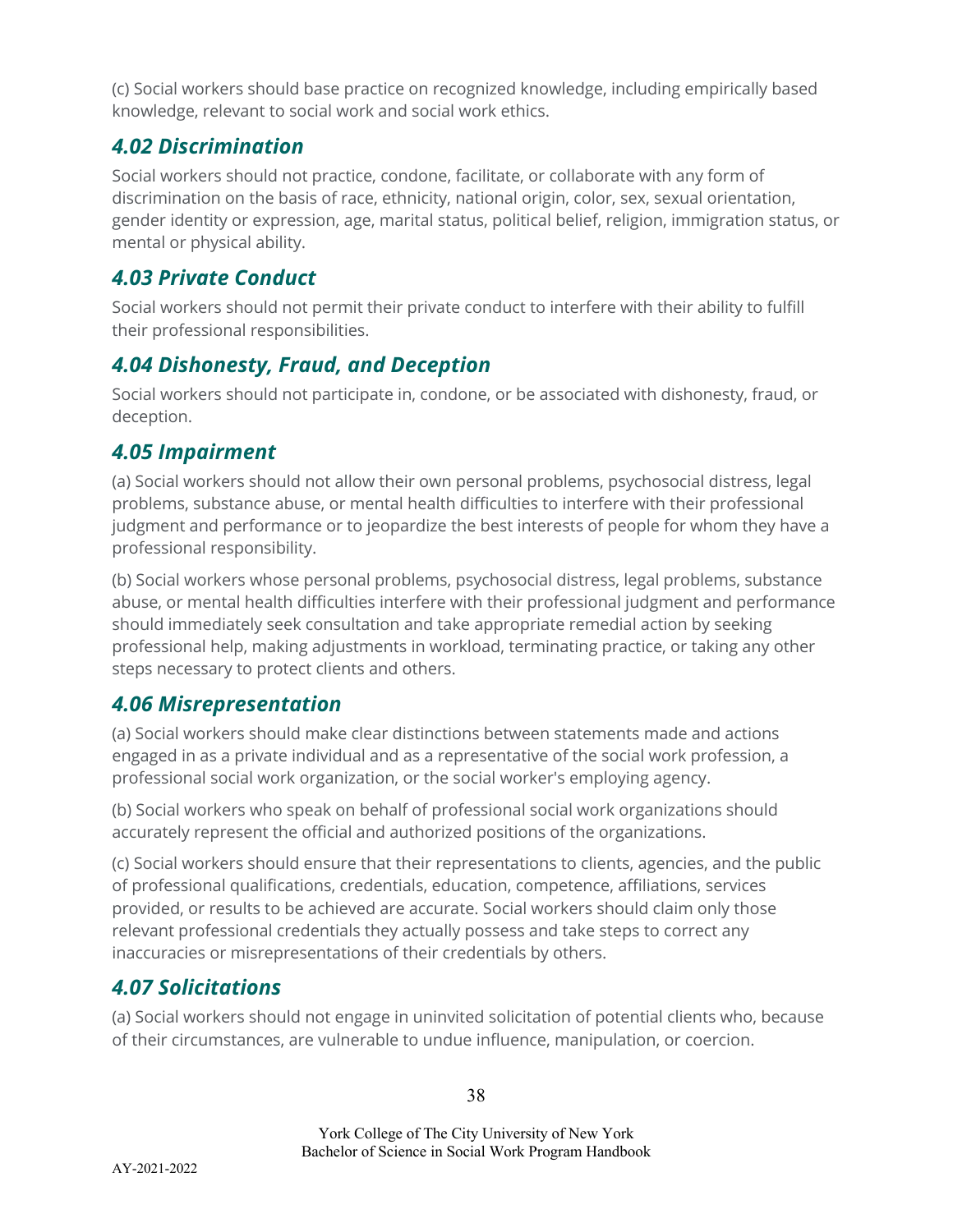(c) Social workers should base practice on recognized knowledge, including empirically based knowledge, relevant to social work and social work ethics.

## *4.02 Discrimination*

Social workers should not practice, condone, facilitate, or collaborate with any form of discrimination on the basis of race, ethnicity, national origin, color, sex, sexual orientation, gender identity or expression, age, marital status, political belief, religion, immigration status, or mental or physical ability.

## *4.03 Private Conduct*

Social workers should not permit their private conduct to interfere with their ability to fulfill their professional responsibilities.

## *4.04 Dishonesty, Fraud, and Deception*

Social workers should not participate in, condone, or be associated with dishonesty, fraud, or deception.

## *4.05 Impairment*

(a) Social workers should not allow their own personal problems, psychosocial distress, legal problems, substance abuse, or mental health difficulties to interfere with their professional judgment and performance or to jeopardize the best interests of people for whom they have a professional responsibility.

(b) Social workers whose personal problems, psychosocial distress, legal problems, substance abuse, or mental health difficulties interfere with their professional judgment and performance should immediately seek consultation and take appropriate remedial action by seeking professional help, making adjustments in workload, terminating practice, or taking any other steps necessary to protect clients and others.

## *4.06 Misrepresentation*

(a) Social workers should make clear distinctions between statements made and actions engaged in as a private individual and as a representative of the social work profession, a professional social work organization, or the social worker's employing agency.

(b) Social workers who speak on behalf of professional social work organizations should accurately represent the official and authorized positions of the organizations.

(c) Social workers should ensure that their representations to clients, agencies, and the public of professional qualifications, credentials, education, competence, affiliations, services provided, or results to be achieved are accurate. Social workers should claim only those relevant professional credentials they actually possess and take steps to correct any inaccuracies or misrepresentations of their credentials by others.

## *4.07 Solicitations*

(a) Social workers should not engage in uninvited solicitation of potential clients who, because of their circumstances, are vulnerable to undue influence, manipulation, or coercion.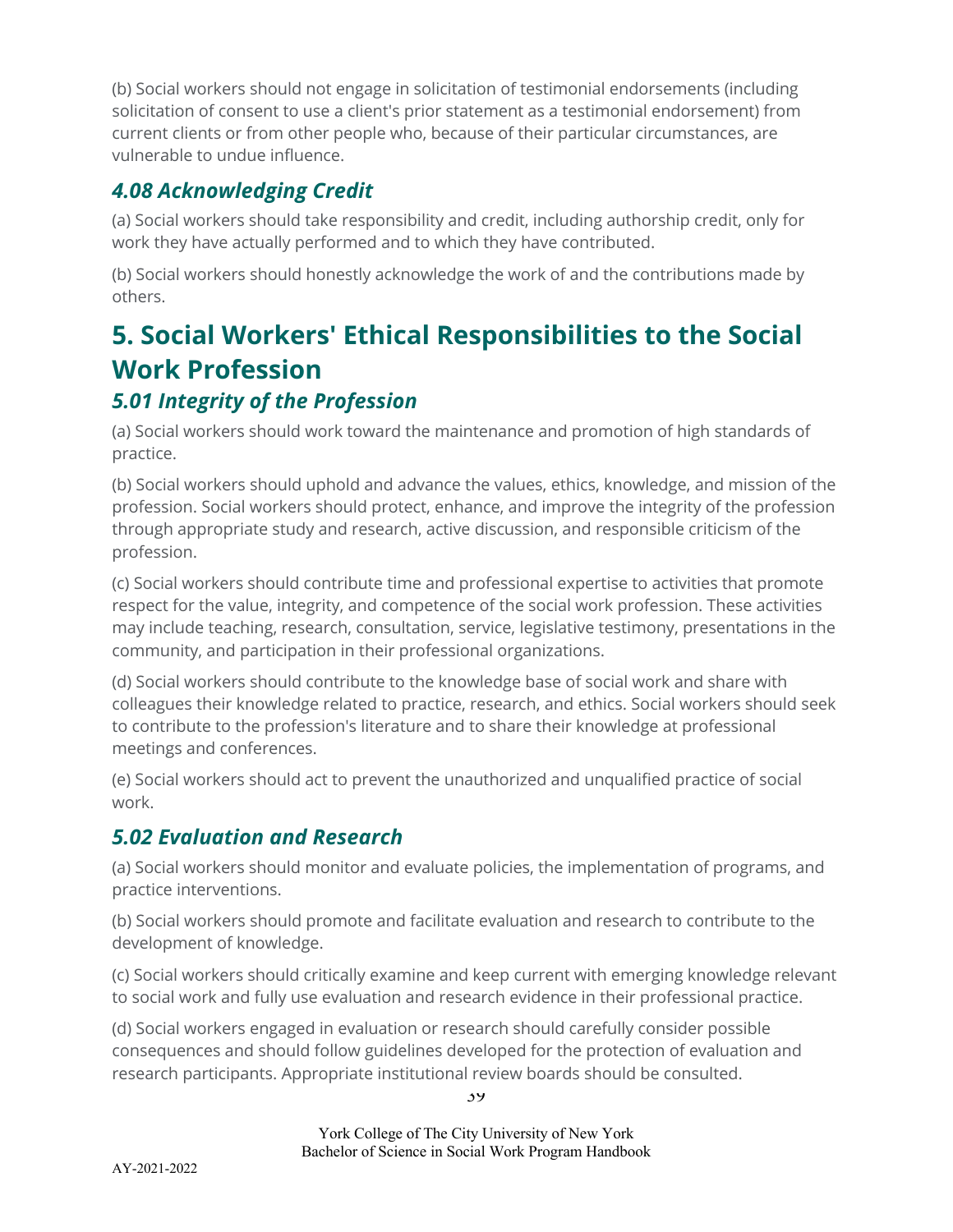(b) Social workers should not engage in solicitation of testimonial endorsements (including solicitation of consent to use a client's prior statement as a testimonial endorsement) from current clients or from other people who, because of their particular circumstances, are vulnerable to undue influence.

# *4.08 Acknowledging Credit*

(a) Social workers should take responsibility and credit, including authorship credit, only for work they have actually performed and to which they have contributed.

(b) Social workers should honestly acknowledge the work of and the contributions made by others.

# **5. Social Workers' Ethical Responsibilities to the Social Work Profession**

# *5.01 Integrity of the Profession*

(a) Social workers should work toward the maintenance and promotion of high standards of practice.

(b) Social workers should uphold and advance the values, ethics, knowledge, and mission of the profession. Social workers should protect, enhance, and improve the integrity of the profession through appropriate study and research, active discussion, and responsible criticism of the profession.

(c) Social workers should contribute time and professional expertise to activities that promote respect for the value, integrity, and competence of the social work profession. These activities may include teaching, research, consultation, service, legislative testimony, presentations in the community, and participation in their professional organizations.

(d) Social workers should contribute to the knowledge base of social work and share with colleagues their knowledge related to practice, research, and ethics. Social workers should seek to contribute to the profession's literature and to share their knowledge at professional meetings and conferences.

(e) Social workers should act to prevent the unauthorized and unqualified practice of social work.

# *5.02 Evaluation and Research*

(a) Social workers should monitor and evaluate policies, the implementation of programs, and practice interventions.

(b) Social workers should promote and facilitate evaluation and research to contribute to the development of knowledge.

(c) Social workers should critically examine and keep current with emerging knowledge relevant to social work and fully use evaluation and research evidence in their professional practice.

(d) Social workers engaged in evaluation or research should carefully consider possible consequences and should follow guidelines developed for the protection of evaluation and research participants. Appropriate institutional review boards should be consulted.

39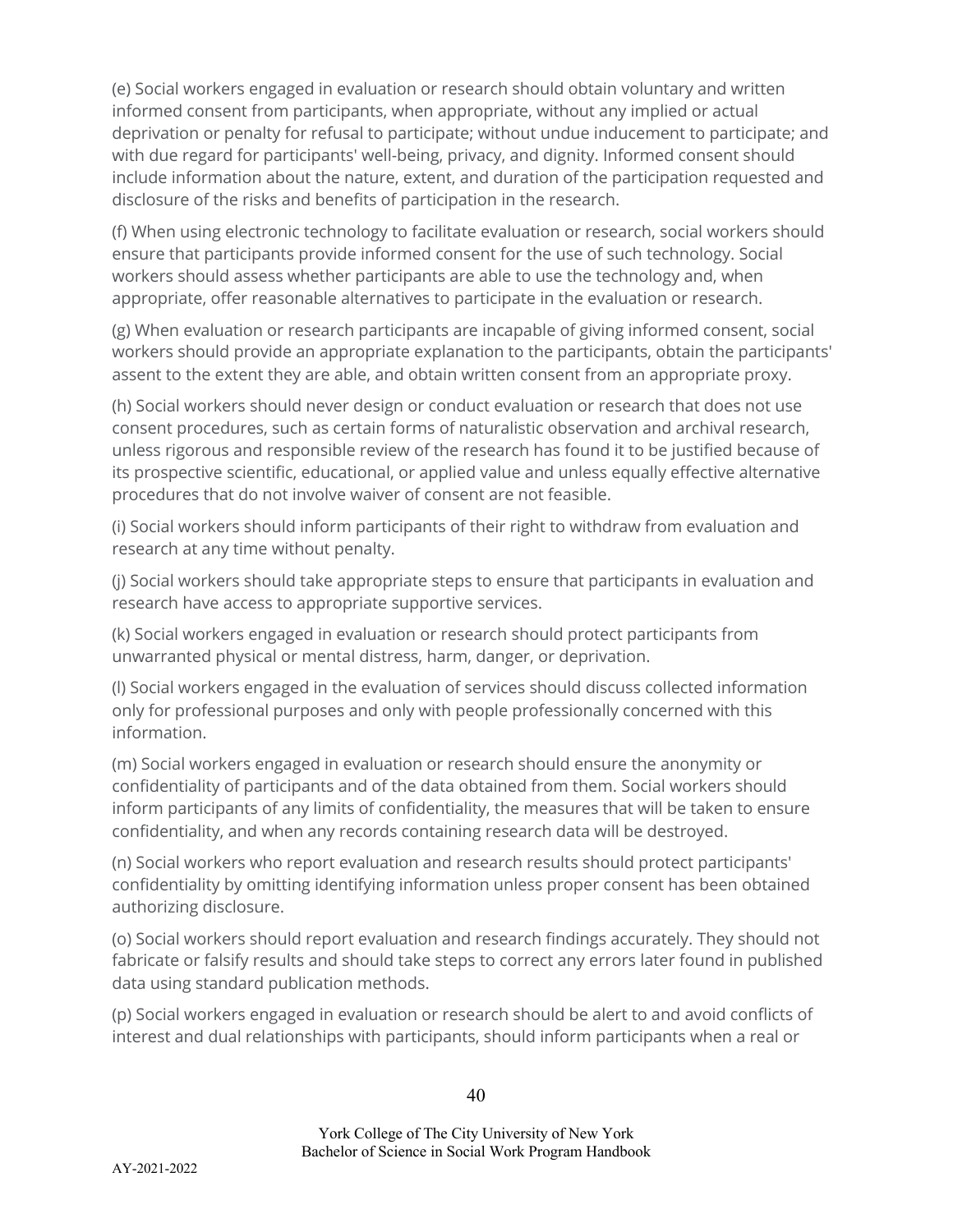(e) Social workers engaged in evaluation or research should obtain voluntary and written informed consent from participants, when appropriate, without any implied or actual deprivation or penalty for refusal to participate; without undue inducement to participate; and with due regard for participants' well-being, privacy, and dignity. Informed consent should include information about the nature, extent, and duration of the participation requested and disclosure of the risks and benefits of participation in the research.

(f) When using electronic technology to facilitate evaluation or research, social workers should ensure that participants provide informed consent for the use of such technology. Social workers should assess whether participants are able to use the technology and, when appropriate, offer reasonable alternatives to participate in the evaluation or research.

(g) When evaluation or research participants are incapable of giving informed consent, social workers should provide an appropriate explanation to the participants, obtain the participants' assent to the extent they are able, and obtain written consent from an appropriate proxy.

(h) Social workers should never design or conduct evaluation or research that does not use consent procedures, such as certain forms of naturalistic observation and archival research, unless rigorous and responsible review of the research has found it to be justified because of its prospective scientific, educational, or applied value and unless equally effective alternative procedures that do not involve waiver of consent are not feasible.

(i) Social workers should inform participants of their right to withdraw from evaluation and research at any time without penalty.

(j) Social workers should take appropriate steps to ensure that participants in evaluation and research have access to appropriate supportive services.

(k) Social workers engaged in evaluation or research should protect participants from unwarranted physical or mental distress, harm, danger, or deprivation.

(l) Social workers engaged in the evaluation of services should discuss collected information only for professional purposes and only with people professionally concerned with this information.

(m) Social workers engaged in evaluation or research should ensure the anonymity or confidentiality of participants and of the data obtained from them. Social workers should inform participants of any limits of confidentiality, the measures that will be taken to ensure confidentiality, and when any records containing research data will be destroyed.

(n) Social workers who report evaluation and research results should protect participants' confidentiality by omitting identifying information unless proper consent has been obtained authorizing disclosure.

(o) Social workers should report evaluation and research findings accurately. They should not fabricate or falsify results and should take steps to correct any errors later found in published data using standard publication methods.

(p) Social workers engaged in evaluation or research should be alert to and avoid conflicts of interest and dual relationships with participants, should inform participants when a real or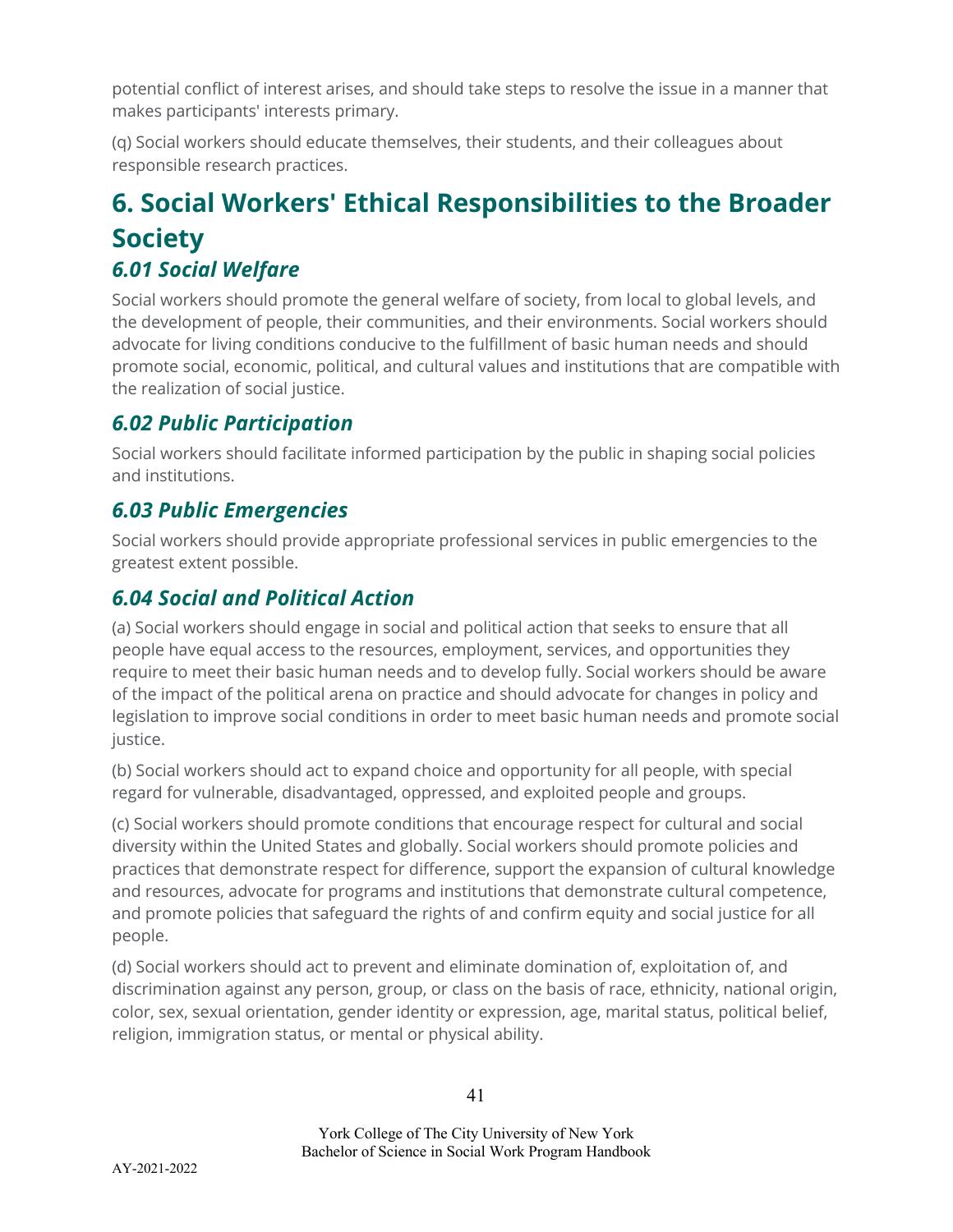potential conflict of interest arises, and should take steps to resolve the issue in a manner that makes participants' interests primary.

(q) Social workers should educate themselves, their students, and their colleagues about responsible research practices.

# **6. Social Workers' Ethical Responsibilities to the Broader Society**

## *6.01 Social Welfare*

Social workers should promote the general welfare of society, from local to global levels, and the development of people, their communities, and their environments. Social workers should advocate for living conditions conducive to the fulfillment of basic human needs and should promote social, economic, political, and cultural values and institutions that are compatible with the realization of social justice.

## *6.02 Public Participation*

Social workers should facilitate informed participation by the public in shaping social policies and institutions.

## *6.03 Public Emergencies*

Social workers should provide appropriate professional services in public emergencies to the greatest extent possible.

## *6.04 Social and Political Action*

(a) Social workers should engage in social and political action that seeks to ensure that all people have equal access to the resources, employment, services, and opportunities they require to meet their basic human needs and to develop fully. Social workers should be aware of the impact of the political arena on practice and should advocate for changes in policy and legislation to improve social conditions in order to meet basic human needs and promote social justice.

(b) Social workers should act to expand choice and opportunity for all people, with special regard for vulnerable, disadvantaged, oppressed, and exploited people and groups.

(c) Social workers should promote conditions that encourage respect for cultural and social diversity within the United States and globally. Social workers should promote policies and practices that demonstrate respect for difference, support the expansion of cultural knowledge and resources, advocate for programs and institutions that demonstrate cultural competence, and promote policies that safeguard the rights of and confirm equity and social justice for all people.

(d) Social workers should act to prevent and eliminate domination of, exploitation of, and discrimination against any person, group, or class on the basis of race, ethnicity, national origin, color, sex, sexual orientation, gender identity or expression, age, marital status, political belief, religion, immigration status, or mental or physical ability.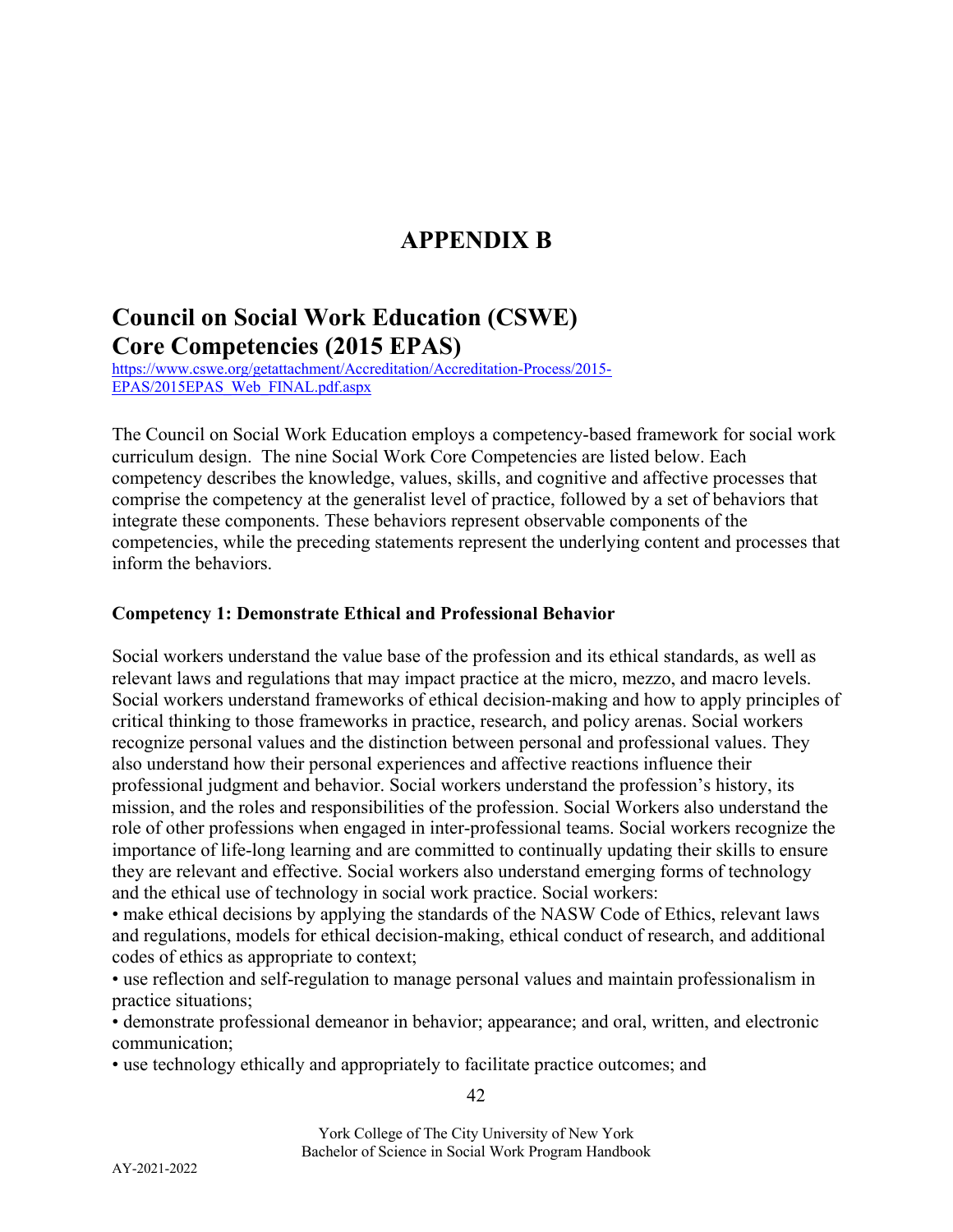# **APPENDIX B**

# **Council on Social Work Education (CSWE) Core Competencies (2015 EPAS)**

https://www.cswe.org/getattachment/Accreditation/Accreditation-Process/2015- EPAS/2015EPAS\_Web\_FINAL.pdf.aspx

The Council on Social Work Education employs a competency-based framework for social work curriculum design. The nine Social Work Core Competencies are listed below. Each competency describes the knowledge, values, skills, and cognitive and affective processes that comprise the competency at the generalist level of practice, followed by a set of behaviors that integrate these components. These behaviors represent observable components of the competencies, while the preceding statements represent the underlying content and processes that inform the behaviors.

#### **Competency 1: Demonstrate Ethical and Professional Behavior**

Social workers understand the value base of the profession and its ethical standards, as well as relevant laws and regulations that may impact practice at the micro, mezzo, and macro levels. Social workers understand frameworks of ethical decision-making and how to apply principles of critical thinking to those frameworks in practice, research, and policy arenas. Social workers recognize personal values and the distinction between personal and professional values. They also understand how their personal experiences and affective reactions influence their professional judgment and behavior. Social workers understand the profession's history, its mission, and the roles and responsibilities of the profession. Social Workers also understand the role of other professions when engaged in inter-professional teams. Social workers recognize the importance of life-long learning and are committed to continually updating their skills to ensure they are relevant and effective. Social workers also understand emerging forms of technology and the ethical use of technology in social work practice. Social workers:

• make ethical decisions by applying the standards of the NASW Code of Ethics, relevant laws and regulations, models for ethical decision-making, ethical conduct of research, and additional codes of ethics as appropriate to context;

• use reflection and self-regulation to manage personal values and maintain professionalism in practice situations;

• demonstrate professional demeanor in behavior; appearance; and oral, written, and electronic communication;

• use technology ethically and appropriately to facilitate practice outcomes; and

42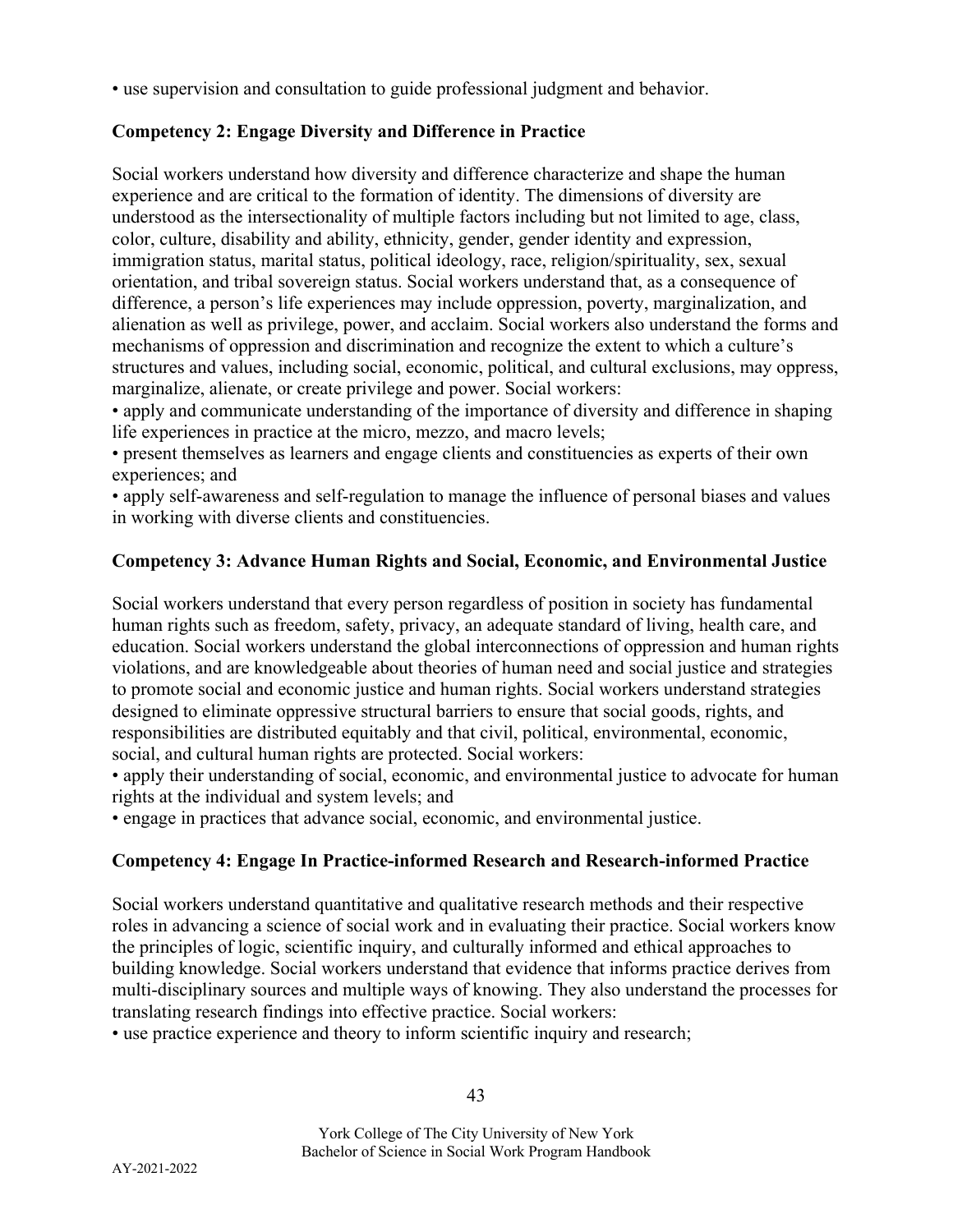• use supervision and consultation to guide professional judgment and behavior.

#### **Competency 2: Engage Diversity and Difference in Practice**

Social workers understand how diversity and difference characterize and shape the human experience and are critical to the formation of identity. The dimensions of diversity are understood as the intersectionality of multiple factors including but not limited to age, class, color, culture, disability and ability, ethnicity, gender, gender identity and expression, immigration status, marital status, political ideology, race, religion/spirituality, sex, sexual orientation, and tribal sovereign status. Social workers understand that, as a consequence of difference, a person's life experiences may include oppression, poverty, marginalization, and alienation as well as privilege, power, and acclaim. Social workers also understand the forms and mechanisms of oppression and discrimination and recognize the extent to which a culture's structures and values, including social, economic, political, and cultural exclusions, may oppress, marginalize, alienate, or create privilege and power. Social workers:

• apply and communicate understanding of the importance of diversity and difference in shaping life experiences in practice at the micro, mezzo, and macro levels;

• present themselves as learners and engage clients and constituencies as experts of their own experiences; and

• apply self-awareness and self-regulation to manage the influence of personal biases and values in working with diverse clients and constituencies.

#### **Competency 3: Advance Human Rights and Social, Economic, and Environmental Justice**

Social workers understand that every person regardless of position in society has fundamental human rights such as freedom, safety, privacy, an adequate standard of living, health care, and education. Social workers understand the global interconnections of oppression and human rights violations, and are knowledgeable about theories of human need and social justice and strategies to promote social and economic justice and human rights. Social workers understand strategies designed to eliminate oppressive structural barriers to ensure that social goods, rights, and responsibilities are distributed equitably and that civil, political, environmental, economic, social, and cultural human rights are protected. Social workers:

• apply their understanding of social, economic, and environmental justice to advocate for human rights at the individual and system levels; and

• engage in practices that advance social, economic, and environmental justice.

#### **Competency 4: Engage In Practice-informed Research and Research-informed Practice**

Social workers understand quantitative and qualitative research methods and their respective roles in advancing a science of social work and in evaluating their practice. Social workers know the principles of logic, scientific inquiry, and culturally informed and ethical approaches to building knowledge. Social workers understand that evidence that informs practice derives from multi-disciplinary sources and multiple ways of knowing. They also understand the processes for translating research findings into effective practice. Social workers:

• use practice experience and theory to inform scientific inquiry and research;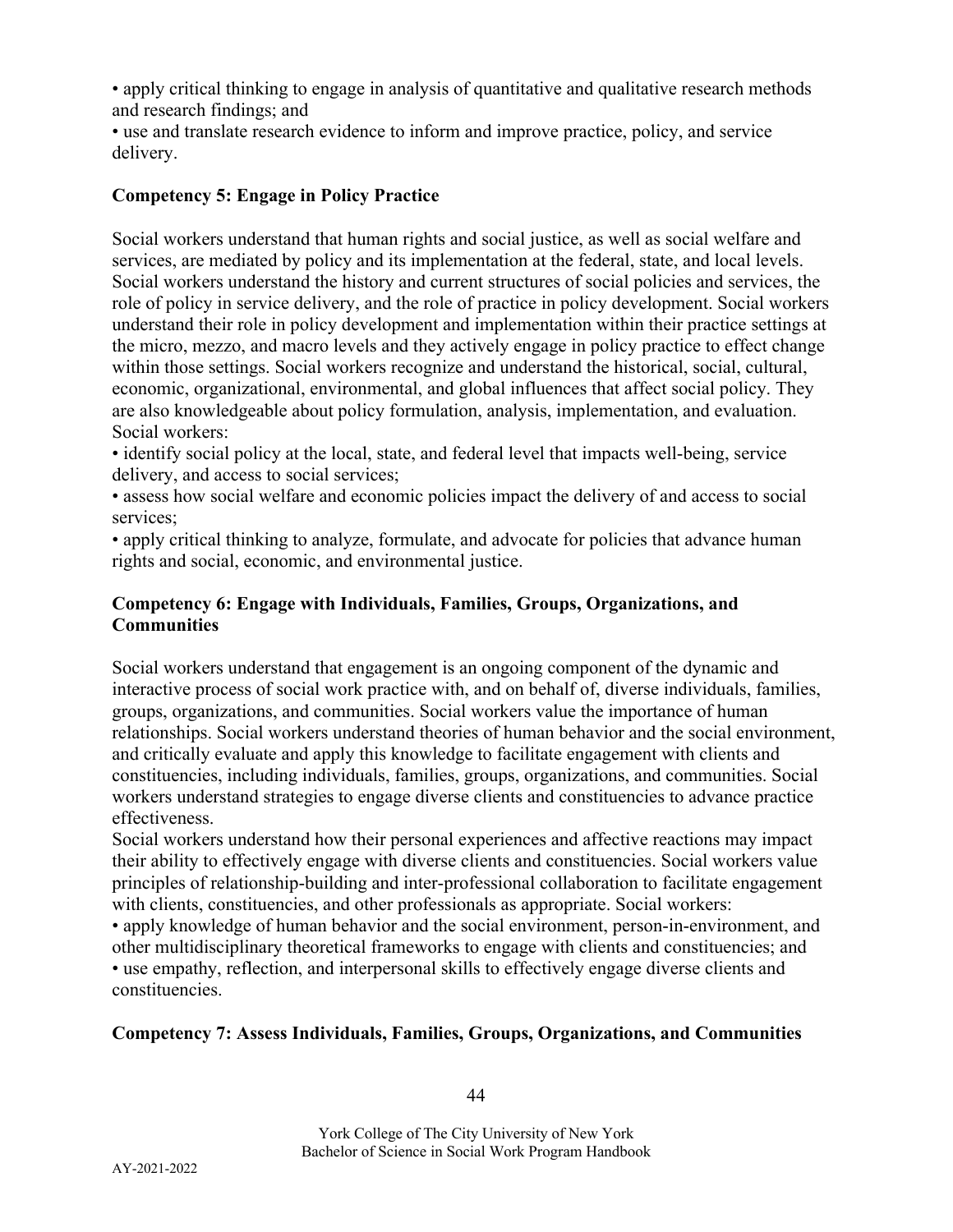• apply critical thinking to engage in analysis of quantitative and qualitative research methods and research findings; and

• use and translate research evidence to inform and improve practice, policy, and service delivery.

#### **Competency 5: Engage in Policy Practice**

Social workers understand that human rights and social justice, as well as social welfare and services, are mediated by policy and its implementation at the federal, state, and local levels. Social workers understand the history and current structures of social policies and services, the role of policy in service delivery, and the role of practice in policy development. Social workers understand their role in policy development and implementation within their practice settings at the micro, mezzo, and macro levels and they actively engage in policy practice to effect change within those settings. Social workers recognize and understand the historical, social, cultural, economic, organizational, environmental, and global influences that affect social policy. They are also knowledgeable about policy formulation, analysis, implementation, and evaluation. Social workers:

• identify social policy at the local, state, and federal level that impacts well-being, service delivery, and access to social services;

• assess how social welfare and economic policies impact the delivery of and access to social services;

• apply critical thinking to analyze, formulate, and advocate for policies that advance human rights and social, economic, and environmental justice.

#### **Competency 6: Engage with Individuals, Families, Groups, Organizations, and Communities**

Social workers understand that engagement is an ongoing component of the dynamic and interactive process of social work practice with, and on behalf of, diverse individuals, families, groups, organizations, and communities. Social workers value the importance of human relationships. Social workers understand theories of human behavior and the social environment, and critically evaluate and apply this knowledge to facilitate engagement with clients and constituencies, including individuals, families, groups, organizations, and communities. Social workers understand strategies to engage diverse clients and constituencies to advance practice effectiveness.

Social workers understand how their personal experiences and affective reactions may impact their ability to effectively engage with diverse clients and constituencies. Social workers value principles of relationship-building and inter-professional collaboration to facilitate engagement with clients, constituencies, and other professionals as appropriate. Social workers:

• apply knowledge of human behavior and the social environment, person-in-environment, and other multidisciplinary theoretical frameworks to engage with clients and constituencies; and • use empathy, reflection, and interpersonal skills to effectively engage diverse clients and constituencies.

#### **Competency 7: Assess Individuals, Families, Groups, Organizations, and Communities**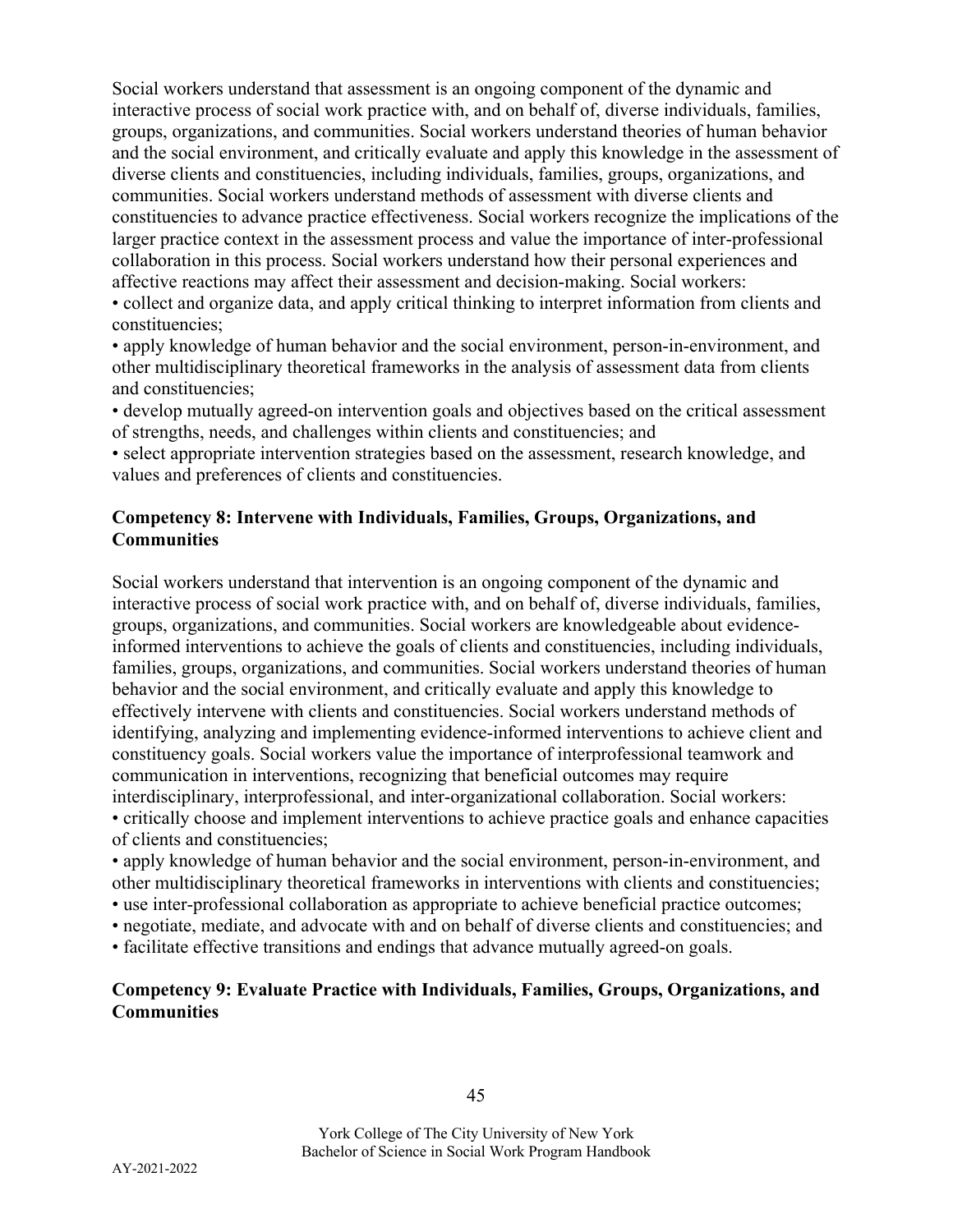Social workers understand that assessment is an ongoing component of the dynamic and interactive process of social work practice with, and on behalf of, diverse individuals, families, groups, organizations, and communities. Social workers understand theories of human behavior and the social environment, and critically evaluate and apply this knowledge in the assessment of diverse clients and constituencies, including individuals, families, groups, organizations, and communities. Social workers understand methods of assessment with diverse clients and constituencies to advance practice effectiveness. Social workers recognize the implications of the larger practice context in the assessment process and value the importance of inter-professional collaboration in this process. Social workers understand how their personal experiences and affective reactions may affect their assessment and decision-making. Social workers: • collect and organize data, and apply critical thinking to interpret information from clients and

constituencies;

• apply knowledge of human behavior and the social environment, person-in-environment, and other multidisciplinary theoretical frameworks in the analysis of assessment data from clients and constituencies;

• develop mutually agreed-on intervention goals and objectives based on the critical assessment of strengths, needs, and challenges within clients and constituencies; and

• select appropriate intervention strategies based on the assessment, research knowledge, and values and preferences of clients and constituencies.

#### **Competency 8: Intervene with Individuals, Families, Groups, Organizations, and Communities**

Social workers understand that intervention is an ongoing component of the dynamic and interactive process of social work practice with, and on behalf of, diverse individuals, families, groups, organizations, and communities. Social workers are knowledgeable about evidenceinformed interventions to achieve the goals of clients and constituencies, including individuals, families, groups, organizations, and communities. Social workers understand theories of human behavior and the social environment, and critically evaluate and apply this knowledge to effectively intervene with clients and constituencies. Social workers understand methods of identifying, analyzing and implementing evidence-informed interventions to achieve client and constituency goals. Social workers value the importance of interprofessional teamwork and communication in interventions, recognizing that beneficial outcomes may require interdisciplinary, interprofessional, and inter-organizational collaboration. Social workers: • critically choose and implement interventions to achieve practice goals and enhance capacities of clients and constituencies;

• apply knowledge of human behavior and the social environment, person-in-environment, and other multidisciplinary theoretical frameworks in interventions with clients and constituencies;

- use inter-professional collaboration as appropriate to achieve beneficial practice outcomes;
- negotiate, mediate, and advocate with and on behalf of diverse clients and constituencies; and

• facilitate effective transitions and endings that advance mutually agreed-on goals.

#### **Competency 9: Evaluate Practice with Individuals, Families, Groups, Organizations, and Communities**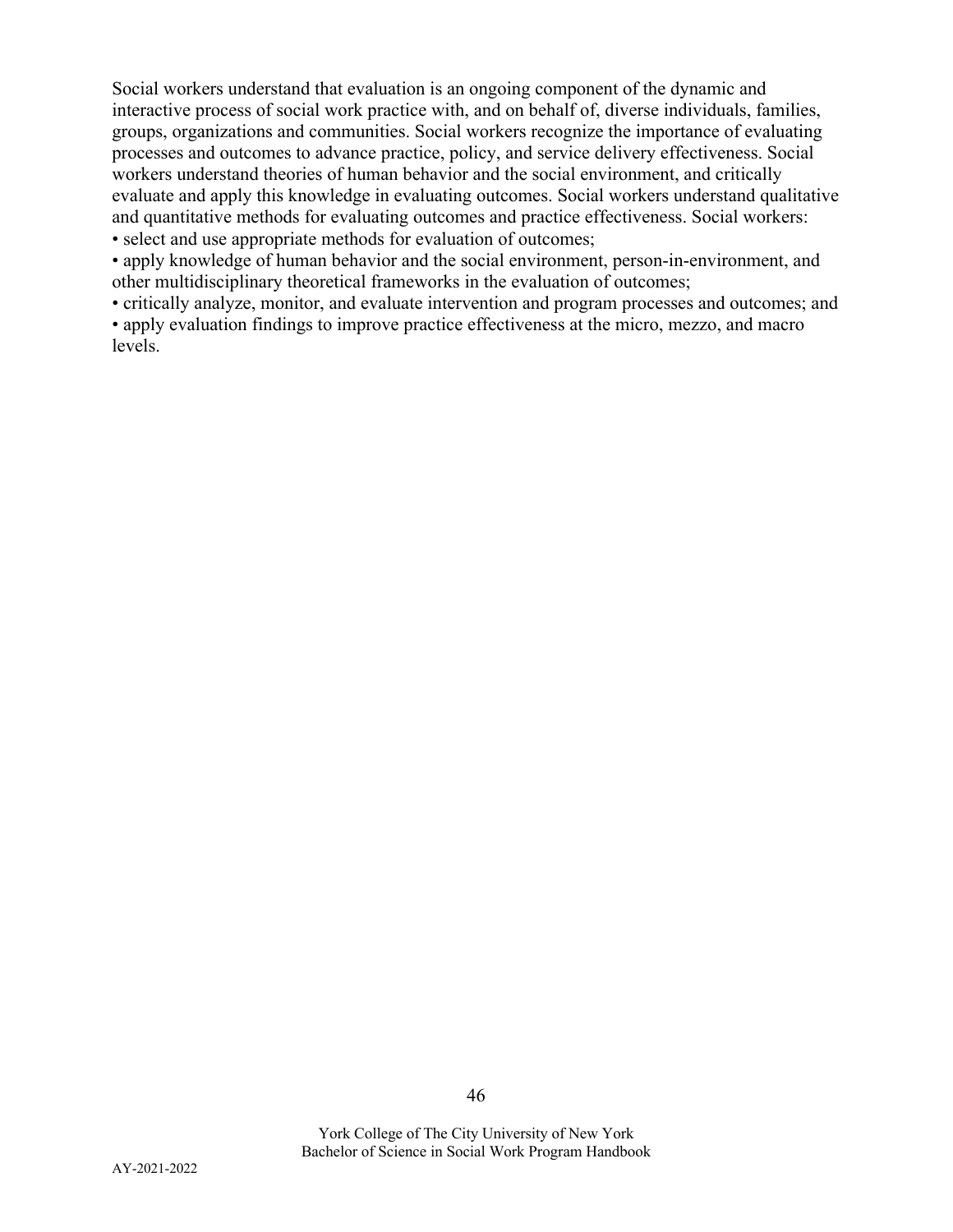Social workers understand that evaluation is an ongoing component of the dynamic and interactive process of social work practice with, and on behalf of, diverse individuals, families, groups, organizations and communities. Social workers recognize the importance of evaluating processes and outcomes to advance practice, policy, and service delivery effectiveness. Social workers understand theories of human behavior and the social environment, and critically evaluate and apply this knowledge in evaluating outcomes. Social workers understand qualitative and quantitative methods for evaluating outcomes and practice effectiveness. Social workers:

• select and use appropriate methods for evaluation of outcomes;

• apply knowledge of human behavior and the social environment, person-in-environment, and other multidisciplinary theoretical frameworks in the evaluation of outcomes;

• critically analyze, monitor, and evaluate intervention and program processes and outcomes; and • apply evaluation findings to improve practice effectiveness at the micro, mezzo, and macro levels.

46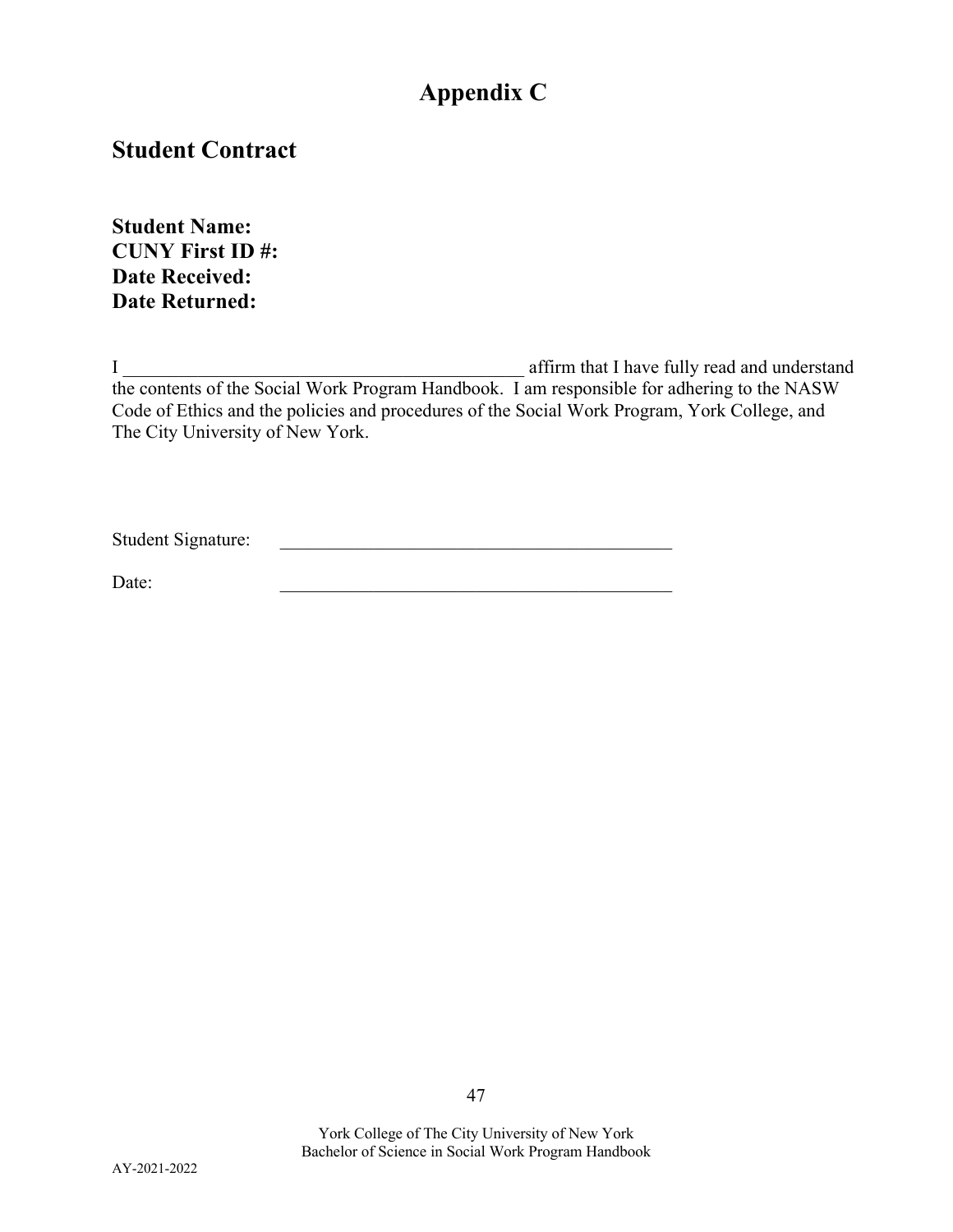# **Appendix C**

# **Student Contract**

**Student Name: CUNY First ID #: Date Received: Date Returned:** 

I consider the interest of a set of the affirm that I have fully read and understand the contents of the Social Work Program Handbook. I am responsible for adhering to the NASW Code of Ethics and the policies and procedures of the Social Work Program, York College, and The City University of New York.

Student Signature: \_\_\_\_\_\_\_\_\_\_\_\_\_\_\_\_\_\_\_\_\_\_\_\_\_\_\_\_\_\_\_\_\_\_\_\_\_\_\_\_\_\_

 $Date:$ 

47